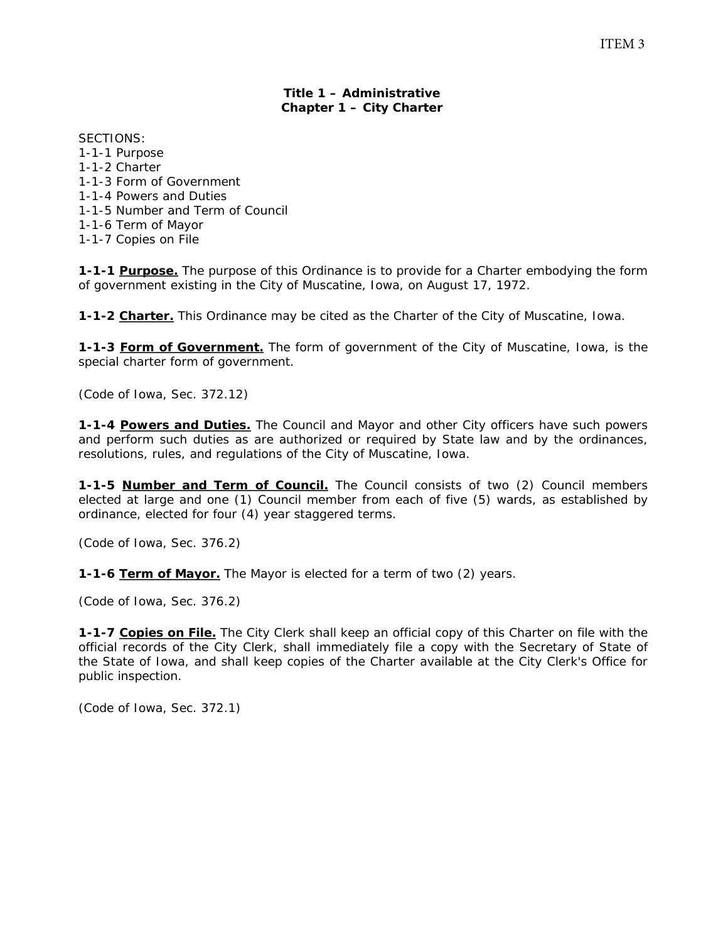### **Title 1 – Administrative Chapter 1 – City Charter**

SECTIONS: 1-1-1 Purpose 1-1-2 Charter 1-1-3 Form of Government 1-1-4 Powers and Duties 1-1-5 Number and Term of Council 1-1-6 Term of Mayor 1-1-7 Copies on File

**1-1-1 Purpose.** The purpose of this Ordinance is to provide for a Charter embodying the form of government existing in the City of Muscatine, Iowa, on August 17, 1972.

**1-1-2 Charter.** This Ordinance may be cited as the Charter of the City of Muscatine, Iowa.

**1-1-3 Form of Government.** The form of government of the City of Muscatine, Iowa, is the special charter form of government.

*(Code of Iowa, Sec. 372.12)* 

**1-1-4 Powers and Duties.** The Council and Mayor and other City officers have such powers and perform such duties as are authorized or required by State law and by the ordinances, resolutions, rules, and regulations of the City of Muscatine, Iowa.

**1-1-5 Number and Term of Council.** The Council consists of two (2) Council members elected at large and one (1) Council member from each of five (5) wards, as established by ordinance, elected for four (4) year staggered terms.

*(Code of Iowa, Sec. 376.2)* 

**1-1-6 Term of Mayor.** The Mayor is elected for a term of two (2) years.

*(Code of Iowa, Sec. 376.2)* 

**1-1-7 Copies on File.** The City Clerk shall keep an official copy of this Charter on file with the official records of the City Clerk, shall immediately file a copy with the Secretary of State of the State of Iowa, and shall keep copies of the Charter available at the City Clerk's Office for public inspection.

*(Code of Iowa, Sec. 372.1)*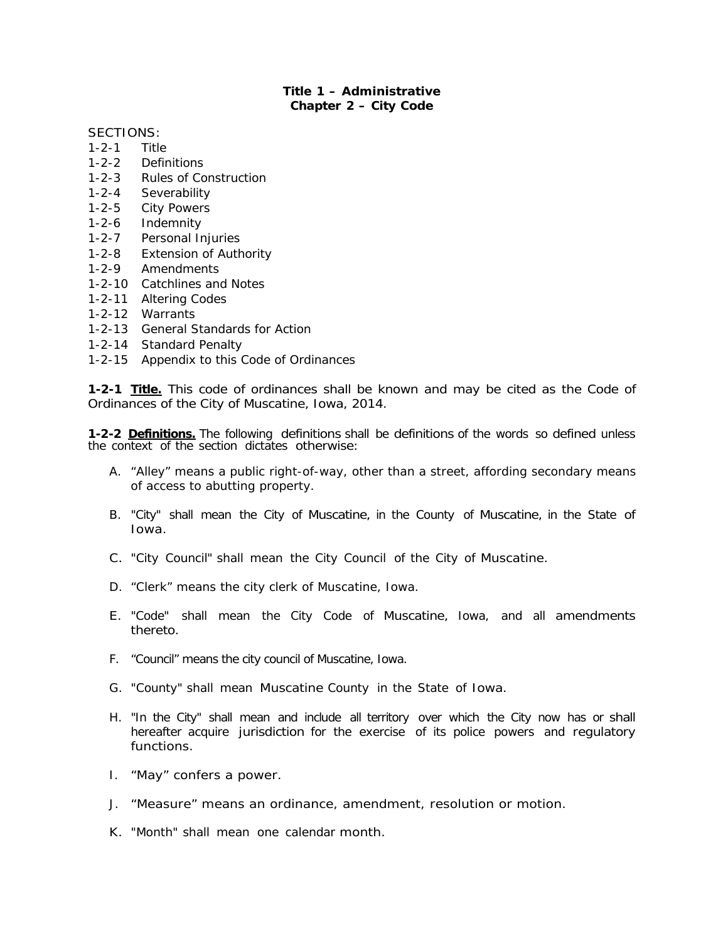### **Title 1 – Administrative Chapter 2 – City Code**

SECTIONS:

- 1-2-1 Title
- 1-2-2 Definitions
- 1-2-3 Rules of Construction
- 1-2-4 Severability
- 1-2-5 City Powers
- 1-2-6 Indemnity
- 1-2-7 Personal Injuries
- 1-2-8 Extension of Authority
- 1-2-9 Amendments
- 1-2-10 Catchlines and Notes
- 1-2-11 Altering Codes
- 1-2-12 Warrants
- 1-2-13 General Standards for Action
- 1-2-14 Standard Penalty
- 1-2-15 Appendix to this Code of Ordinances

**1-2-1 Title.** This code of ordinances shall be known and may be cited as the Code of Ordinances of the City of Muscatine, Iowa, 2014.

**1-2-2 Definitions.** The following definitions shall be definitions of the words so defined unless the context of the section dictates otherwise:

- A. "Alley" means a public right-of-way, other than a street, affording secondary means of access to abutting property.
- B. "City" shall mean the City of Muscatine, in the County of Muscatine, in the State of Iowa.
- C. "City Council" shall mean the City Council of the City of Muscatine.
- D. "Clerk" means the city clerk of Muscatine, Iowa.
- E. "Code" shall mean the City Code of Muscatine, Iowa, and all amendments thereto.
- F. "Council" means the city council of Muscatine, Iowa.
- G. "County" shall mean Muscatine County in the State of Iowa.
- H. "In the City" shall mean and include all territory over which the City now has or shall hereafter acquire jurisdiction for the exercise of its police powers and regulatory functions.
- I. "May" confers a power.
- J. "Measure" means an ordinance, amendment, resolution or motion.
- K. "Month" shall mean one calendar month.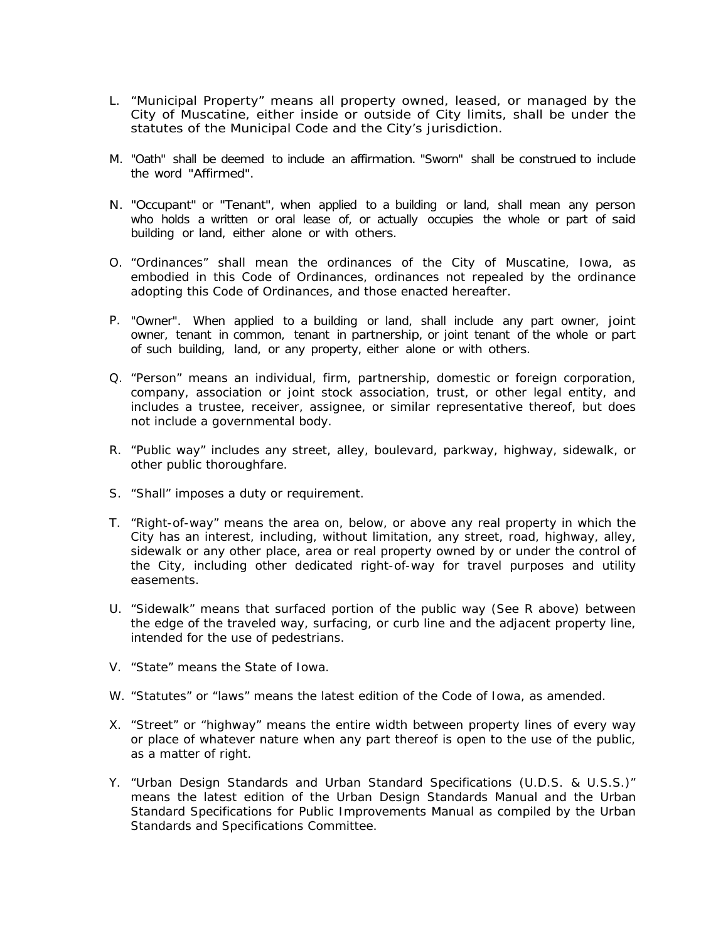- L. "Municipal Property" means all property owned, leased, or managed by the City of Muscatine, either inside or outside of City limits, shall be under the statutes of the Municipal Code and the City's jurisdiction.
- M. "Oath" shall be deemed to include an affirmation. "Sworn" shall be construed to include the word "Affirmed".
- N. "Occupant" or "Tenant", when applied to a building or land, shall mean any person who holds a written or oral lease of, or actually occupies the whole or part of said building or land, either alone or with others.
- O. "Ordinances" shall mean the ordinances of the City of Muscatine, Iowa, as embodied in this Code of Ordinances, ordinances not repealed by the ordinance adopting this Code of Ordinances, and those enacted hereafter.
- P. "Owner". When applied to a building or land, shall include any part owner, joint owner, tenant in common, tenant in partnership, or joint tenant of the whole or part of such building, land, or any property, either alone or with others.
- Q. "Person" means an individual, firm, partnership, domestic or foreign corporation, company, association or joint stock association, trust, or other legal entity, and includes a trustee, receiver, assignee, or similar representative thereof, but does not include a governmental body.
- R. "Public way" includes any street, alley, boulevard, parkway, highway, sidewalk, or other public thoroughfare.
- S. "Shall" imposes a duty or requirement.
- T. "Right-of-way" means the area on, below, or above any real property in which the City has an interest, including, without limitation, any street, road, highway, alley, sidewalk or any other place, area or real property owned by or under the control of the City, including other dedicated right-of-way for travel purposes and utility easements.
- U. "Sidewalk" means that surfaced portion of the public way (See R above) between the edge of the traveled way, surfacing, or curb line and the adjacent property line, intended for the use of pedestrians.
- V. "State" means the State of Iowa.
- W. "Statutes" or "laws" means the latest edition of the Code of Iowa, as amended.
- X. "Street" or "highway" means the entire width between property lines of every way or place of whatever nature when any part thereof is open to the use of the public, as a matter of right.
- Y. "Urban Design Standards and Urban Standard Specifications (U.D.S. & U.S.S.)" means the latest edition of the Urban Design Standards Manual and the Urban Standard Specifications for Public Improvements Manual as compiled by the Urban Standards and Specifications Committee.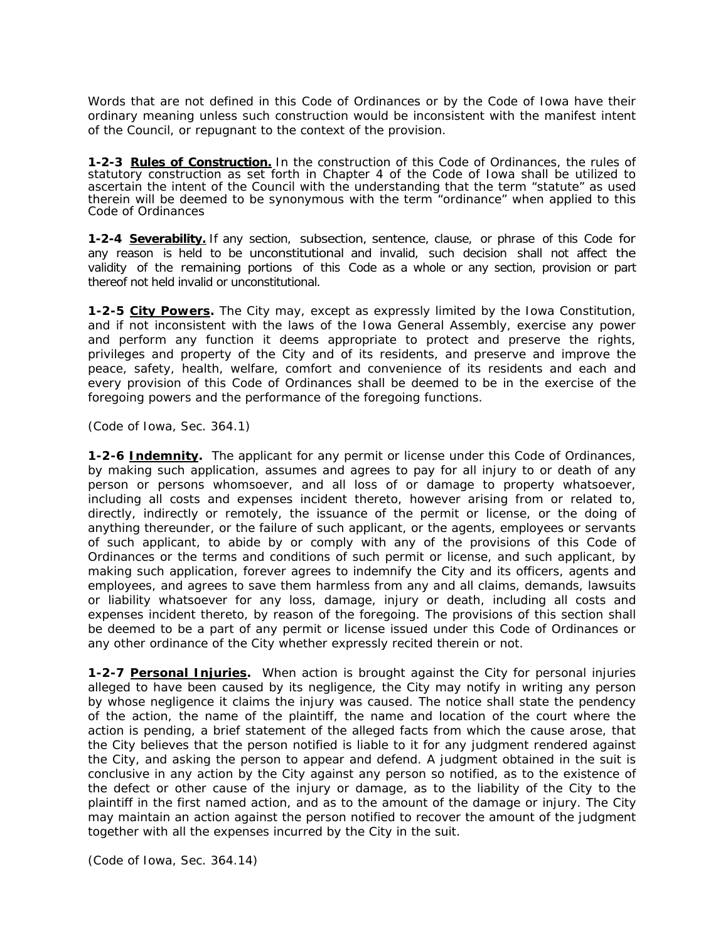Words that are not defined in this Code of Ordinances or by the Code of Iowa have their ordinary meaning unless such construction would be inconsistent with the manifest intent of the Council, or repugnant to the context of the provision.

**1-2-3 Rules of Construction.** In the construction of this Code of Ordinances, the rules of statutory construction as set forth in Chapter 4 of the Code of Iowa shall be utilized to ascertain the intent of the Council with the understanding that the term "statute" as used therein will be deemed to be synonymous with the term "ordinance" when applied to this Code of Ordinances

**1-2-4 Severability.** If any section, subsection, sentence, clause, or phrase of this Code for any reason is held to be unconstitutional and invalid, such decision shall not affect the validity of the remaining portions of this Code as a whole or any section, provision or part thereof not held invalid or unconstitutional.

**1-2-5 City Powers.** The City may, except as expressly limited by the Iowa Constitution, and if not inconsistent with the laws of the Iowa General Assembly, exercise any power and perform any function it deems appropriate to protect and preserve the rights, privileges and property of the City and of its residents, and preserve and improve the peace, safety, health, welfare, comfort and convenience of its residents and each and every provision of this Code of Ordinances shall be deemed to be in the exercise of the foregoing powers and the performance of the foregoing functions.

#### *(Code of Iowa, Sec. 364.1)*

**1-2-6 Indemnity.** The applicant for any permit or license under this Code of Ordinances, by making such application, assumes and agrees to pay for all injury to or death of any person or persons whomsoever, and all loss of or damage to property whatsoever, including all costs and expenses incident thereto, however arising from or related to, directly, indirectly or remotely, the issuance of the permit or license, or the doing of anything thereunder, or the failure of such applicant, or the agents, employees or servants of such applicant, to abide by or comply with any of the provisions of this Code of Ordinances or the terms and conditions of such permit or license, and such applicant, by making such application, forever agrees to indemnify the City and its officers, agents and employees, and agrees to save them harmless from any and all claims, demands, lawsuits or liability whatsoever for any loss, damage, injury or death, including all costs and expenses incident thereto, by reason of the foregoing. The provisions of this section shall be deemed to be a part of any permit or license issued under this Code of Ordinances or any other ordinance of the City whether expressly recited therein or not.

**1-2-7 Personal Injuries.** When action is brought against the City for personal injuries alleged to have been caused by its negligence, the City may notify in writing any person by whose negligence it claims the injury was caused. The notice shall state the pendency of the action, the name of the plaintiff, the name and location of the court where the action is pending, a brief statement of the alleged facts from which the cause arose, that the City believes that the person notified is liable to it for any judgment rendered against the City, and asking the person to appear and defend. A judgment obtained in the suit is conclusive in any action by the City against any person so notified, as to the existence of the defect or other cause of the injury or damage, as to the liability of the City to the plaintiff in the first named action, and as to the amount of the damage or injury. The City may maintain an action against the person notified to recover the amount of the judgment together with all the expenses incurred by the City in the suit.

*(Code of Iowa, Sec. 364.14)*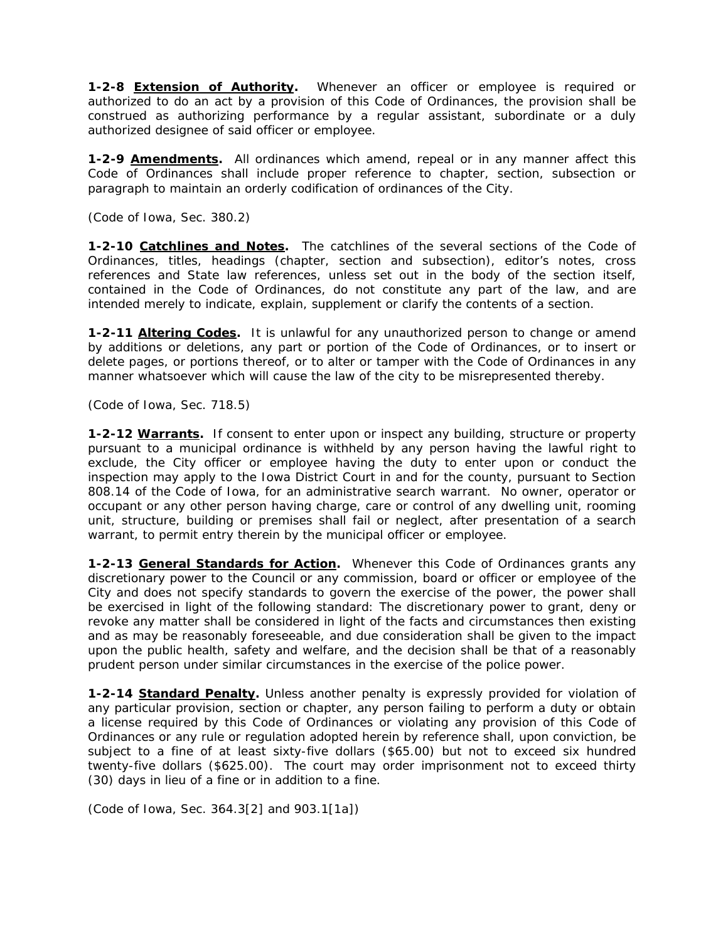**1-2-8 Extension of Authority.** Whenever an officer or employee is required or authorized to do an act by a provision of this Code of Ordinances, the provision shall be construed as authorizing performance by a regular assistant, subordinate or a duly authorized designee of said officer or employee.

**1-2-9 Amendments.** All ordinances which amend, repeal or in any manner affect this Code of Ordinances shall include proper reference to chapter, section, subsection or paragraph to maintain an orderly codification of ordinances of the City.

#### *(Code of Iowa, Sec. 380.2)*

**1-2-10 Catchlines and Notes.** The catchlines of the several sections of the Code of Ordinances, titles, headings (chapter, section and subsection), editor's notes, cross references and State law references, unless set out in the body of the section itself, contained in the Code of Ordinances, do not constitute any part of the law, and are intended merely to indicate, explain, supplement or clarify the contents of a section.

**1-2-11 Altering Codes.** It is unlawful for any unauthorized person to change or amend by additions or deletions, any part or portion of the Code of Ordinances, or to insert or delete pages, or portions thereof, or to alter or tamper with the Code of Ordinances in any manner whatsoever which will cause the law of the city to be misrepresented thereby.

#### *(Code of Iowa, Sec. 718.5)*

**1-2-12 Warrants.** If consent to enter upon or inspect any building, structure or property pursuant to a municipal ordinance is withheld by any person having the lawful right to exclude, the City officer or employee having the duty to enter upon or conduct the inspection may apply to the Iowa District Court in and for the county, pursuant to Section 808.14 of the Code of Iowa, for an administrative search warrant. No owner, operator or occupant or any other person having charge, care or control of any dwelling unit, rooming unit, structure, building or premises shall fail or neglect, after presentation of a search warrant, to permit entry therein by the municipal officer or employee.

**1-2-13 General Standards for Action.** Whenever this Code of Ordinances grants any discretionary power to the Council or any commission, board or officer or employee of the City and does not specify standards to govern the exercise of the power, the power shall be exercised in light of the following standard: The discretionary power to grant, deny or revoke any matter shall be considered in light of the facts and circumstances then existing and as may be reasonably foreseeable, and due consideration shall be given to the impact upon the public health, safety and welfare, and the decision shall be that of a reasonably prudent person under similar circumstances in the exercise of the police power.

**1-2-14 Standard Penalty.** Unless another penalty is expressly provided for violation of any particular provision, section or chapter, any person failing to perform a duty or obtain a license required by this Code of Ordinances or violating any provision of this Code of Ordinances or any rule or regulation adopted herein by reference shall, upon conviction, be subject to a fine of at least sixty-five dollars (\$65.00) but not to exceed six hundred twenty-five dollars (\$625.00). The court may order imprisonment not to exceed thirty (30) days in lieu of a fine or in addition to a fine.

*(Code of Iowa, Sec. 364.3[2] and 903.1[1a])*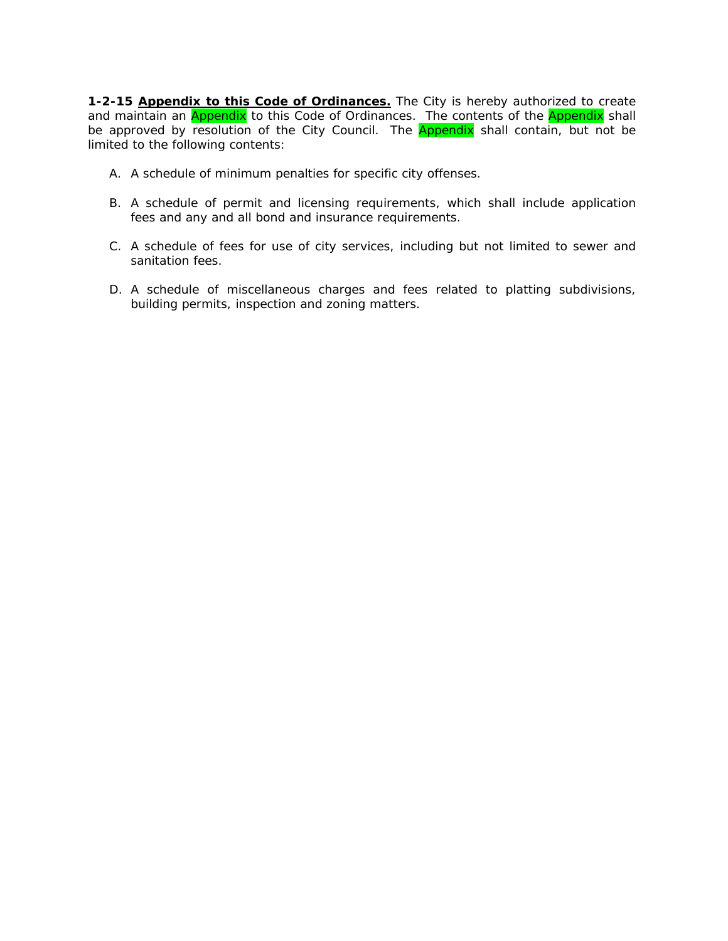**1-2-15 Appendix to this Code of Ordinances.** The City is hereby authorized to create and maintain an **Appendix** to this Code of Ordinances. The contents of the **Appendix** shall be approved by resolution of the City Council. The **Appendix** shall contain, but not be limited to the following contents:

- A. A schedule of minimum penalties for specific city offenses.
- B. A schedule of permit and licensing requirements, which shall include application fees and any and all bond and insurance requirements.
- C. A schedule of fees for use of city services, including but not limited to sewer and sanitation fees.
- D. A schedule of miscellaneous charges and fees related to platting subdivisions, building permits, inspection and zoning matters.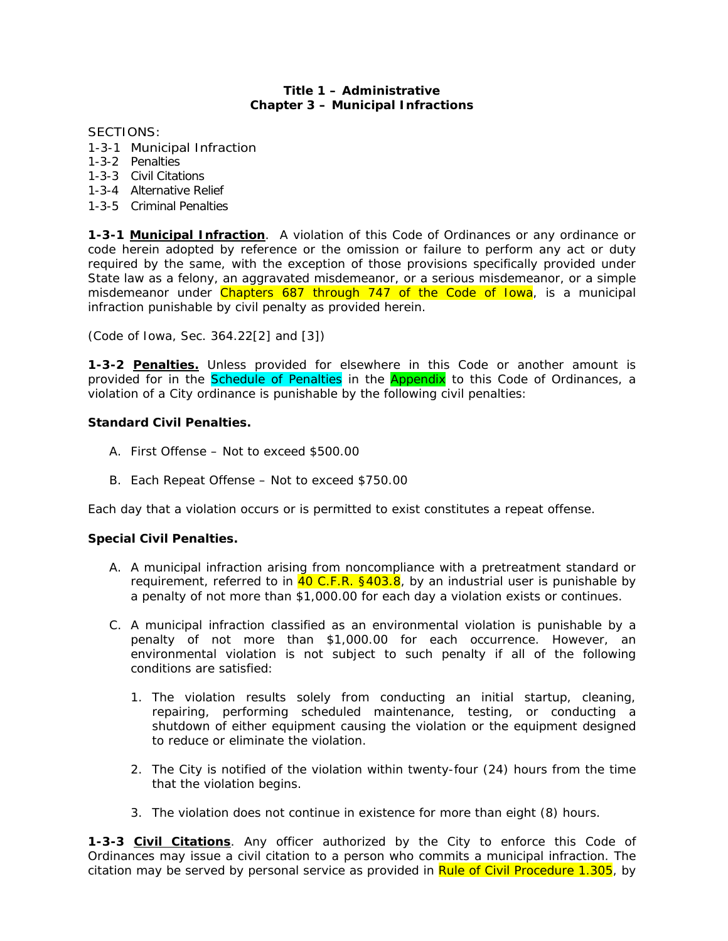#### **Title 1 – Administrative Chapter 3 – Municipal Infractions**

SECTIONS:

- 1-3-1 Municipal Infraction
- 1-3-2 Penalties
- 1-3-3 Civil Citations
- 1-3-4 Alternative Relief
- 1-3-5 Criminal Penalties

**1-3-1 Municipal Infraction**. A violation of this Code of Ordinances or any ordinance or code herein adopted by reference or the omission or failure to perform any act or duty required by the same, with the exception of those provisions specifically provided under State law as a felony, an aggravated misdemeanor, or a serious misdemeanor, or a simple misdemeanor under Chapters 687 through 747 of the Code of Iowa, is a municipal infraction punishable by civil penalty as provided herein.

*(Code of Iowa, Sec. 364.22[2] and [3])* 

**1-3-2 Penalties.** Unless provided for elsewhere in this Code or another amount is provided for in the **Schedule of Penalties** in the **Appendix** to this Code of Ordinances, a violation of a City ordinance is punishable by the following civil penalties:

### **Standard Civil Penalties.**

- A. First Offense Not to exceed \$500.00
- B. Each Repeat Offense Not to exceed \$750.00

Each day that a violation occurs or is permitted to exist constitutes a repeat offense.

### **Special Civil Penalties.**

- A. A municipal infraction arising from noncompliance with a pretreatment standard or requirement, referred to in  $40 C.F.R.$  §403.8, by an industrial user is punishable by a penalty of not more than \$1,000.00 for each day a violation exists or continues.
- C. A municipal infraction classified as an environmental violation is punishable by a penalty of not more than \$1,000.00 for each occurrence. However, an environmental violation is not subject to such penalty if all of the following conditions are satisfied:
	- 1. The violation results solely from conducting an initial startup, cleaning, repairing, performing scheduled maintenance, testing, or conducting a shutdown of either equipment causing the violation or the equipment designed to reduce or eliminate the violation.
	- 2. The City is notified of the violation within twenty-four (24) hours from the time that the violation begins.
	- 3. The violation does not continue in existence for more than eight (8) hours.

**1-3-3 Civil Citations**. Any officer authorized by the City to enforce this Code of Ordinances may issue a civil citation to a person who commits a municipal infraction. The citation may be served by personal service as provided in Rule of Civil Procedure 1.305, by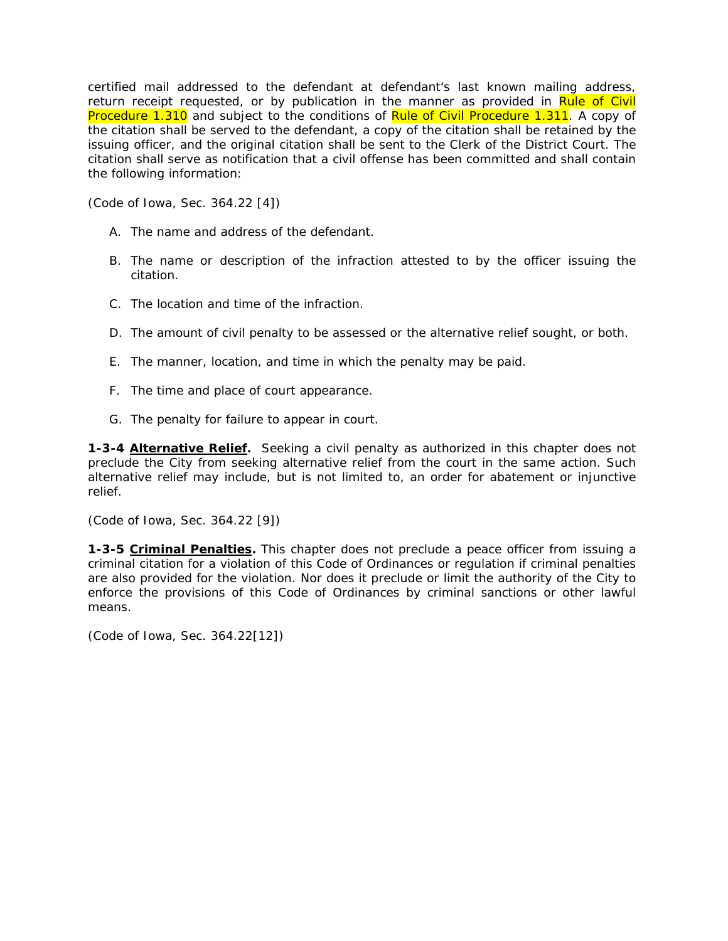certified mail addressed to the defendant at defendant's last known mailing address, return receipt requested, or by publication in the manner as provided in Rule of Civil Procedure 1.310 and subject to the conditions of Rule of Civil Procedure 1.311. A copy of the citation shall be served to the defendant, a copy of the citation shall be retained by the issuing officer, and the original citation shall be sent to the Clerk of the District Court. The citation shall serve as notification that a civil offense has been committed and shall contain the following information:

*(Code of Iowa, Sec. 364.22 [4])* 

- A. The name and address of the defendant.
- B. The name or description of the infraction attested to by the officer issuing the citation.
- C. The location and time of the infraction.
- D. The amount of civil penalty to be assessed or the alternative relief sought, or both.
- E. The manner, location, and time in which the penalty may be paid.
- F. The time and place of court appearance.
- *G.* The penalty for failure to appear in court.

**1-3-4 Alternative Relief.** Seeking a civil penalty as authorized in this chapter does not preclude the City from seeking alternative relief from the court in the same action. Such alternative relief may include, but is not limited to, an order for abatement or injunctive relief.

*(Code of Iowa, Sec. 364.22 [9])* 

**1-3-5 Criminal Penalties.** This chapter does not preclude a peace officer from issuing a criminal citation for a violation of this Code of Ordinances or regulation if criminal penalties are also provided for the violation. Nor does it preclude or limit the authority of the City to enforce the provisions of this Code of Ordinances by criminal sanctions or other lawful means.

*(Code of Iowa, Sec. 364.22[12])*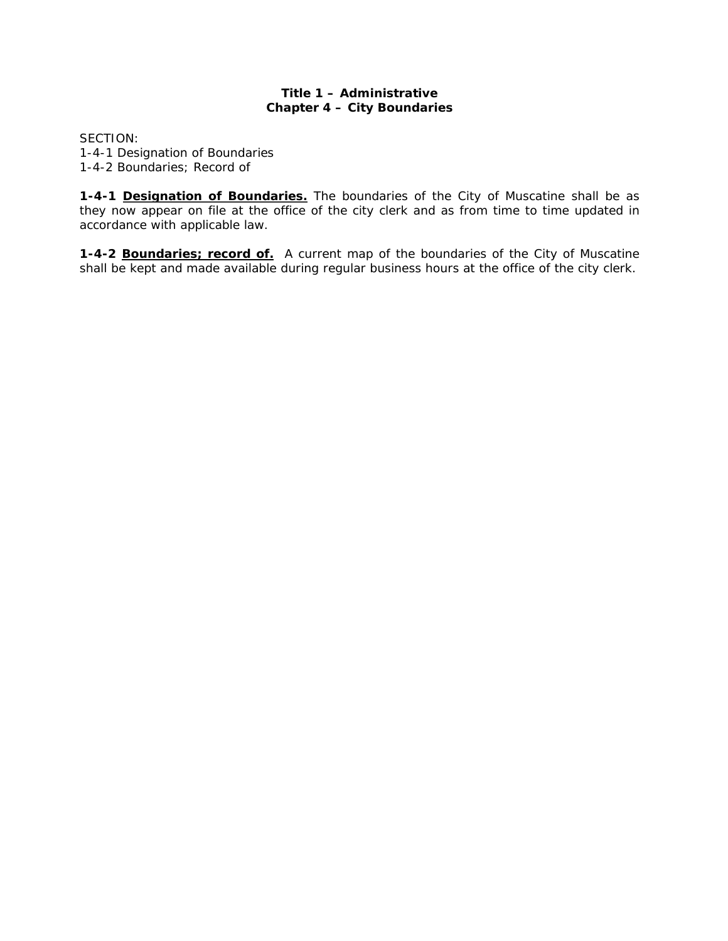# **Title 1 – Administrative Chapter 4 – City Boundaries**

SECTION: 1-4-1 Designation of Boundaries 1-4-2 Boundaries; Record of

**1-4-1 Designation of Boundaries.** The boundaries of the City of Muscatine shall be as they now appear on file at the office of the city clerk and as from time to time updated in accordance with applicable law.

**1-4-2 Boundaries; record of.** A current map of the boundaries of the City of Muscatine shall be kept and made available during regular business hours at the office of the city clerk.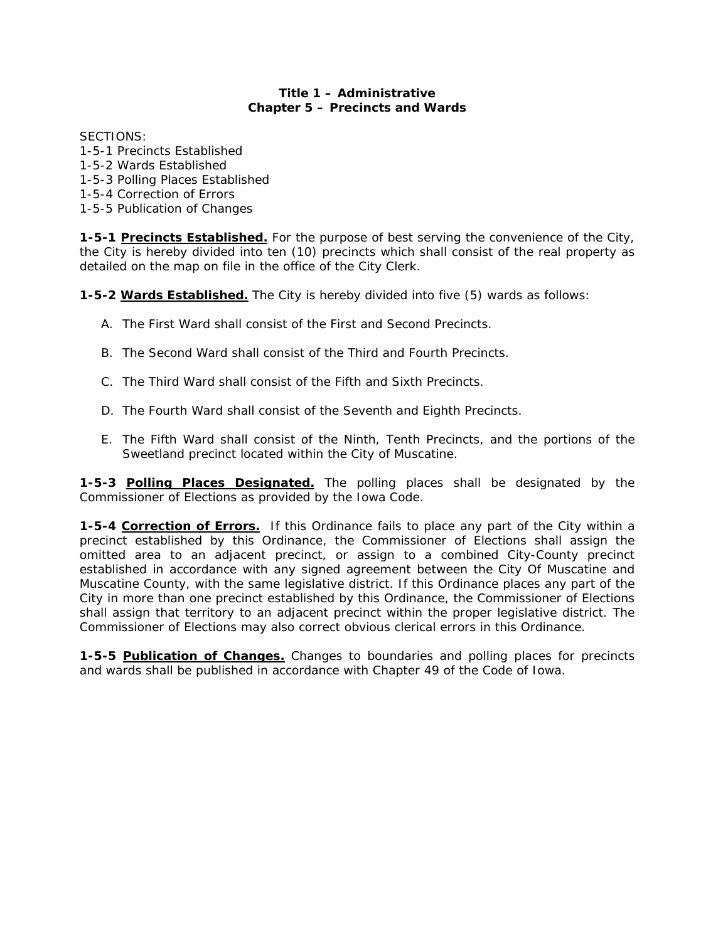# **Title 1 – Administrative Chapter 5 – Precincts and Wards**

SECTIONS:

1-5-1 Precincts Established 1-5-2 Wards Established 1-5-3 Polling Places Established 1-5-4 Correction of Errors 1-5-5 Publication of Changes

**1-5-1 Precincts Established.** For the purpose of best serving the convenience of the City, the City is hereby divided into ten (10) precincts which shall consist of the real property as detailed on the map on file in the office of the City Clerk.

**1-5-2 Wards Established.** The City is hereby divided into five (5) wards as follows:

- A. The First Ward shall consist of the First and Second Precincts.
- B. The Second Ward shall consist of the Third and Fourth Precincts.
- C. The Third Ward shall consist of the Fifth and Sixth Precincts.
- D. The Fourth Ward shall consist of the Seventh and Eighth Precincts.
- E. The Fifth Ward shall consist of the Ninth, Tenth Precincts, and the portions of the Sweetland precinct located within the City of Muscatine.

**1-5-3 Polling Places Designated.** The polling places shall be designated by the Commissioner of Elections as provided by the Iowa Code.

**1-5-4 Correction of Errors.** If this Ordinance fails to place any part of the City within a precinct established by this Ordinance, the Commissioner of Elections shall assign the omitted area to an adjacent precinct, or assign to a combined City-County precinct established in accordance with any signed agreement between the City Of Muscatine and Muscatine County, with the same legislative district. If this Ordinance places any part of the City in more than one precinct established by this Ordinance, the Commissioner of Elections shall assign that territory to an adjacent precinct within the proper legislative district. The Commissioner of Elections may also correct obvious clerical errors in this Ordinance.

**1-5-5 Publication of Changes.** Changes to boundaries and polling places for precincts and wards shall be published in accordance with Chapter 49 of the Code of Iowa.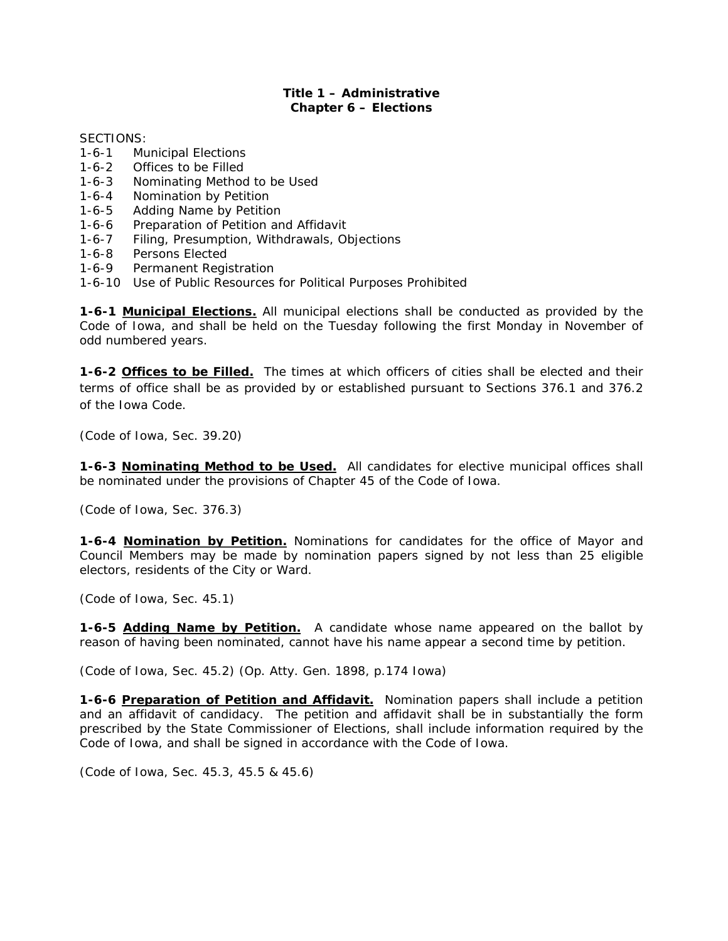#### **Title 1 – Administrative Chapter 6 – Elections**

SECTIONS:

- 1-6-1 Municipal Elections
- 1-6-2 Offices to be Filled
- 1-6-3 Nominating Method to be Used<br>1-6-4 Nomination by Petition
- Nomination by Petition
- 1-6-5 Adding Name by Petition
- 1-6-6 Preparation of Petition and Affidavit
- 1-6-7 Filing, Presumption, Withdrawals, Objections
- 1-6-8 Persons Elected
- 1-6-9 Permanent Registration
- 1-6-10 Use of Public Resources for Political Purposes Prohibited

**1-6-1 Municipal Elections.** All municipal elections shall be conducted as provided by the Code of Iowa, and shall be held on the Tuesday following the first Monday in November of odd numbered years.

**1-6-2 Offices to be Filled.** The times at which officers of cities shall be elected and their terms of office shall be as provided by or established pursuant to Sections 376.1 and 376.2 of the Iowa Code.

*(Code of Iowa, Sec. 39.20)* 

**1-6-3 Nominating Method to be Used.** All candidates for elective municipal offices shall be nominated under the provisions of Chapter 45 of the Code of Iowa.

*(Code of Iowa, Sec. 376.3)* 

**1-6-4 Nomination by Petition.** Nominations for candidates for the office of Mayor and Council Members may be made by nomination papers signed by not less than 25 eligible electors, residents of the City or Ward.

*(Code of Iowa, Sec. 45.1)*

**1-6-5 Adding Name by Petition.** A candidate whose name appeared on the ballot by reason of having been nominated, cannot have his name appear a second time by petition.

*(Code of Iowa, Sec. 45.2) (Op. Atty. Gen. 1898, p.174 Iowa)* 

**1-6-6 Preparation of Petition and Affidavit.** Nomination papers shall include a petition and an affidavit of candidacy. The petition and affidavit shall be in substantially the form prescribed by the State Commissioner of Elections, shall include information required by the Code of Iowa, and shall be signed in accordance with the Code of Iowa.

*(Code of Iowa, Sec. 45.3, 45.5 & 45.6)*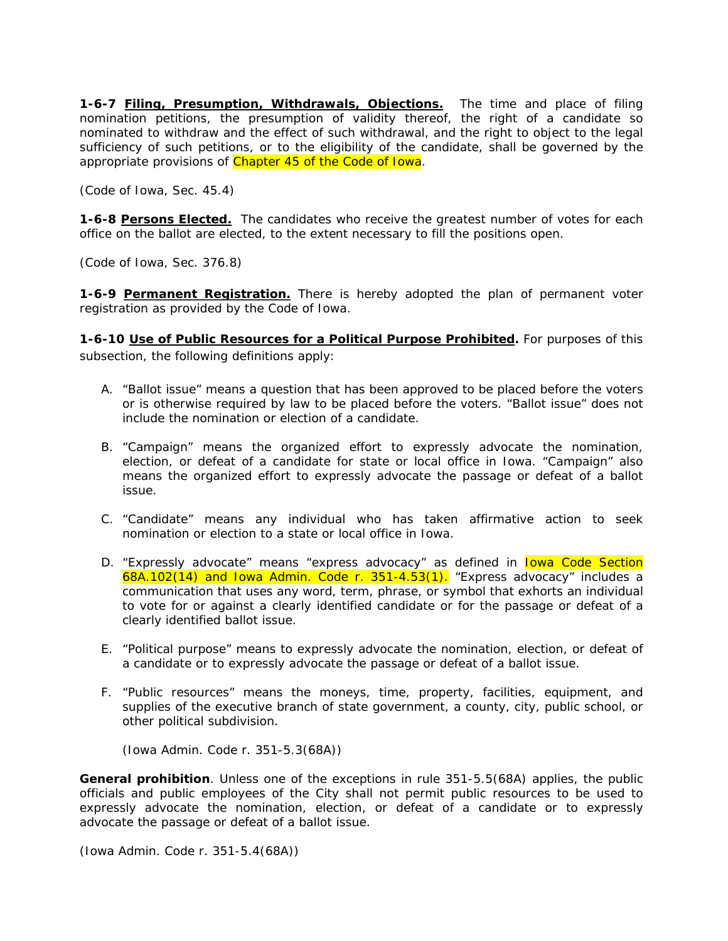**1-6-7 Filing, Presumption, Withdrawals, Objections.** The time and place of filing nomination petitions, the presumption of validity thereof, the right of a candidate so nominated to withdraw and the effect of such withdrawal, and the right to object to the legal sufficiency of such petitions, or to the eligibility of the candidate, shall be governed by the appropriate provisions of Chapter 45 of the Code of Iowa.

*(Code of Iowa, Sec. 45.4)* 

**1-6-8 Persons Elected.** The candidates who receive the greatest number of votes for each office on the ballot are elected, to the extent necessary to fill the positions open.

*(Code of Iowa, Sec. 376.8)* 

1-6-9 Permanent Registration. There is hereby adopted the plan of permanent voter registration as provided by the Code of Iowa.

**1-6-10 Use of Public Resources for a Political Purpose Prohibited.** For purposes of this subsection, the following definitions apply:

- A. *"Ballot issue"* means a question that has been approved to be placed before the voters or is otherwise required by law to be placed before the voters. "Ballot issue" does not include the nomination or election of a candidate.
- B. *"Campaign"* means the organized effort to expressly advocate the nomination, election, or defeat of a candidate for state or local office in Iowa. "Campaign" also means the organized effort to expressly advocate the passage or defeat of a ballot issue.
- C. *"Candidate"* means any individual who has taken affirmative action to seek nomination or election to a state or local office in Iowa.
- D. *"Expressly advocate"* means "express advocacy" as defined in Iowa Code Section  $68A.102(14)$  and Iowa Admin. Code r. 351-4.53(1). "Express advocacy" includes a communication that uses any word, term, phrase, or symbol that exhorts an individual to vote for or against a clearly identified candidate or for the passage or defeat of a clearly identified ballot issue.
- E. *"Political purpose"* means to expressly advocate the nomination, election, or defeat of a candidate or to expressly advocate the passage or defeat of a ballot issue.
- F. *"Public resources"* means the moneys, time, property, facilities, equipment, and supplies of the executive branch of state government, a county, city, public school, or other political subdivision.

*(Iowa Admin. Code r. 351-5.3(68A))* 

**General prohibition***.* Unless one of the exceptions in rule 351-5.5(68A) applies, the public officials and public employees of the City shall not permit public resources to be used to expressly advocate the nomination, election, or defeat of a candidate or to expressly advocate the passage or defeat of a ballot issue.

*(Iowa Admin. Code r. 351-5.4(68A))*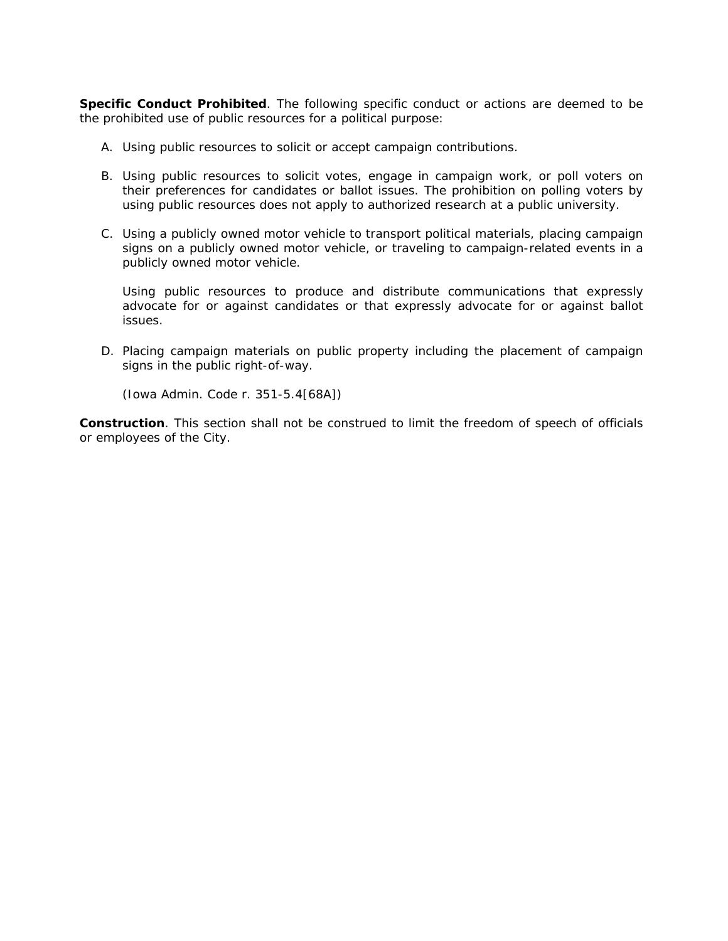**Specific Conduct Prohibited**. The following specific conduct or actions are deemed to be the prohibited use of public resources for a political purpose:

- A. Using public resources to solicit or accept campaign contributions.
- B. Using public resources to solicit votes, engage in campaign work, or poll voters on their preferences for candidates or ballot issues. The prohibition on polling voters by using public resources does not apply to authorized research at a public university.
- C. Using a publicly owned motor vehicle to transport political materials, placing campaign signs on a publicly owned motor vehicle, or traveling to campaign-related events in a publicly owned motor vehicle.

Using public resources to produce and distribute communications that expressly advocate for or against candidates or that expressly advocate for or against ballot issues.

D. Placing campaign materials on public property including the placement of campaign signs in the public right-of-way.

*(Iowa Admin. Code r. 351-5.4[68A])* 

**Construction**. This section shall not be construed to limit the freedom of speech of officials or employees of the City.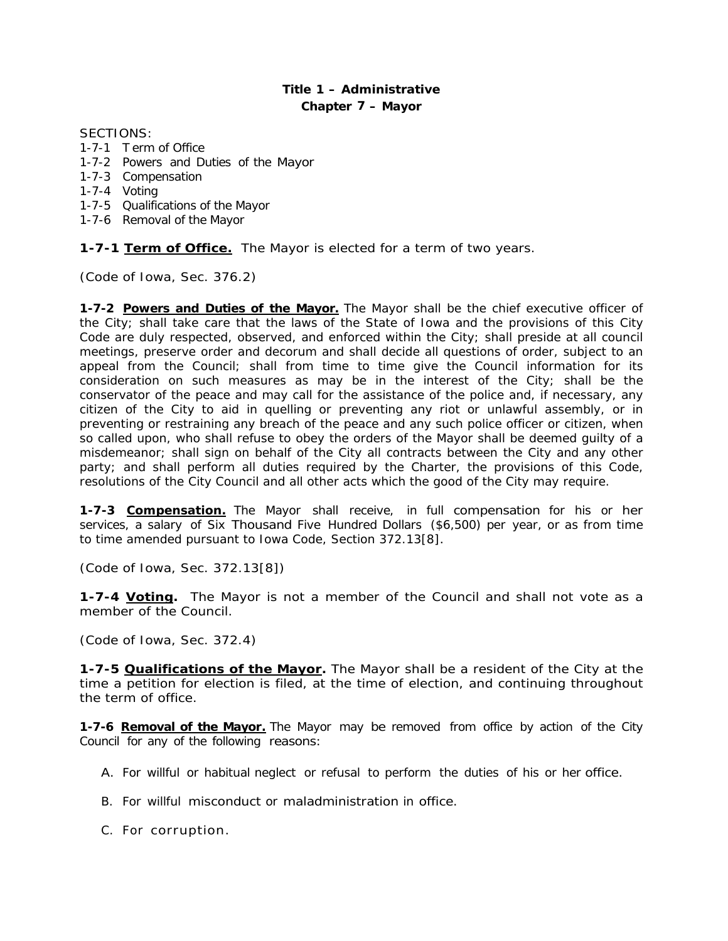# **Title 1 – Administrative Chapter** *7* **– Mayor**

#### SECTIONS:

- 1-7-1 T erm of Office
- 1-7-2 Powers and Duties of the Mayor
- 1-7-3 Compensation
- 1-7-4 Voting
- 1-7-5 Qualifications of the Mayor
- 1-7-6 Removal of the Mayor

**1-7-1 Term of Office.** The Mayor is elected for a term of two years.

*(Code of Iowa, Sec. 376.2)* 

**1-7-2 Powers and Duties of the Mayor.** The Mayor shall be the chief executive officer of the City; shall take care that the laws of the State of Iowa and the provisions of this City Code are duly respected, observed, and enforced within the City; shall preside at all council meetings, preserve order and decorum and shall decide all questions of order, subject to an appeal from the Council; shall from time to time give the Council information for its consideration on such measures as may be in the interest of the City; shall be the conservator of the peace and may call for the assistance of the police and, if necessary, any citizen of the City to aid in quelling or preventing any riot or unlawful assembly, or in preventing or restraining any breach of the peace and any such police officer or citizen, when so called upon, who shall refuse to obey the orders of the Mayor shall be deemed guilty of a misdemeanor; shall sign on behalf of the City all contracts between the City and any other party; and shall perform all duties required by the Charter, the provisions of this Code, resolutions of the City Council and all other acts which the good of the City may require.

**1-7-3 Compensation.** The Mayor shall receive, in full compensation for his or her services, a salary of Six Thousand Five Hundred Dollars (\$6,500) per year, or as from time to time amended pursuant to Iowa Code, Section 372.13[8].

*(Code of Iowa, Sec. 372.13[8])* 

**1-7-4 Voting.** The Mayor is not a member of the Council and shall not vote as a member of the Council.

*(Code of Iowa, Sec. 372.4)* 

**1-7-5 Qualifications of the Mayor.** The Mayor shall be a resident of the City at the time a petition for election is filed, at the time of election, and continuing throughout the term of office.

**1-7-6 Removal of the Mayor.** The Mayor may be removed from office by action of the City Council for any of the following reasons:

- A. For willful or habitual neglect or refusal to perform the duties of his or her office.
- B. For willful misconduct or maladministration in office.
- C. For corruption.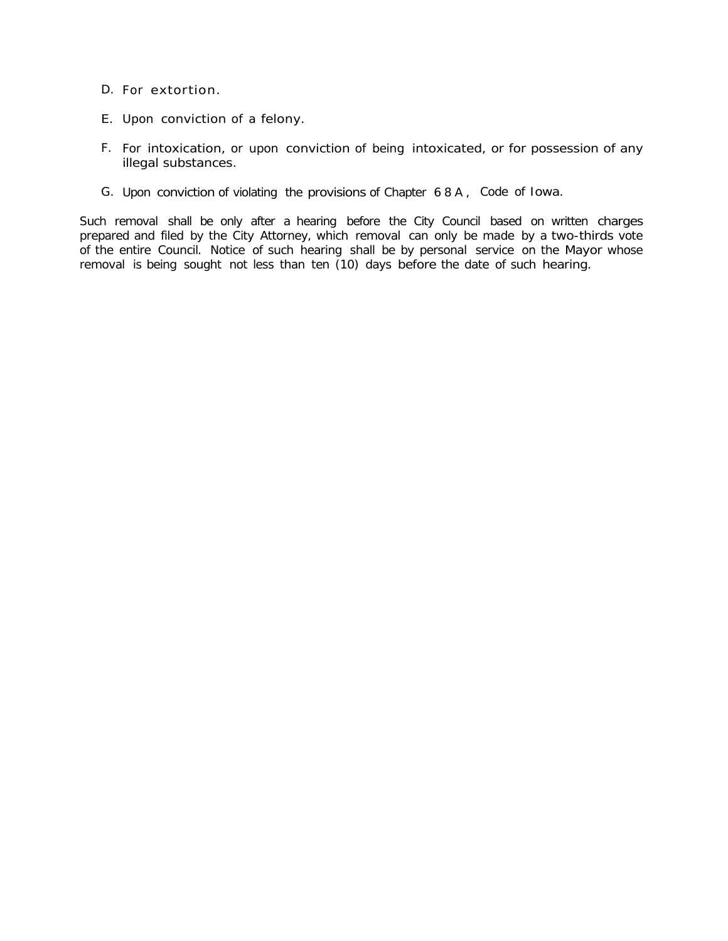- D. For extortion.
- E. Upon conviction of a felony.
- F. For intoxication, or upon conviction of being intoxicated, or for possession of any illegal substances.
- G. Upon conviction of violating the provisions of Chapter 6 8 A , Code of Iowa.

Such removal shall be only after a hearing before the City Council based on written charges prepared and filed by the City Attorney, which removal can only be made by a two-thirds vote of the entire Council. Notice of such hearing shall be by personal service on the Mayor whose removal is being sought not less than ten (10) days before the date of such hearing.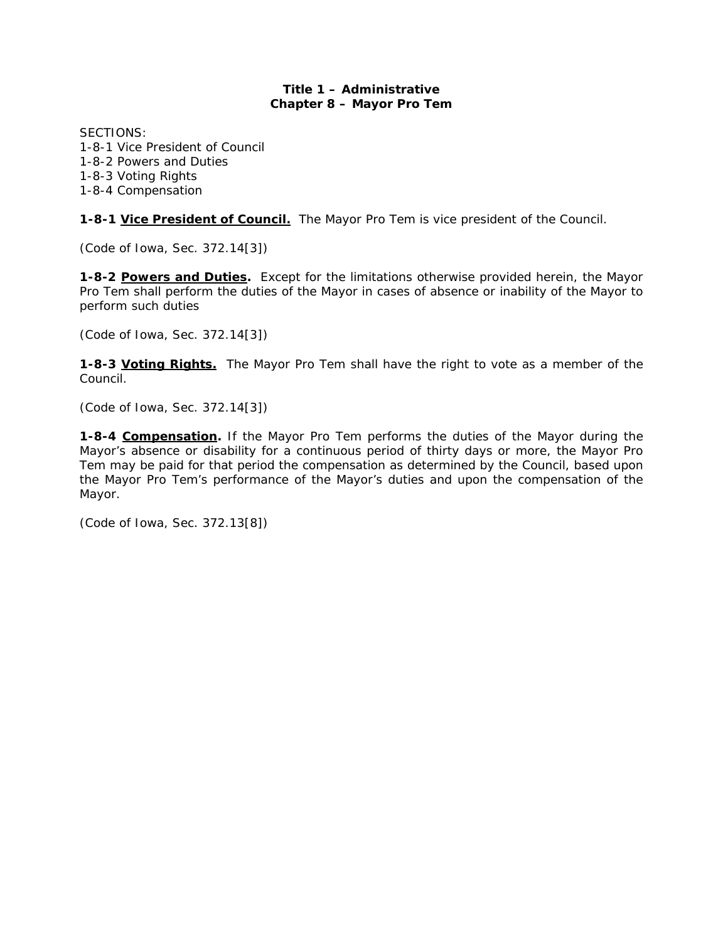# **Title 1 – Administrative Chapter 8 – Mayor Pro Tem**

SECTIONS: 1-8-1 Vice President of Council 1-8-2 Powers and Duties 1-8-3 Voting Rights 1-8-4 Compensation

**1-8-1 Vice President of Council.** The Mayor Pro Tem is vice president of the Council.

*(Code of Iowa, Sec. 372.14[3])* 

**1-8-2 Powers and Duties.** Except for the limitations otherwise provided herein, the Mayor Pro Tem shall perform the duties of the Mayor in cases of absence or inability of the Mayor to perform such duties

*(Code of Iowa, Sec. 372.14[3])* 

**1-8-3 Voting Rights.** The Mayor Pro Tem shall have the right to vote as a member of the Council.

*(Code of Iowa, Sec. 372.14[3])* 

**1-8-4 Compensation.** If the Mayor Pro Tem performs the duties of the Mayor during the Mayor's absence or disability for a continuous period of thirty days or more, the Mayor Pro Tem *may* be paid for that period the compensation as determined by the Council, based upon the Mayor Pro Tem's performance of the Mayor's duties and upon the compensation of the Mayor.

*(Code of Iowa, Sec. 372.13[8])*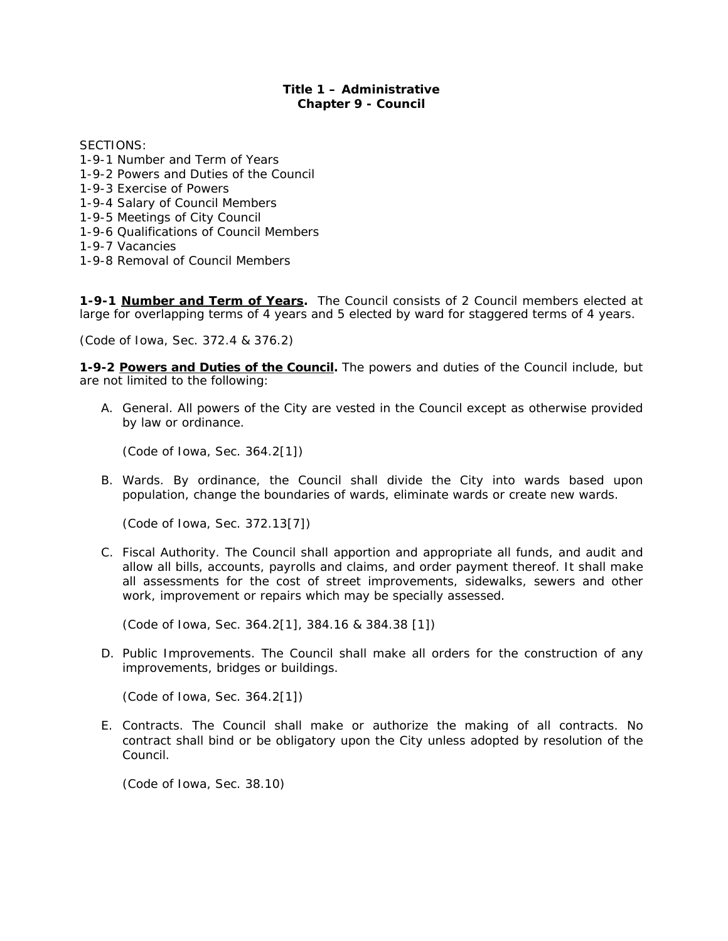# **Title 1 – Administrative Chapter 9 - Council**

SECTIONS:

- 1-9-1 Number and Term of Years 1-9-2 Powers and Duties of the Council 1-9-3 Exercise of Powers 1-9-4 Salary of Council Members 1-9-5 Meetings of City Council 1-9-6 Qualifications of Council Members 1-9-7 Vacancies
- 1-9-8 Removal of Council Members

**1-9-1 Number and Term of Years.** The Council consists of 2 Council members elected at large for overlapping terms of 4 years and 5 elected by ward for staggered terms of 4 years.

*(Code of Iowa, Sec. 372.4 & 376.2)* 

**1-9-2 Powers and Duties of the Council.** The powers and duties of the Council include, but are not limited to the following:

A. General. All powers of the City are vested in the Council except as otherwise provided by law or ordinance.

*(Code of Iowa, Sec. 364.2[1])* 

B. Wards. By ordinance, the Council shall divide the City into wards based upon population, change the boundaries of wards, eliminate wards or create new wards.

*(Code of Iowa, Sec. 372.13[7])* 

C. Fiscal Authority. The Council shall apportion and appropriate all funds, and audit and allow all bills, accounts, payrolls and claims, and order payment thereof. It shall make all assessments for the cost of street improvements, sidewalks, sewers and other work, improvement or repairs which may be specially assessed.

*(Code of Iowa, Sec. 364.2[1], 384.16 & 384.38 [1])* 

D. Public Improvements. The Council shall make all orders for the construction of any improvements, bridges or buildings.

*(Code of Iowa, Sec. 364.2[1])* 

E. Contracts. The Council shall make or authorize the making of all contracts. No contract shall bind or be obligatory upon the City unless adopted by resolution of the Council.

*(Code of Iowa, Sec. 38.10)*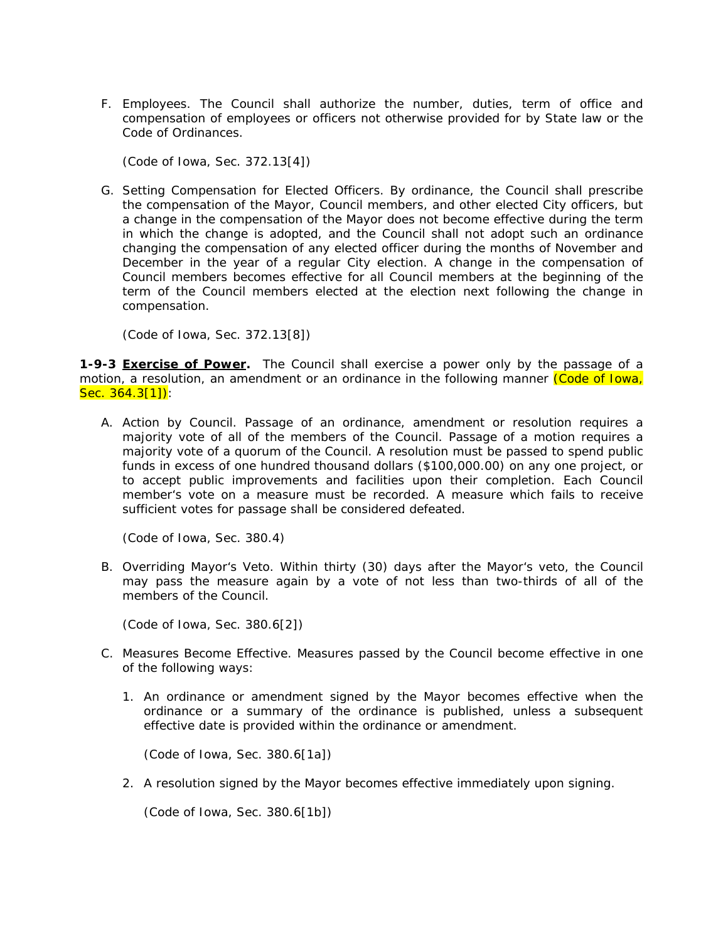F. Employees. The Council shall authorize the number, duties, term of office and compensation of employees or officers not otherwise provided for by State law or the Code of Ordinances.

*(Code of Iowa, Sec. 372.13[4])* 

G. Setting Compensation for Elected Officers. By ordinance, the Council shall prescribe the compensation of the Mayor, Council members, and other elected City officers, but a change in the compensation of the Mayor does not become effective during the term in which the change is adopted, and the Council shall not adopt such an ordinance changing the compensation of any elected officer during the months of November and December in the year of a regular City election. A change in the compensation of Council members becomes effective for all Council members at the beginning of the term of the Council members elected at the election next following the change in compensation.

*(Code of Iowa, Sec. 372.13[8])* 

**1-9-3 Exercise of Power.** The Council shall exercise a power only by the passage of a motion, a resolution, an amendment or an ordinance in the following manner *(Code of Iowa, Sec. 364.3[1])*:

A. Action by Council. Passage of an ordinance, amendment or resolution requires a majority vote of all of the members of the Council. Passage of a motion requires a majority vote of a quorum of the Council. A resolution must be passed to spend public funds in excess of one hundred thousand dollars (\$100,000.00) on any one project, or to accept public improvements and facilities upon their completion. Each Council member's vote on a measure must be recorded. A measure which fails to receive sufficient votes for passage shall be considered defeated.

*(Code of Iowa, Sec. 380.4)* 

B. Overriding Mayor's Veto. Within thirty (30) days after the Mayor's veto, the Council may pass the measure again by a vote of not less than two-thirds of all of the members of the Council.

*(Code of Iowa, Sec. 380.6[2])* 

- C. Measures Become Effective. Measures passed by the Council become effective in one of the following ways:
	- 1. An ordinance or amendment signed by the Mayor becomes effective when the ordinance or a summary of the ordinance is published, unless a subsequent effective date is provided within the ordinance or amendment.

 *(Code of Iowa, Sec. 380.6[1a])* 

2. A resolution signed by the Mayor becomes effective immediately upon signing.

*(Code of Iowa, Sec. 380.6[1b])*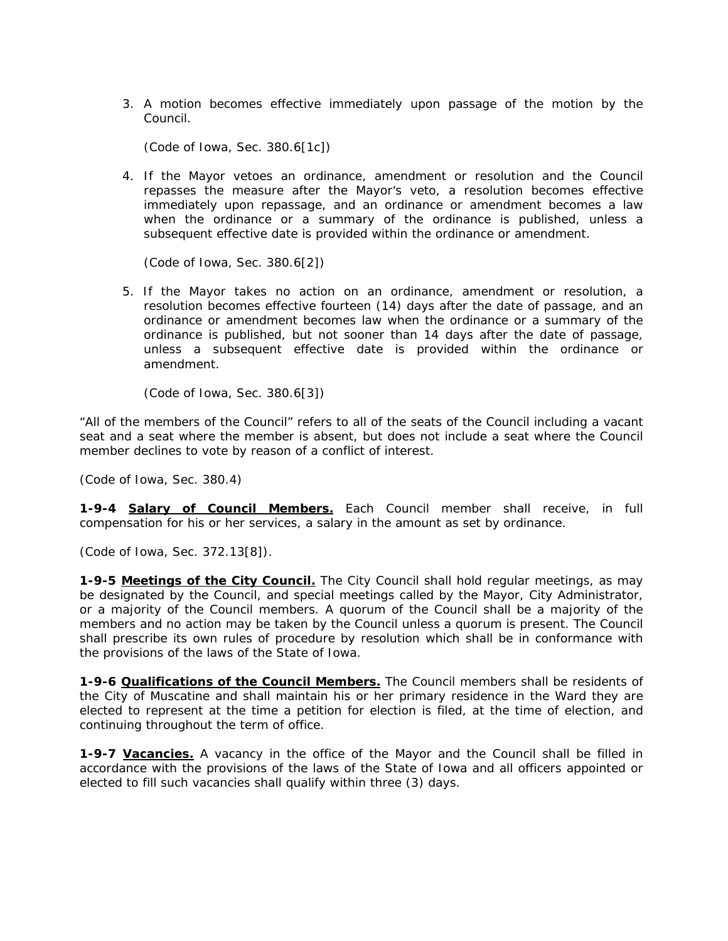3. A motion becomes effective immediately upon passage of the motion by the Council.

 *(Code of Iowa, Sec. 380.6[1c])* 

4. If the Mayor vetoes an ordinance, amendment or resolution and the Council repasses the measure after the Mayor's veto, a resolution becomes effective immediately upon repassage, and an ordinance or amendment becomes a law when the ordinance or a summary of the ordinance is published, unless a subsequent effective date is provided within the ordinance or amendment.

 *(Code of Iowa, Sec. 380.6[2])* 

5. If the Mayor takes no action on an ordinance, amendment or resolution, a resolution becomes effective fourteen (14) days after the date of passage, and an ordinance or amendment becomes law when the ordinance or a summary of the ordinance is published, but not sooner than 14 days after the date of passage, unless a subsequent effective date is provided within the ordinance or amendment.

 *(Code of Iowa, Sec. 380.6[3])* 

"All of the members of the Council" refers to all of the seats of the Council including a vacant seat and a seat where the member is absent, but does not include a seat where the Council member declines to vote by reason of a conflict of interest.

*(Code of Iowa, Sec. 380.4)* 

**1-9-4 Salary of Council Members.** Each Council member shall receive, in full compensation for his or her services, a salary in the amount as set by ordinance.

*(Code of Iowa, Sec. 372.13[8]).* 

**1-9-5 Meetings of the City Council.** The City Council shall hold regular meetings, as may be designated by the Council, and special meetings called by the Mayor, City Administrator, or a majority of the Council members. A quorum of the Council shall be a majority of the members and no action may be taken by the Council unless a quorum is present. The Council shall prescribe its own rules of procedure by resolution which shall be in conformance with the provisions of the laws of the State of Iowa.

**1-9-6 Qualifications of the Council Members.** The Council members shall be residents of the City of Muscatine and shall maintain his or her primary residence in the Ward they are elected to represent at the time a petition for election is filed, at the time of election, and continuing throughout the term of office.

**1-9-7 Vacancies.** A vacancy in the office of the Mayor and the Council shall be filled in accordance with the provisions of the laws of the State of Iowa and all officers appointed or elected to fill such vacancies shall qualify within three (3) days.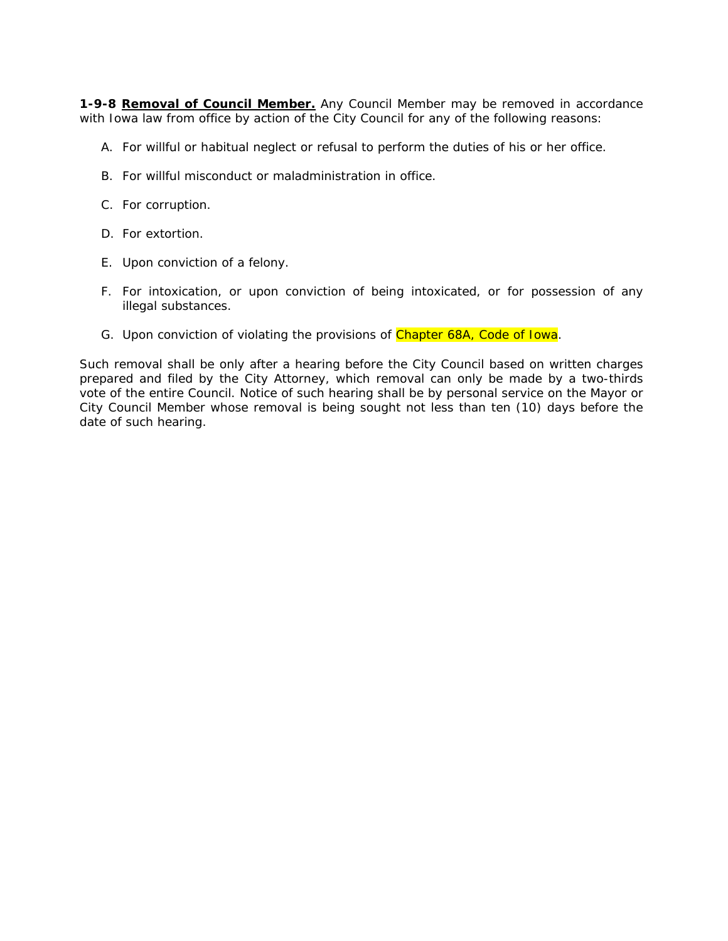**1-9-8 Removal of Council Member.** Any Council Member may be removed in accordance with Iowa law from office by action of the City Council for any of the following reasons:

- A. For willful or habitual neglect or refusal to perform the duties of his or her office.
- B. For willful misconduct or maladministration in office.
- C. For corruption.
- D. For extortion.
- E. Upon conviction of a felony.
- F. For intoxication, or upon conviction of being intoxicated, or for possession of any illegal substances.
- G. Upon conviction of violating the provisions of Chapter 68A, Code of Iowa.

Such removal shall be only after a hearing before the City Council based on written charges prepared and filed by the City Attorney, which removal can only be made by a two-thirds vote of the entire Council. Notice of such hearing shall be by personal service on the Mayor or City Council Member whose removal is being sought not less than ten (10) days before the date of such hearing.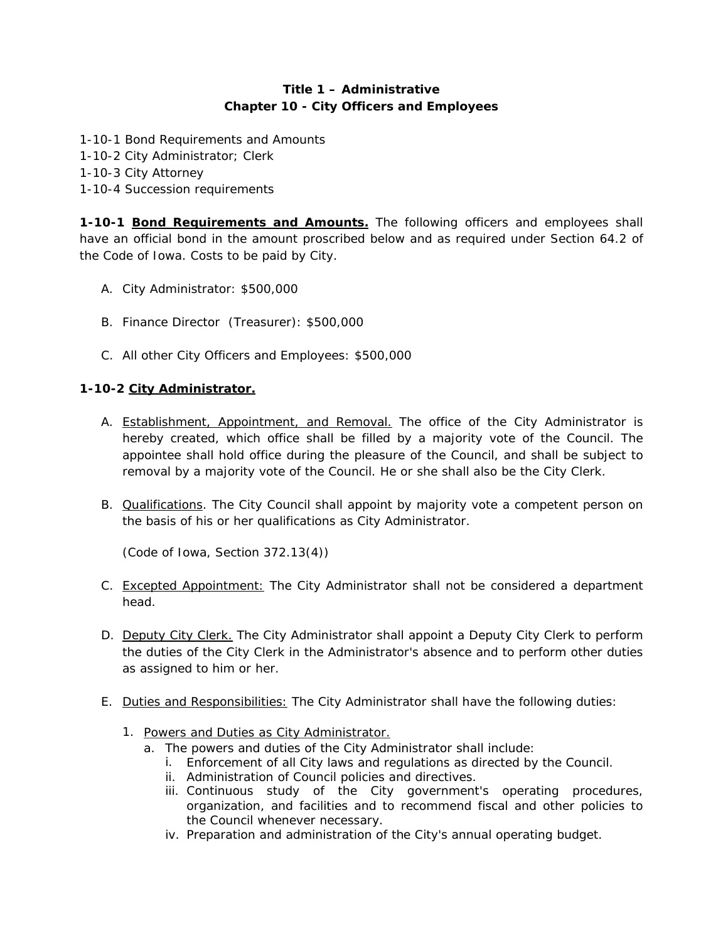# **Title 1 – Administrative Chapter 10 - City Officers and Employees**

- 1-10-1 Bond Requirements and Amounts
- 1-10-2 City Administrator; Clerk
- 1-10-3 City Attorney
- 1-10-4 Succession requirements

**1-10-1 Bond Requirements and Amounts.** The following officers and employees shall have an official bond in the amount proscribed below and as required under Section 64.2 of the Code of Iowa. Costs to be paid by City.

- A. City Administrator: \$500,000
- B. Finance Director (Treasurer): \$500,000
- C. All other City Officers and Employees: \$500,000

# **1-10-2 City Administrator.**

- A. Establishment, Appointment, and Removal. The office of the City Administrator is hereby created, which office shall be filled by a majority vote of the Council. The appointee shall hold office during the pleasure of the Council, and shall be subject to removal by a majority vote of the Council. He or she shall also be the City Clerk.
- B. Qualifications. The City Council shall appoint by majority vote a competent person on the basis of his or her qualifications as City Administrator.

*(Code of Iowa, Section 372.13(4))* 

- C. Excepted Appointment: The City Administrator shall not be considered a department head.
- D. Deputy City Clerk. The City Administrator shall appoint a Deputy City Clerk to perform the duties of the City Clerk in the Administrator's absence and to perform other duties as assigned to him or her.
- E. Duties and Responsibilities: The City Administrator shall have the following duties:
	- 1. Powers and Duties as City Administrator.
		- a. The powers and duties of the City Administrator shall include:
			- i. Enforcement of all City laws and regulations as directed by the Council.
			- ii. Administration of Council policies and directives.
			- iii. Continuous study of the City government's operating procedures, organization, and facilities and to recommend fiscal and other policies to the Council whenever necessary.
			- iv. Preparation and administration of the City's annual operating budget.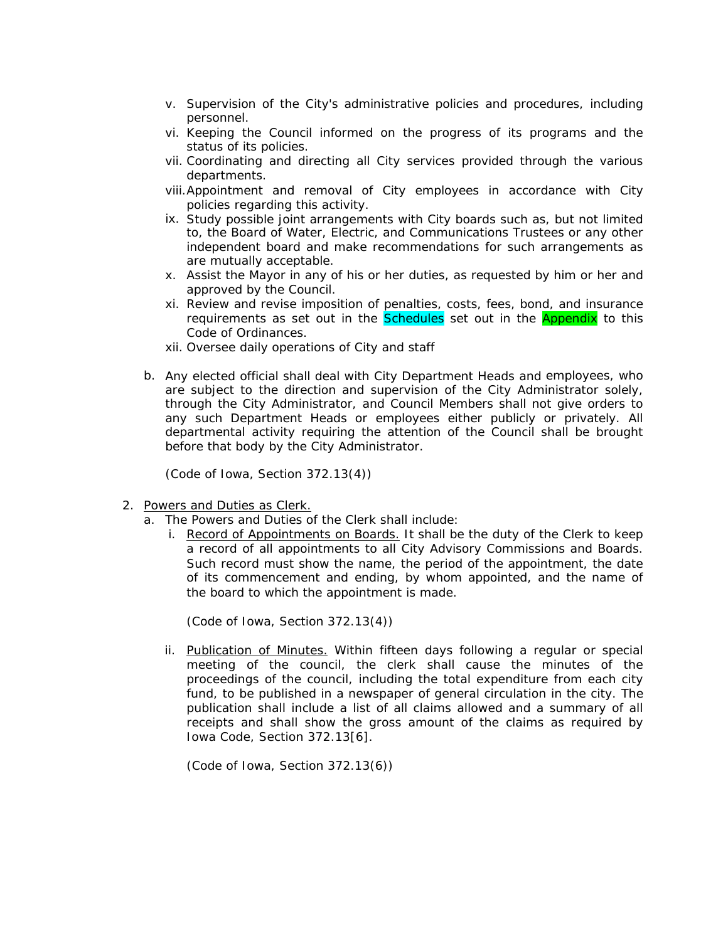- v. Supervision of the City's administrative policies and procedures, including personnel.
- vi. Keeping the Council informed on the progress of its programs and the status of its policies.
- vii. Coordinating and directing all City services provided through the various departments.
- viii.Appointment and removal of City employees in accordance with City policies regarding this activity.
- ix. Study possible joint arrangements with City boards such as, but not limited to, the Board of Water, Electric, and Communications Trustees or any other independent board and make recommendations for such arrangements as are mutually acceptable.
- x. Assist the Mayor in any of his or her duties, as requested by him or her and approved by the Council.
- xi. Review and revise imposition of penalties, costs, fees, bond, and insurance requirements as set out in the **Schedules** set out in the **Appendix** to this Code of Ordinances.
- xii. Oversee daily operations of City and staff
- b. Any elected official shall deal with City Department Heads and employees, who are subject to the direction and supervision of the City Administrator solely, through the City Administrator, and Council Members shall not give orders to any such Department Heads or employees either publicly or privately. All departmental activity requiring the attention of the Council shall be brought before that body by the City Administrator.

*(Code of Iowa, Section 372.13(4))* 

- 2. Powers and Duties as Clerk.
	- a. The Powers and Duties of the Clerk shall include:
		- i. Record of Appointments on Boards. It shall be the duty of the Clerk to keep a record of all appointments to all City Advisory Commissions and Boards. Such record must show the name, the period of the appointment, the date of its commencement and ending, by whom appointed, and the name of the board to which the appointment is made.

*(Code of Iowa, Section 372.13(4))* 

ii. Publication of Minutes. Within fifteen days following a regular or special meeting of the council, the clerk shall cause the minutes of the proceedings of the council, including the total expenditure from each city fund, to be published in a newspaper of general circulation in the city. The publication shall include a list of all claims allowed and a summary of all receipts and shall show the gross amount of the claims as required by Iowa Code, Section 372.13[6].

*(Code of Iowa, Section 372.13(6))*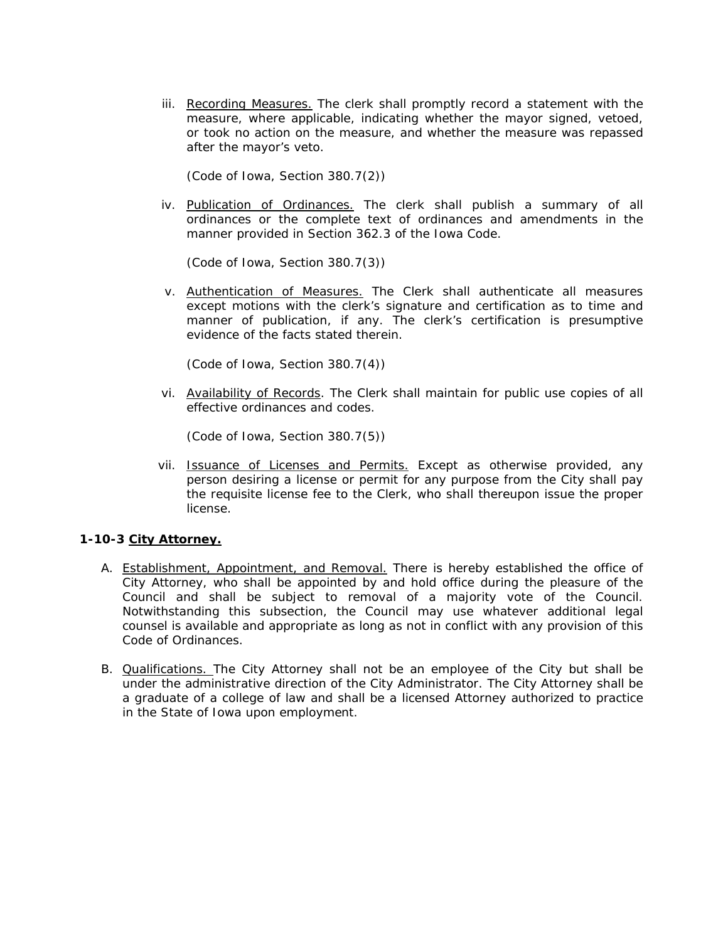iii. Recording Measures. The clerk shall promptly record a statement with the measure, where applicable, indicating whether the mayor signed, vetoed, or took no action on the measure, and whether the measure was repassed after the mayor's veto.

*(Code of Iowa, Section 380.7(2))* 

iv. Publication of Ordinances. The clerk shall publish a summary of all ordinances or the complete text of ordinances and amendments in the manner provided in Section 362.3 of the Iowa Code.

*(Code of Iowa, Section 380.7(3))* 

v. Authentication of Measures. The Clerk shall authenticate all measures except motions with the clerk's signature and certification as to time and manner of publication, if any. The clerk's certification is presumptive evidence of the facts stated therein.

*(Code of Iowa, Section 380.7(4))* 

vi. Availability of Records. The Clerk shall maintain for public use copies of all effective ordinances and codes.

*(Code of Iowa, Section 380.7(5))* 

vii. Issuance of Licenses and Permits. Except as otherwise provided, any person desiring a license or permit for any purpose from the City shall pay the requisite license fee to the Clerk, who shall thereupon issue the proper license.

# **1-10-3 City Attorney.**

- A. Establishment, Appointment, and Removal. There is hereby established the office of City Attorney, who shall be appointed by and hold office during the pleasure of the Council and shall be subject to removal of a majority vote of the Council. Notwithstanding this subsection, the Council may use whatever additional legal counsel is available and appropriate as long as not in conflict with any provision of this Code of Ordinances.
- B. Qualifications. The City Attorney shall not be an employee of the City but shall be under the administrative direction of the City Administrator. The City Attorney shall be a graduate of a college of law and shall be a licensed Attorney authorized to practice in the State of Iowa upon employment.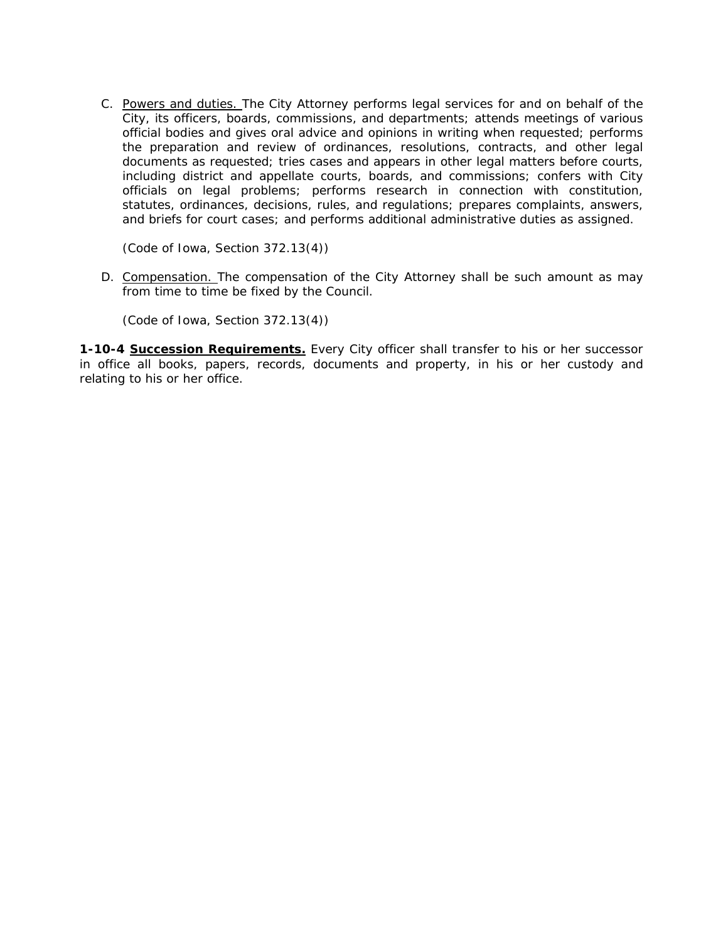C. Powers and duties. The City Attorney performs legal services for and on behalf of the City, its officers, boards, commissions, and departments; attends meetings of various official bodies and gives oral advice and opinions in writing when requested; performs the preparation and review of ordinances, resolutions, contracts, and other legal documents as requested; tries cases and appears in other legal matters before courts, including district and appellate courts, boards, and commissions; confers with City officials on legal problems; performs research in connection with constitution, statutes, ordinances, decisions, rules, and regulations; prepares complaints, answers, and briefs for court cases; and performs additional administrative duties as assigned.

*(Code of Iowa, Section 372.13(4))* 

D. Compensation. The compensation of the City Attorney shall be such amount as may from time to time be fixed by the Council.

*(Code of Iowa, Section 372.13(4))* 

**1-10-4 Succession Requirements.** Every City officer shall transfer to his or her successor in office all books, papers, records, documents and property, in his or her custody and relating to his or her office.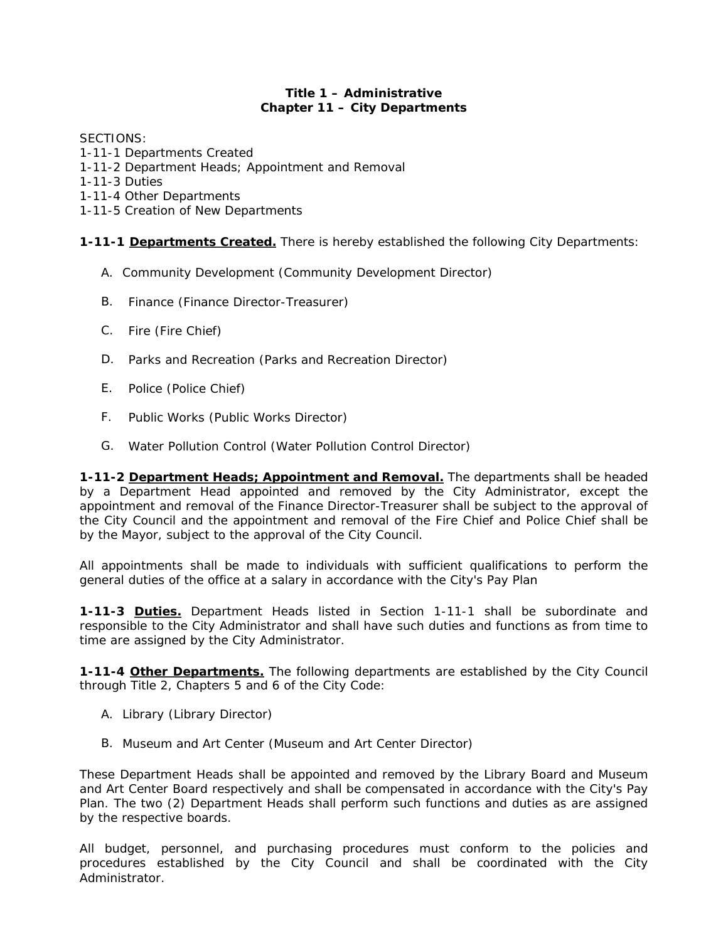# **Title 1 – Administrative Chapter 11 – City Departments**

SECTIONS:

- 1-11-1 Departments Created
- 1-11-2 Department Heads; Appointment and Removal
- 1-11-3 Duties
- 1-11-4 Other Departments
- 1-11-5 Creation of New Departments

**1-11-1 Departments Created.** There is hereby established the following City Departments:

- A. Community Development (Community Development Director)
- B. Finance (Finance Director-Treasurer)
- C. Fire (Fire Chief)
- D. Parks and Recreation (Parks and Recreation Director)
- E. Police (Police Chief)
- F. Public Works (Public Works Director)
- G. Water Pollution Control (Water Pollution Control Director)

**1-11-2 Department Heads; Appointment and Removal.** The departments shall be headed by a Department Head appointed and removed by the City Administrator, except the appointment and removal of the Finance Director-Treasurer shall be subject to the approval of the City Council and the appointment and removal of the Fire Chief and Police Chief shall be by the Mayor, subject to the approval of the City Council.

All appointments shall be made to individuals with sufficient qualifications to perform the general duties of the office at a salary in accordance with the City's Pay Plan

**1-11-3 Duties.** Department Heads listed in Section 1-11-1 shall be subordinate and responsible to the City Administrator and shall have such duties and functions as from time to time are assigned by the City Administrator.

**1-11-4 Other Departments.** The following departments are established by the City Council through Title 2, Chapters 5 and 6 of the City Code:

- A. Library (Library Director)
- B. Museum and Art Center (Museum and Art Center Director)

These Department Heads shall be appointed and removed by the Library Board and Museum and Art Center Board respectively and shall be compensated in accordance with the City's Pay Plan. The two (2) Department Heads shall perform such functions and duties as are assigned by the respective boards.

All budget, personnel, and purchasing procedures must conform to the policies and procedures established by the City Council and shall be coordinated with the City Administrator.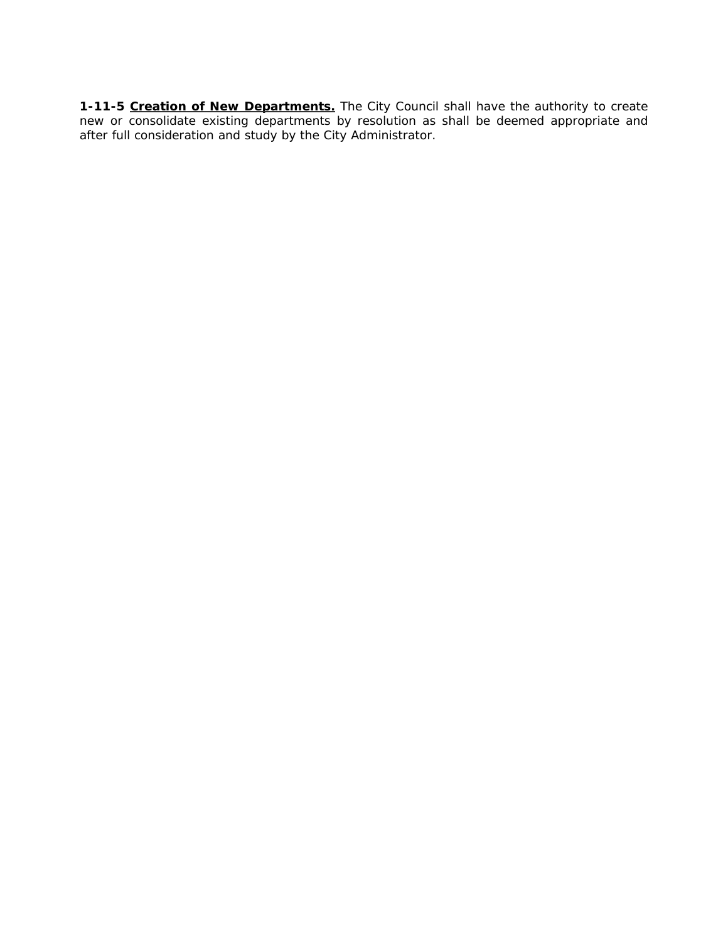**1-11-5 Creation of New Departments.** The City Council shall have the authority to create new or consolidate existing departments by resolution as shall be deemed appropriate and after full consideration and study by the City Administrator.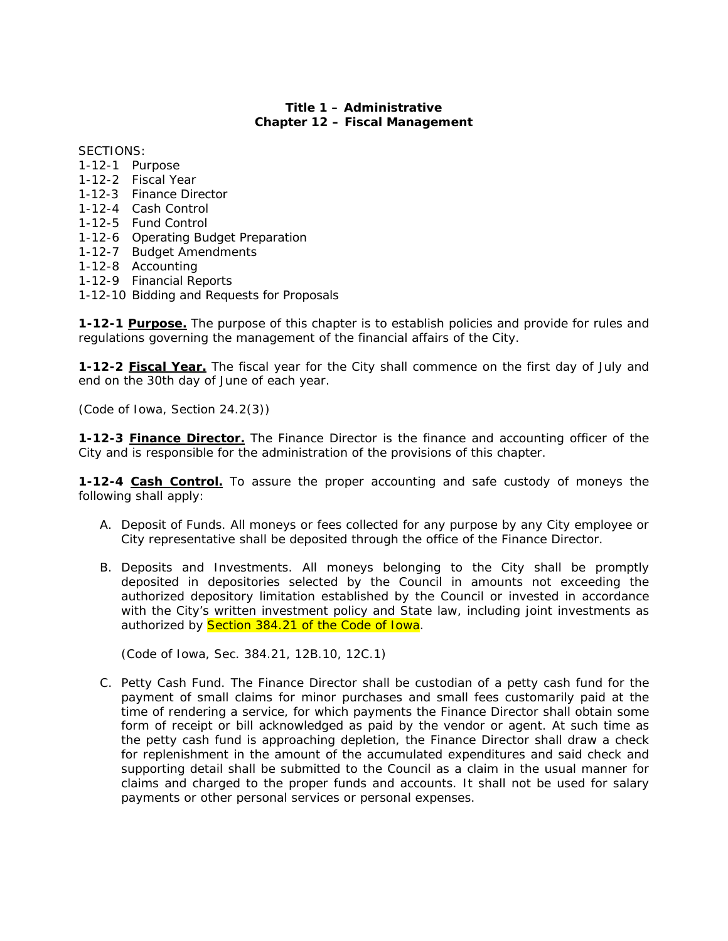# **Title 1 – Administrative Chapter 12 – Fiscal Management**

SECTIONS:

- 1-12-1 Purpose
- 1-12-2 Fiscal Year
- 1-12-3 Finance Director
- 1-12-4 Cash Control
- 1-12-5 Fund Control
- 1-12-6 Operating Budget Preparation
- 1-12-7 Budget Amendments
- 1-12-8 Accounting
- 1-12-9 Financial Reports
- 1-12-10 Bidding and Requests for Proposals

**1-12-1 Purpose.** The purpose of this chapter is to establish policies and provide for rules and regulations governing the management of the financial affairs of the City.

**1-12-2 Fiscal Year.** The fiscal year for the City shall commence on the first day of July and end on the 30th day of June of each year.

*(Code of Iowa, Section 24.2(3))* 

**1-12-3 Finance Director.** The Finance Director is the finance and accounting officer of the City and is responsible for the administration of the provisions of this chapter.

**1-12-4 Cash Control.** To assure the proper accounting and safe custody of moneys the following shall apply:

- A. Deposit of Funds. All moneys or fees collected for any purpose by any City employee or City representative shall be deposited through the office of the Finance Director.
- B. Deposits and Investments. All moneys belonging to the City shall be promptly deposited in depositories selected by the Council in amounts not exceeding the authorized depository limitation established by the Council or invested in accordance with the City's written investment policy and State law, including joint investments as authorized by **Section 384.21 of the Code of Iowa**.

*(Code of Iowa, Sec. 384.21, 12B.10, 12C.1)* 

C. Petty Cash Fund. The Finance Director shall be custodian of a petty cash fund for the payment of small claims for minor purchases and small fees customarily paid at the time of rendering a service, for which payments the Finance Director shall obtain some form of receipt or bill acknowledged as paid by the vendor or agent. At such time as the petty cash fund is approaching depletion, the Finance Director shall draw a check for replenishment in the amount of the accumulated expenditures and said check and supporting detail shall be submitted to the Council as a claim in the usual manner for claims and charged to the proper funds and accounts. It shall not be used for salary payments or other personal services or personal expenses.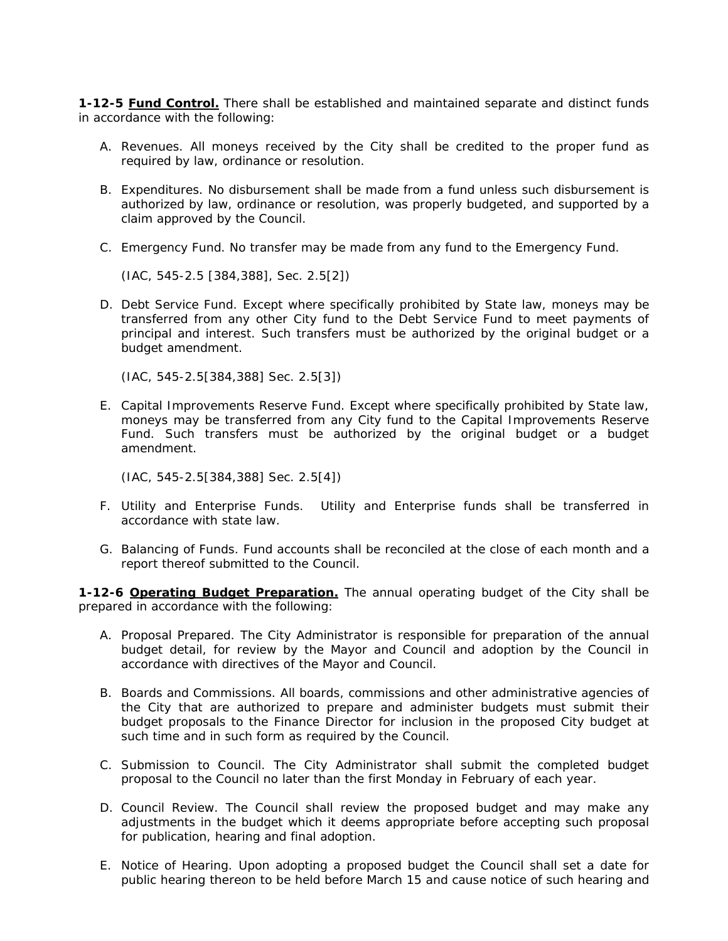**1-12-5 Fund Control.** There shall be established and maintained separate and distinct funds in accordance with the following:

- A. Revenues. All moneys received by the City shall be credited to the proper fund as required by law, ordinance or resolution.
- B. Expenditures. No disbursement shall be made from a fund unless such disbursement is authorized by law, ordinance or resolution, was properly budgeted, and supported by a claim approved by the Council.
- C. Emergency Fund. No transfer may be made from any fund to the Emergency Fund.

*(IAC, 545-2.5 [384,388], Sec. 2.5[2])* 

D. Debt Service Fund. Except where specifically prohibited by State law, moneys may be transferred from any other City fund to the Debt Service Fund to meet payments of principal and interest. Such transfers must be authorized by the original budget or a budget amendment.

*(IAC, 545-2.5[384,388] Sec. 2.5[3])* 

E. Capital Improvements Reserve Fund. Except where specifically prohibited by State law, moneys may be transferred from any City fund to the Capital Improvements Reserve Fund. Such transfers must be authorized by the original budget or a budget amendment.

*(IAC, 545-2.5[384,388] Sec. 2.5[4])* 

- F. Utility and Enterprise Funds. Utility and Enterprise funds shall be transferred in accordance with state law.
- G. Balancing of Funds. Fund accounts shall be reconciled at the close of each month and a report thereof submitted to the Council.

**1-12-6 Operating Budget Preparation.** The annual operating budget of the City shall be prepared in accordance with the following:

- A. Proposal Prepared. The City Administrator is responsible for preparation of the annual budget detail, for review by the Mayor and Council and adoption by the Council in accordance with directives of the Mayor and Council.
- B. Boards and Commissions. All boards, commissions and other administrative agencies of the City that are authorized to prepare and administer budgets must submit their budget proposals to the Finance Director for inclusion in the proposed City budget at such time and in such form as required by the Council.
- C. Submission to Council. The City Administrator shall submit the completed budget proposal to the Council no later than the first Monday in February of each year.
- D. Council Review. The Council shall review the proposed budget and may make any adjustments in the budget which it deems appropriate before accepting such proposal for publication, hearing and final adoption.
- E. Notice of Hearing. Upon adopting a proposed budget the Council shall set a date for public hearing thereon to be held before March 15 and cause notice of such hearing and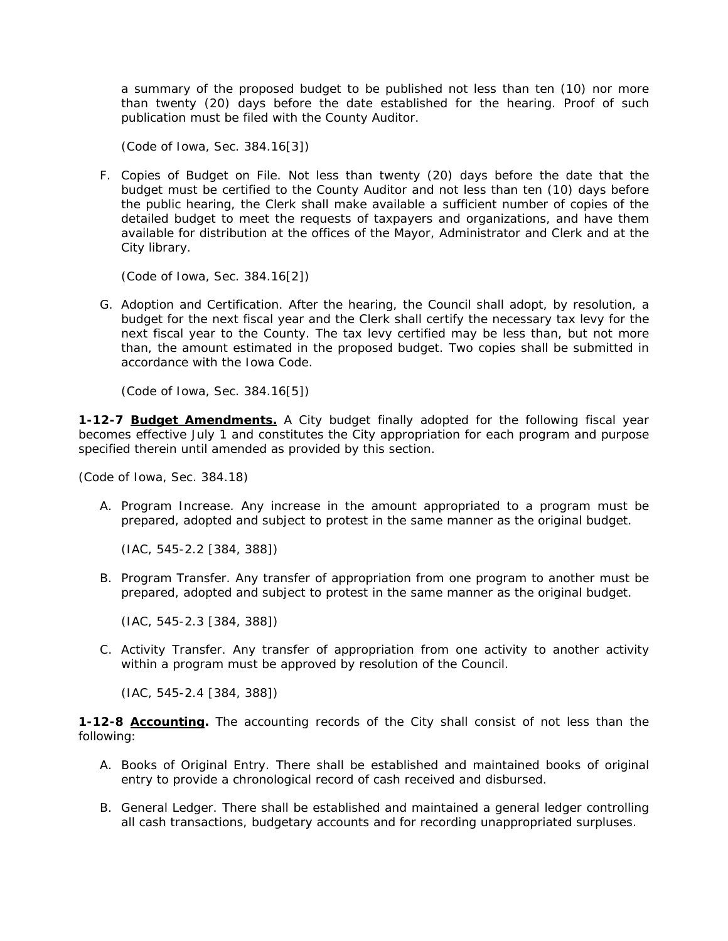a summary of the proposed budget to be published not less than ten (10) nor more than twenty (20) days before the date established for the hearing. Proof of such publication must be filed with the County Auditor.

*(Code of Iowa, Sec. 384.16[3])* 

F. Copies of Budget on File. Not less than twenty (20) days before the date that the budget must be certified to the County Auditor and not less than ten (10) days before the public hearing, the Clerk shall make available a sufficient number of copies of the detailed budget to meet the requests of taxpayers and organizations, and have them available for distribution at the offices of the Mayor, Administrator and Clerk and at the City library.

*(Code of Iowa, Sec. 384.16[2])* 

G. Adoption and Certification. After the hearing, the Council shall adopt, by resolution, a budget for the next fiscal year and the Clerk shall certify the necessary tax levy for the next fiscal year to the County. The tax levy certified may be less than, but not more than, the amount estimated in the proposed budget. Two copies shall be submitted in accordance with the Iowa Code.

*(Code of Iowa, Sec. 384.16[5])* 

**1-12-7 Budget Amendments.** A City budget finally adopted for the following fiscal year becomes effective July 1 and constitutes the City appropriation for each program and purpose specified therein until amended as provided by this section.

*(Code of Iowa, Sec. 384.18)* 

A. Program Increase. Any increase in the amount appropriated to a program must be prepared, adopted and subject to protest in the same manner as the original budget.

*(IAC, 545-2.2 [384, 388])* 

B. Program Transfer. Any transfer of appropriation from one program to another must be prepared, adopted and subject to protest in the same manner as the original budget.

*(IAC, 545-2.3 [384, 388])* 

C. Activity Transfer. Any transfer of appropriation from one activity to another activity within a program must be approved by resolution of the Council.

*(IAC, 545-2.4 [384, 388])* 

**1-12-8 Accounting.** The accounting records of the City shall consist of not less than the following:

- A. Books of Original Entry. There shall be established and maintained books of original entry to provide a chronological record of cash received and disbursed.
- B. General Ledger. There shall be established and maintained a general ledger controlling all cash transactions, budgetary accounts and for recording unappropriated surpluses.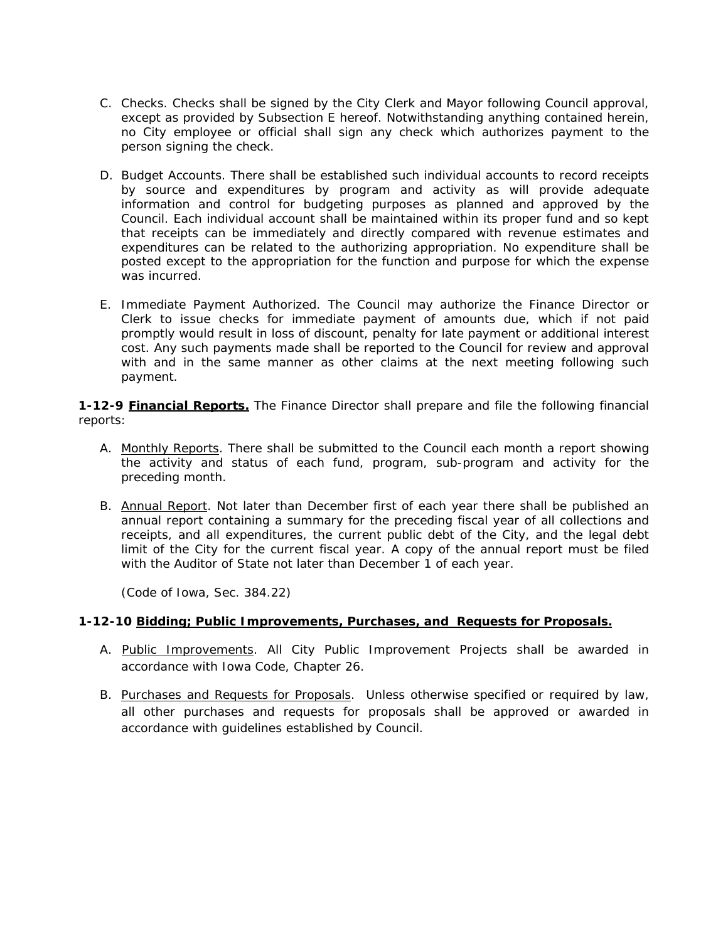- C. Checks. Checks shall be signed by the City Clerk and Mayor following Council approval, except as provided by Subsection E hereof. Notwithstanding anything contained herein, no City employee or official shall sign any check which authorizes payment to the person signing the check.
- D. Budget Accounts. There shall be established such individual accounts to record receipts by source and expenditures by program and activity as will provide adequate information and control for budgeting purposes as planned and approved by the Council. Each individual account shall be maintained within its proper fund and so kept that receipts can be immediately and directly compared with revenue estimates and expenditures can be related to the authorizing appropriation. No expenditure shall be posted except to the appropriation for the function and purpose for which the expense was incurred.
- E. Immediate Payment Authorized. The Council may authorize the Finance Director or Clerk to issue checks for immediate payment of amounts due, which if not paid promptly would result in loss of discount, penalty for late payment or additional interest cost. Any such payments made shall be reported to the Council for review and approval with and in the same manner as other claims at the next meeting following such payment.

**1-12-9 Financial Reports.** The Finance Director shall prepare and file the following financial reports:

- A. Monthly Reports. There shall be submitted to the Council each month a report showing the activity and status of each fund, program, sub-program and activity for the preceding month.
- B. Annual Report. Not later than December first of each year there shall be published an annual report containing a summary for the preceding fiscal year of all collections and receipts, and all expenditures, the current public debt of the City, and the legal debt limit of the City for the current fiscal year. A copy of the annual report must be filed with the Auditor of State not later than December 1 of each year.

*(Code of Iowa, Sec. 384.22)* 

### **1-12-10 Bidding; Public Improvements, Purchases, and Requests for Proposals.**

- A. Public Improvements. All City Public Improvement Projects shall be awarded in accordance with Iowa Code, Chapter 26.
- B. Purchases and Requests for Proposals. Unless otherwise specified or required by law, all other purchases and requests for proposals shall be approved or awarded in accordance with guidelines established by Council.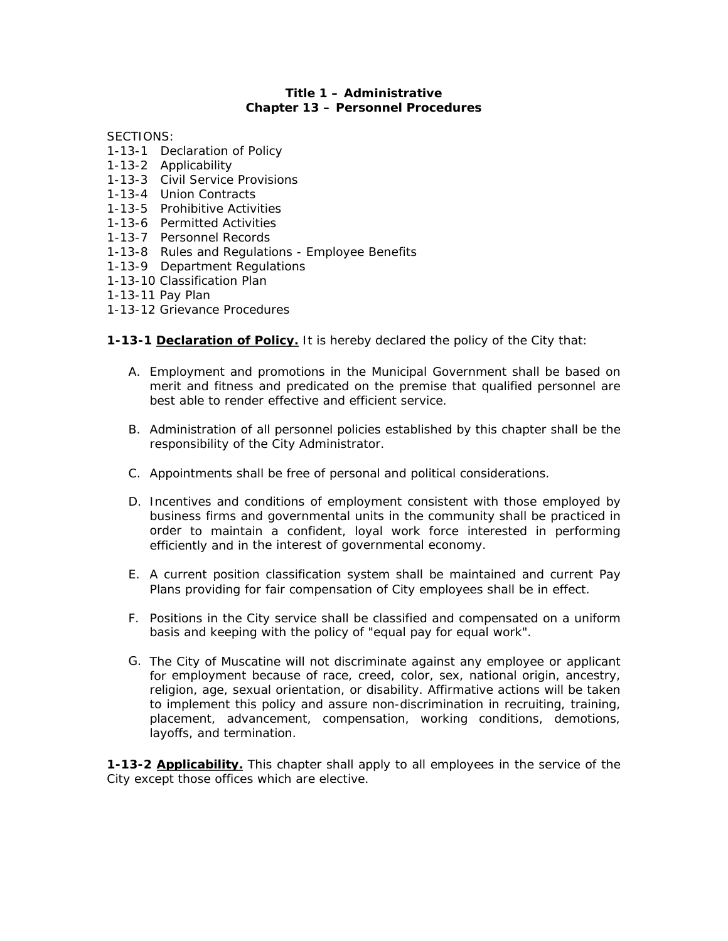#### **Title 1 – Administrative Chapter 13 – Personnel Procedures**

SECTIONS:

- 1-13-1 Declaration of Policy
- 1-13-2 Applicability
- 1-13-3 Civil Service Provisions
- 1-13-4 Union Contracts
- 1-13-5 Prohibitive Activities
- 1-13-6 Permitted Activities
- 1-13-7 Personnel Records
- 1-13-8 Rules and Regulations Employee Benefits
- 1-13-9 Department Regulations
- 1-13-10 Classification Plan
- 1-13-11 Pay Plan
- 1-13-12 Grievance Procedures

**1-13-1 Declaration of Policy.** It is hereby declared the policy of the City that:

- A. Employment and promotions in the Municipal Government shall be based on merit and fitness and predicated on the premise that qualified personnel are best able to render effective and efficient service.
- B. Administration of all personnel policies established by this chapter shall be the responsibility of the City Administrator.
- C. Appointments shall be free of personal and political considerations.
- D. Incentives and conditions of employment consistent with those employed by business firms and governmental units in the community shall be practiced in order to maintain a confident, loyal work force interested in performing efficiently and in the interest of governmental economy.
- E. A current position classification system shall be maintained and current Pay Plans providing for fair compensation of City employees shall be in effect.
- F. Positions in the City service shall be classified and compensated on a uniform basis and keeping with the policy of "equal pay for equal work".
- G. The City of Muscatine will not discriminate against any employee or applicant for employment because of race, creed, color, sex, national origin, ancestry, religion, age, sexual orientation, or disability. Affirmative actions will be taken to implement this policy and assure non-discrimination in recruiting, training, placement, advancement, compensation, working conditions, demotions, layoffs, and termination.

**1-13-2 Applicability.** This chapter shall apply to all employees in the service of the City except those offices which are elective.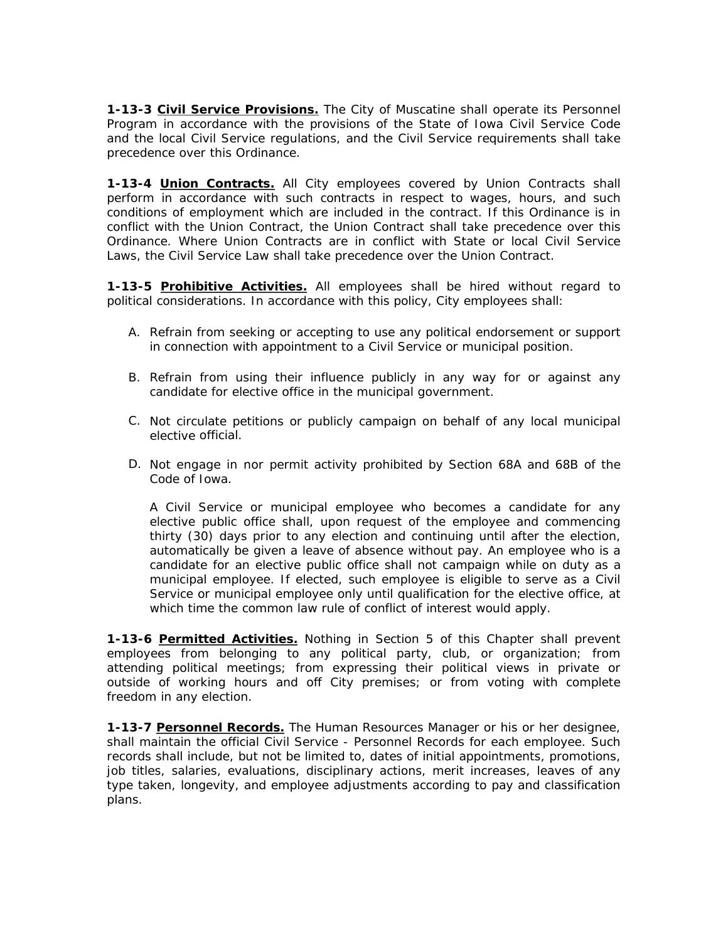**1-13-3 Civil Service Provisions.** The City of Muscatine shall operate its Personnel Program in accordance with the provisions of the State of Iowa Civil Service Code and the local Civil Service regulations, and the Civil Service requirements shall take precedence over this Ordinance.

**1-13-4 Union Contracts.** All City employees covered by Union Contracts shall perform in accordance with such contracts in respect to wages, hours, and such conditions of employment which are included in the contract. If this Ordinance is in conflict with the Union Contract, the Union Contract shall take precedence over this Ordinance. Where Union Contracts are in conflict with State or local Civil Service Laws, the Civil Service Law shall take precedence over the Union Contract.

**1-13-5 Prohibitive Activities.** All employees shall be hired without regard to political considerations. In accordance with this policy, City employees shall:

- A. Refrain from seeking or accepting to use any political endorsement or support in connection with appointment to a Civil Service or municipal position.
- B. Refrain from using their influence publicly in any way for or against any candidate for elective office in the municipal government.
- C. Not circulate petitions or publicly campaign on behalf of any local municipal elective official.
- D. Not engage in nor permit activity prohibited by Section 68A and 68B of the Code of Iowa.

A Civil Service or municipal employee who becomes a candidate for any elective public office shall, upon request of the employee and commencing thirty (30) days prior to any election and continuing until after the election, automatically be given a leave of absence without pay. An employee who is a candidate for an elective public office shall not campaign while on duty as a municipal employee. If elected, such employee is eligible to serve as a Civil Service or municipal employee only until qualification for the elective office, at which time the common law rule of conflict of interest would apply.

**1-13-6 Permitted Activities.** Nothing in Section 5 of this Chapter shall prevent employees from belonging to any political party, club, or organization; from attending political meetings; from expressing their political views in private or outside of working hours and off City premises; or from voting with complete freedom in any election.

**1-13-7 Personnel Records.** The Human Resources Manager or his or her designee, shall maintain the official Civil Service - Personnel Records for each employee. Such records shall include, but not be limited to, dates of initial appointments, promotions, job titles, salaries, evaluations, disciplinary actions, merit increases, leaves of any type taken, longevity, and employee adjustments according to pay and classification plans.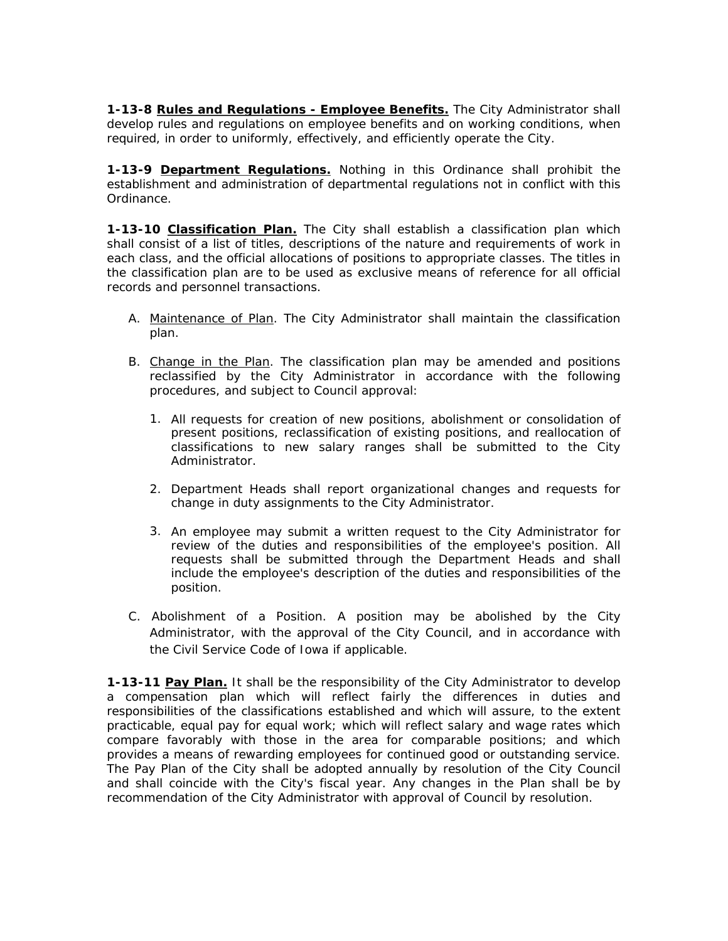**1-13-8 Rules and Regulations - Employee Benefits.** The City Administrator shall develop rules and regulations on employee benefits and on working conditions, when required, in order to uniformly, effectively, and efficiently operate the City.

**1-13-9 Department Regulations.** Nothing in this Ordinance shall prohibit the establishment and administration of departmental regulations not in conflict with this Ordinance.

**1-13-10 Classification Plan.** The City shall establish a classification plan which shall consist of a list of titles, descriptions of the nature and requirements of work in each class, and the official allocations of positions to appropriate classes. The titles in the classification plan are to be used as exclusive means of reference for all official records and personnel transactions.

- A. Maintenance of Plan. The City Administrator shall maintain the classification plan.
- B. Change in the Plan. The classification plan may be amended and positions reclassified by the City Administrator in accordance with the following procedures, and subject to Council approval:
	- 1. All requests for creation of new positions, abolishment or consolidation of present positions, reclassification of existing positions, and reallocation of classifications to new salary ranges shall be submitted to the City Administrator.
	- 2. Department Heads shall report organizational changes and requests for change in duty assignments to the City Administrator.
	- 3. An employee may submit a written request to the City Administrator for review of the duties and responsibilities of the employee's position. All requests shall be submitted through the Department Heads and shall include the employee's description of the duties and responsibilities of the position.
- C. Abolishment of a Position. A position may be abolished by the City Administrator, with the approval of the City Council, and in accordance with the Civil Service Code of Iowa if applicable.

**1-13-11 Pay Plan.** It shall be the responsibility of the City Administrator to develop a compensation plan which will reflect fairly the differences in duties and responsibilities of the classifications established and which will assure, to the extent practicable, equal pay for equal work; which will reflect salary and wage rates which compare favorably with those in the area for comparable positions; and which provides a means of rewarding employees for continued good or outstanding service. The Pay Plan of the City shall be adopted annually by resolution of the City Council and shall coincide with the City's fiscal year. Any changes in the Plan shall be by recommendation of the City Administrator with approval of Council by resolution.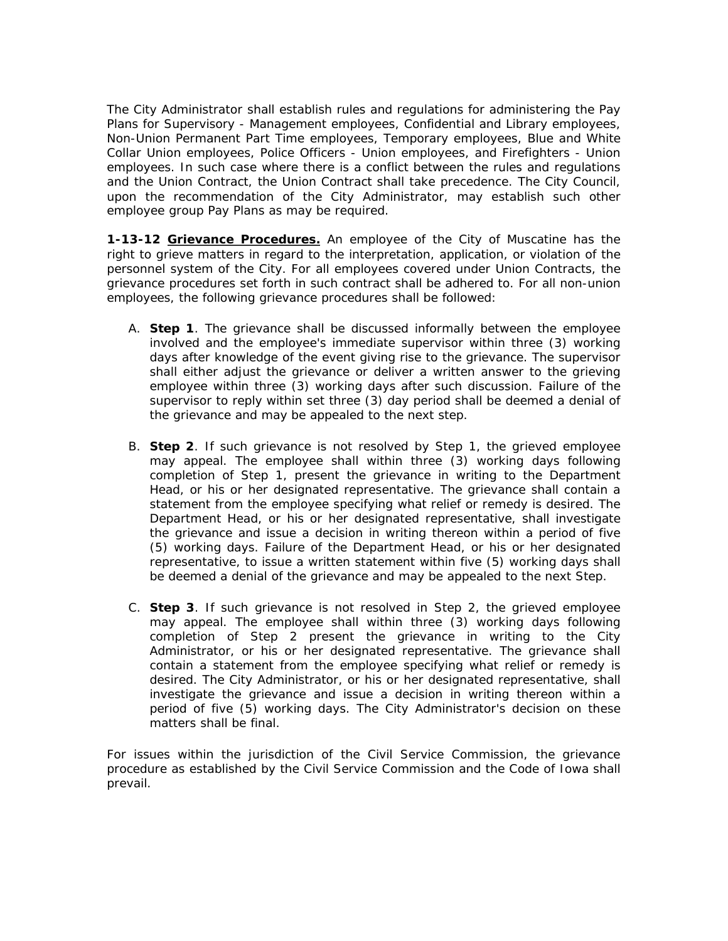The City Administrator shall establish rules and regulations for administering the Pay Plans for Supervisory - Management employees, Confidential and Library employees, Non-Union Permanent Part Time employees, Temporary employees, Blue and White Collar Union employees, Police Officers - Union employees, and Firefighters - Union employees. In such case where there is a conflict between the rules and regulations and the Union Contract, the Union Contract shall take precedence. The City Council, upon the recommendation of the City Administrator, may establish such other employee group Pay Plans as may be required.

**1-13-12 Grievance Procedures.** An employee of the City of Muscatine has the right to grieve matters in regard to the interpretation, application, or violation of the personnel system of the City. For all employees covered under Union Contracts, the grievance procedures set forth in such contract shall be adhered to. For all non-union employees, the following grievance procedures shall be followed:

- A. **Step 1**. The grievance shall be discussed informally between the employee involved and the employee's immediate supervisor within three (3) working days after knowledge of the event giving rise to the grievance. The supervisor shall either adjust the grievance or deliver a written answer to the grieving employee within three (3) working days after such discussion. Failure of the supervisor to reply within set three (3) day period shall be deemed a denial of the grievance and may be appealed to the next step.
- B. **Step 2**. If such grievance is not resolved by Step 1, the grieved employee may appeal. The employee shall within three (3) working days following completion of Step 1, present the grievance in writing to the Department Head, or his or her designated representative. The grievance shall contain a statement from the employee specifying what relief or remedy is desired. The Department Head, or his or her designated representative, shall investigate the grievance and issue a decision in writing thereon within a period of five (5) working days. Failure of the Department Head, or his or her designated representative, to issue a written statement within five (5) working days shall be deemed a denial of the grievance and may be appealed to the next Step.
- C. **Step 3**. If such grievance is not resolved in Step 2, the grieved employee may appeal. The employee shall within three (3) working days following completion of Step 2 present the grievance in writing to the City Administrator, or his or her designated representative. The grievance shall contain a statement from the employee specifying what relief or remedy is desired. The City Administrator, or his or her designated representative, shall investigate the grievance and issue a decision in writing thereon within a period of five (5) working days. The City Administrator's decision on these matters shall be final.

For issues within the jurisdiction of the Civil Service Commission, the grievance procedure as established by the Civil Service Commission and the Code of Iowa shall prevail.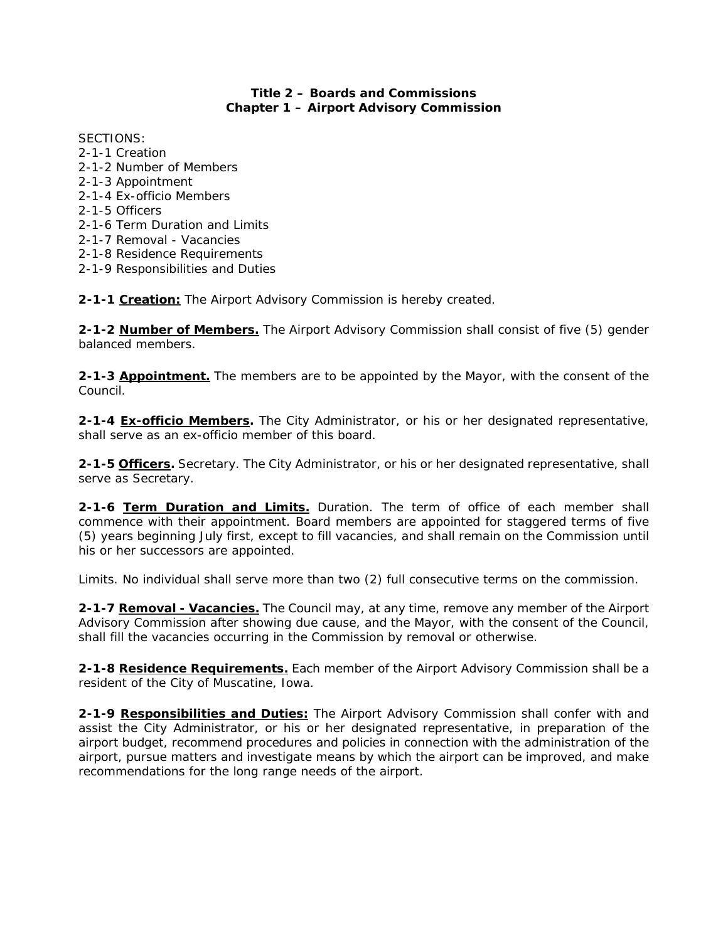# **Title 2 – Boards and Commissions Chapter 1 – Airport Advisory Commission**

SECTIONS: 2-1-1 Creation 2-1-2 Number of Members 2-1-3 Appointment 2-1-4 Ex-officio Members 2-1-5 Officers 2-1-6 Term Duration and Limits 2-1-7 Removal - Vacancies 2-1-8 Residence Requirements 2-1-9 Responsibilities and Duties

**2-1-1 Creation:** The Airport Advisory Commission is hereby created.

**2-1-2 Number of Members.** The Airport Advisory Commission shall consist of five (5) gender balanced members.

**2-1-3 Appointment.** The members are to be appointed by the Mayor, with the consent of the Council.

**2-1-4 Ex-officio Members.** The City Administrator, or his or her designated representative, shall serve as an ex-officio member of this board.

**2-1-5 Officers.** Secretary. The City Administrator, or his or her designated representative, shall serve as Secretary.

**2-1-6 Term Duration and Limits.** Duration. The term of office of each member shall commence with their appointment. Board members are appointed for staggered terms of five (5) years beginning July first, except to fill vacancies, and shall remain on the Commission until his or her successors are appointed.

Limits. No individual shall serve more than two (2) full consecutive terms on the commission.

**2-1-7 Removal - Vacancies.** The Council may, at any time, remove any member of the Airport Advisory Commission after showing due cause, and the Mayor, with the consent of the Council, shall fill the vacancies occurring in the Commission by removal or otherwise.

**2-1-8 Residence Requirements.** Each member of the Airport Advisory Commission shall be a resident of the City of Muscatine, Iowa.

**2-1-9 Responsibilities and Duties:** The Airport Advisory Commission shall confer with and assist the City Administrator, or his or her designated representative, in preparation of the airport budget, recommend procedures and policies in connection with the administration of the airport, pursue matters and investigate means by which the airport can be improved, and make recommendations for the long range needs of the airport.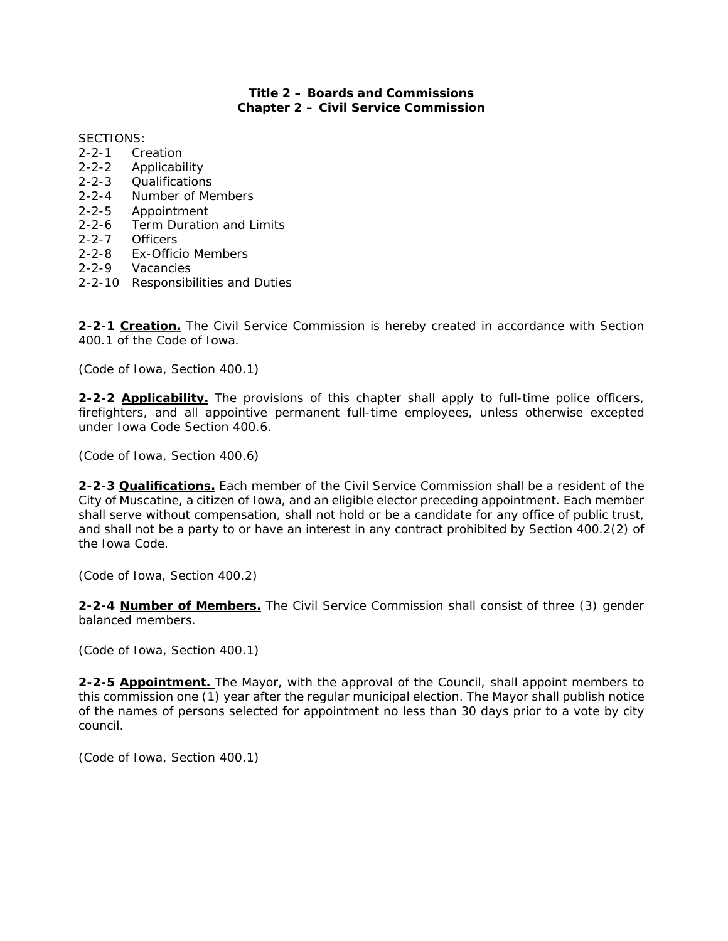# **Title 2 – Boards and Commissions Chapter 2 – Civil Service Commission**

SECTIONS:

- 2-2-1 Creation
- 2-2-2 Applicability
- 2-2-3 Qualifications
- 2-2-4 Number of Members
- 2-2-5 Appointment
- 2-2-6 Term Duration and Limits
- 2-2-7 Officers
- 2-2-8 Ex-Officio Members
- 2-2-9 Vacancies
- 2-2-10 Responsibilities and Duties

**2-2-1 Creation.** The Civil Service Commission is hereby created in accordance with Section 400.1 of the Code of Iowa.

*(Code of Iowa, Section 400.1)* 

**2-2-2 Applicability.** The provisions of this chapter shall apply to full-time police officers, firefighters, and all appointive permanent full-time employees, unless otherwise excepted under Iowa Code Section 400.6.

*(Code of Iowa, Section 400.6)* 

**2-2-3 Qualifications.** Each member of the Civil Service Commission shall be a resident of the City of Muscatine, a citizen of Iowa, and an eligible elector preceding appointment. Each member shall serve without compensation, shall not hold or be a candidate for any office of public trust, and shall not be a party to or have an interest in any contract prohibited by Section 400.2(2) of the Iowa Code.

*(Code of Iowa, Section 400.2)* 

**2-2-4 Number of Members.** The Civil Service Commission shall consist of three (3) gender balanced members.

*(Code of Iowa, Section 400.1)* 

**2-2-5 Appointment.** The Mayor, with the approval of the Council, shall appoint members to this commission one (1) year after the regular municipal election. The Mayor shall publish notice of the names of persons selected for appointment no less than 30 days prior to a vote by city council.

*(Code of Iowa, Section 400.1)*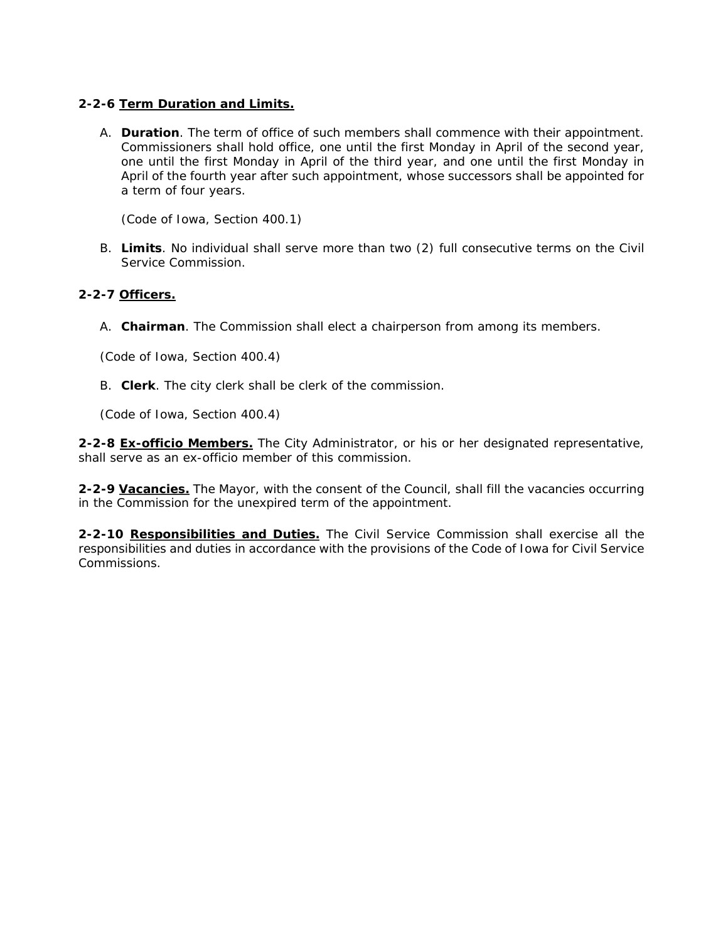# **2-2-6 Term Duration and Limits.**

A. **Duration**. The term of office of such members shall commence with their appointment. Commissioners shall hold office, one until the first Monday in April of the second year, one until the first Monday in April of the third year, and one until the first Monday in April of the fourth year after such appointment, whose successors shall be appointed for a term of four years.

*(Code of Iowa, Section 400.1)* 

B. **Limits**. No individual shall serve more than two (2) full consecutive terms on the Civil Service Commission.

#### **2-2-7 Officers.**

A. **Chairman**. The Commission shall elect a chairperson from among its members.

*(Code of Iowa, Section 400.4)* 

B. **Clerk**. The city clerk shall be clerk of the commission.

*(Code of Iowa, Section 400.4)* 

**2-2-8 Ex-officio Members.** The City Administrator, or his or her designated representative, shall serve as an ex-officio member of this commission.

**2-2-9 Vacancies.** The Mayor, with the consent of the Council, shall fill the vacancies occurring in the Commission for the unexpired term of the appointment.

**2-2-10 Responsibilities and Duties.** The Civil Service Commission shall exercise all the responsibilities and duties in accordance with the provisions of the Code of Iowa for Civil Service Commissions.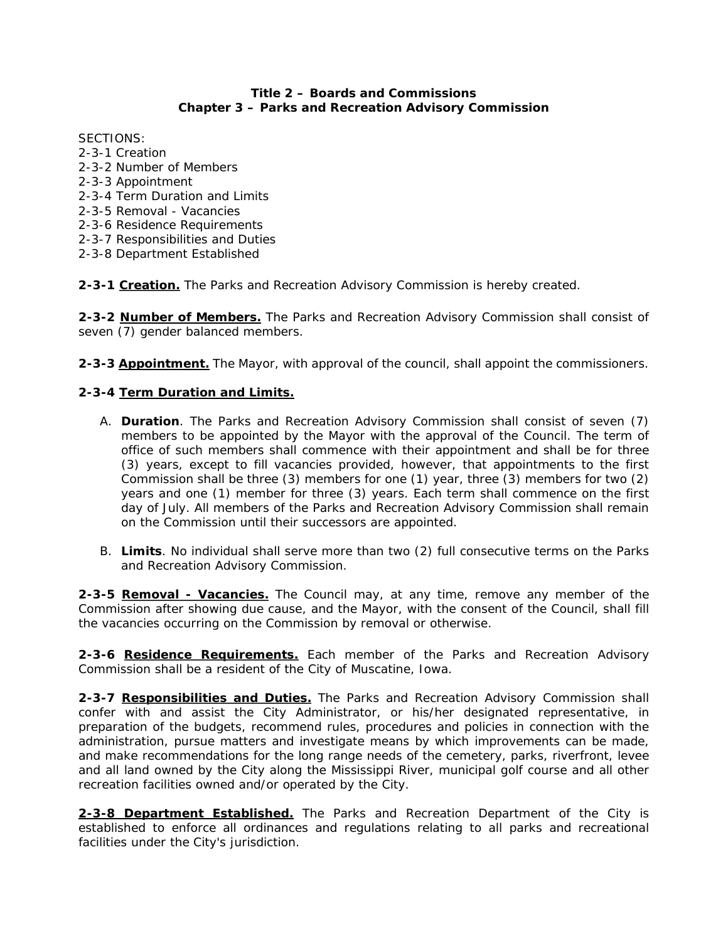### **Title 2 – Boards and Commissions Chapter 3 – Parks and Recreation Advisory Commission**

SECTIONS: 2-3-1 Creation 2-3-2 Number of Members 2-3-3 Appointment 2-3-4 Term Duration and Limits 2-3-5 Removal - Vacancies 2-3-6 Residence Requirements 2-3-7 Responsibilities and Duties 2-3-8 Department Established

**2-3-1 Creation.** The Parks and Recreation Advisory Commission is hereby created.

**2-3-2 Number of Members.** The Parks and Recreation Advisory Commission shall consist of seven (7) gender balanced members.

**2-3-3 Appointment.** The Mayor, with approval of the council, shall appoint the commissioners.

# **2-3-4 Term Duration and Limits.**

- A. **Duration**. The Parks and Recreation Advisory Commission shall consist of seven (7) members to be appointed by the Mayor with the approval of the Council. The term of office of such members shall commence with their appointment and shall be for three (3) years, except to fill vacancies provided, however, that appointments to the first Commission shall be three (3) members for one (1) year, three (3) members for two (2) years and one (1) member for three (3) years. Each term shall commence on the first day of July. All members of the Parks and Recreation Advisory Commission shall remain on the Commission until their successors are appointed.
- B. **Limits**. No individual shall serve more than two (2) full consecutive terms on the Parks and Recreation Advisory Commission.

**2-3-5 Removal - Vacancies.** The Council may, at any time, remove any member of the Commission after showing due cause, and the Mayor, with the consent of the Council, shall fill the vacancies occurring on the Commission by removal or otherwise.

**2-3-6 Residence Requirements.** Each member of the Parks and Recreation Advisory Commission shall be a resident of the City of Muscatine, Iowa.

**2-3-7 Responsibilities and Duties.** The Parks and Recreation Advisory Commission shall confer with and assist the City Administrator, or his/her designated representative, in preparation of the budgets, recommend rules, procedures and policies in connection with the administration, pursue matters and investigate means by which improvements can be made, and make recommendations for the long range needs of the cemetery, parks, riverfront, levee and all land owned by the City along the Mississippi River, municipal golf course and all other recreation facilities owned and/or operated by the City.

**2-3-8 Department Established.** The Parks and Recreation Department of the City is established to enforce all ordinances and regulations relating to all parks and recreational facilities under the City's jurisdiction.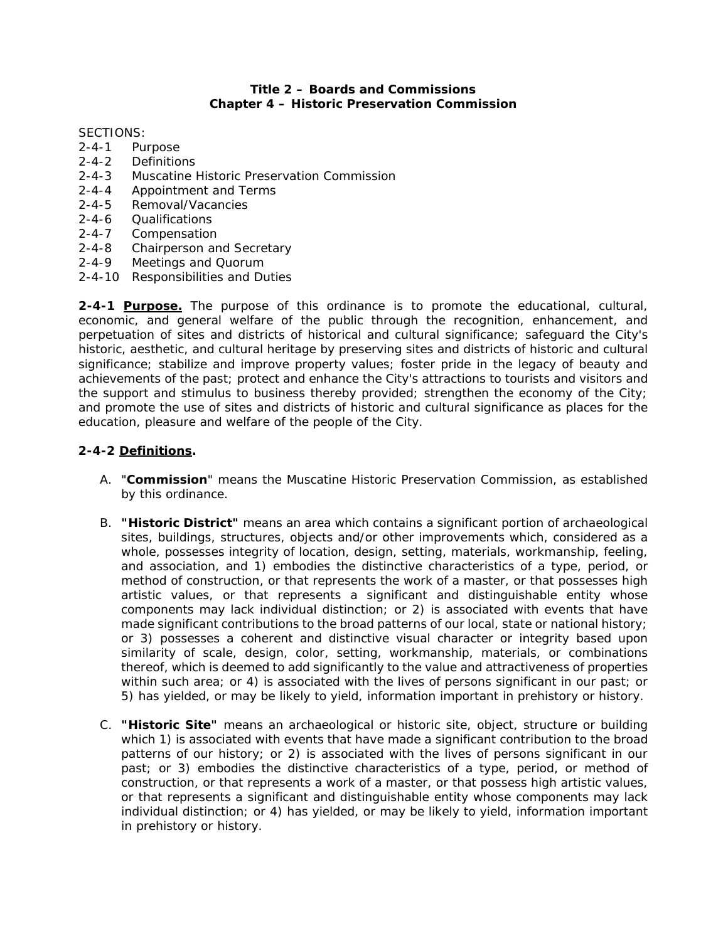### **Title 2 – Boards and Commissions Chapter 4 – Historic Preservation Commission**

SECTIONS:

- 2-4-1 Purpose
- 2-4-2 Definitions
- 2-4-3 Muscatine Historic Preservation Commission
- 2-4-4 Appointment and Terms
- 2-4-5 Removal/Vacancies
- 2-4-6 Qualifications
- 2-4-7 Compensation
- 2-4-8 Chairperson and Secretary
- 2-4-9 Meetings and Quorum
- 2-4-10 Responsibilities and Duties

**2-4-1 Purpose.** The purpose of this ordinance is to promote the educational, cultural, economic, and general welfare of the public through the recognition, enhancement, and perpetuation of sites and districts of historical and cultural significance; safeguard the City's historic, aesthetic, and cultural heritage by preserving sites and districts of historic and cultural significance; stabilize and improve property values; foster pride in the legacy of beauty and achievements of the past; protect and enhance the City's attractions to tourists and visitors and the support and stimulus to business thereby provided; strengthen the economy of the City; and promote the use of sites and districts of historic and cultural significance as places for the education, pleasure and welfare of the people of the City.

# **2-4-2 Definitions.**

- A. "**Commission**" means the Muscatine Historic Preservation Commission, as established by this ordinance.
- B. **"Historic District"** means an area which contains a significant portion of archaeological sites, buildings, structures, objects and/or other improvements which, considered as a whole, possesses integrity of location, design, setting, materials, workmanship, feeling, and association, and 1) embodies the distinctive characteristics of a type, period, or method of construction, or that represents the work of a master, or that possesses high artistic values, or that represents a significant and distinguishable entity whose components may lack individual distinction; or 2) is associated with events that have made significant contributions to the broad patterns of our local, state or national history; or 3) possesses a coherent and distinctive visual character or integrity based upon similarity of scale, design, color, setting, workmanship, materials, or combinations thereof, which is deemed to add significantly to the value and attractiveness of properties within such area; or 4) is associated with the lives of persons significant in our past; or 5) has yielded, or may be likely to yield, information important in prehistory or history.
- C. **"Historic Site"** means an archaeological or historic site, object, structure or building which 1) is associated with events that have made a significant contribution to the broad patterns of our history; or 2) is associated with the lives of persons significant in our past; or 3) embodies the distinctive characteristics of a type, period, or method of construction, or that represents a work of a master, or that possess high artistic values, or that represents a significant and distinguishable entity whose components may lack individual distinction; or 4) has yielded, or may be likely to yield, information important in prehistory or history.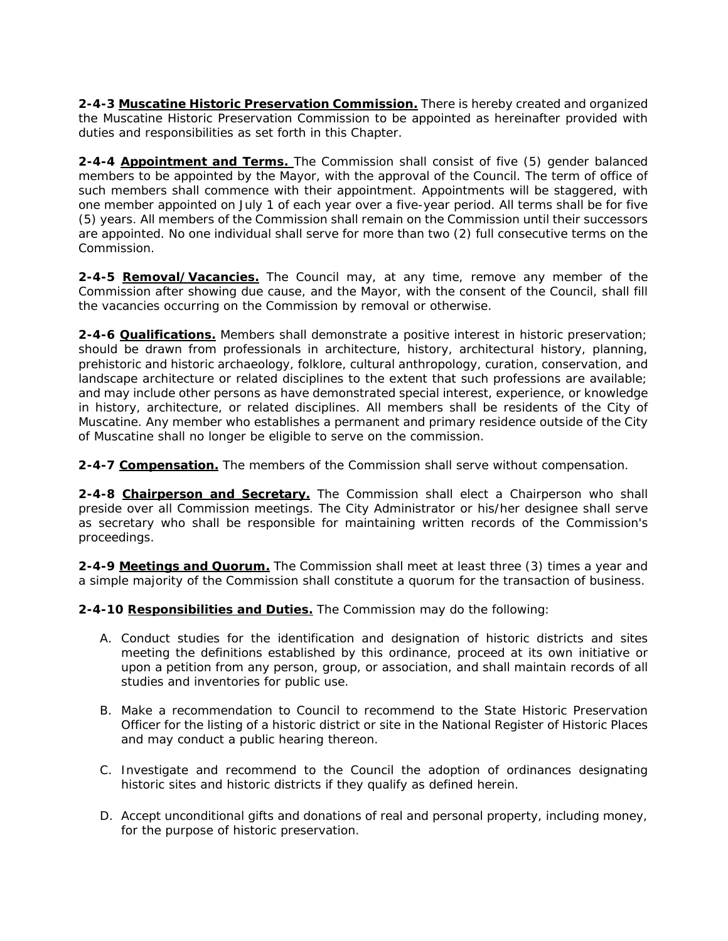**2-4-3 Muscatine Historic Preservation Commission.** There is hereby created and organized the Muscatine Historic Preservation Commission to be appointed as hereinafter provided with duties and responsibilities as set forth in this Chapter.

**2-4-4 Appointment and Terms.** The Commission shall consist of five (5) gender balanced members to be appointed by the Mayor, with the approval of the Council. The term of office of such members shall commence with their appointment. Appointments will be staggered, with one member appointed on July 1 of each year over a five-year period. All terms shall be for five (5) years. All members of the Commission shall remain on the Commission until their successors are appointed. No one individual shall serve for more than two (2) full consecutive terms on the Commission.

**2-4-5 Removal/Vacancies.** The Council may, at any time, remove any member of the Commission after showing due cause, and the Mayor, with the consent of the Council, shall fill the vacancies occurring on the Commission by removal or otherwise.

**2-4-6 Qualifications.** Members shall demonstrate a positive interest in historic preservation; should be drawn from professionals in architecture, history, architectural history, planning, prehistoric and historic archaeology, folklore, cultural anthropology, curation, conservation, and landscape architecture or related disciplines to the extent that such professions are available; and may include other persons as have demonstrated special interest, experience, or knowledge in history, architecture, or related disciplines. All members shall be residents of the City of Muscatine. Any member who establishes a permanent and primary residence outside of the City of Muscatine shall no longer be eligible to serve on the commission.

**2-4-7 Compensation.** The members of the Commission shall serve without compensation.

**2-4-8 Chairperson and Secretary.** The Commission shall elect a Chairperson who shall preside over all Commission meetings. The City Administrator or his/her designee shall serve as secretary who shall be responsible for maintaining written records of the Commission's proceedings.

**2-4-9 Meetings and Quorum.** The Commission shall meet at least three (3) times a year and a simple majority of the Commission shall constitute a quorum for the transaction of business.

**2-4-10 Responsibilities and Duties.** The Commission may do the following:

- A. Conduct studies for the identification and designation of historic districts and sites meeting the definitions established by this ordinance, proceed at its own initiative or upon a petition from any person, group, or association, and shall maintain records of all studies and inventories for public use.
- B. Make a recommendation to Council to recommend to the State Historic Preservation Officer for the listing of a historic district or site in the National Register of Historic Places and may conduct a public hearing thereon.
- C. Investigate and recommend to the Council the adoption of ordinances designating historic sites and historic districts if they qualify as defined herein.
- D. Accept unconditional gifts and donations of real and personal property, including money, for the purpose of historic preservation.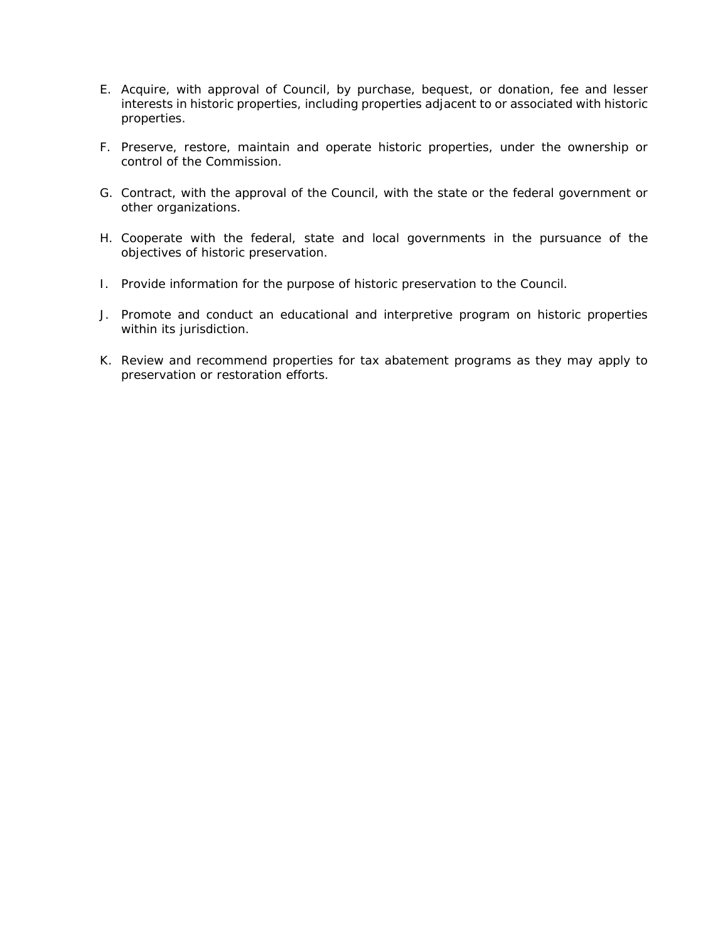- E. Acquire, with approval of Council, by purchase, bequest, or donation, fee and lesser interests in historic properties, including properties adjacent to or associated with historic properties.
- F. Preserve, restore, maintain and operate historic properties, under the ownership or control of the Commission.
- G. Contract, with the approval of the Council, with the state or the federal government or other organizations.
- H. Cooperate with the federal, state and local governments in the pursuance of the objectives of historic preservation.
- I. Provide information for the purpose of historic preservation to the Council.
- J. Promote and conduct an educational and interpretive program on historic properties within its jurisdiction.
- K. Review and recommend properties for tax abatement programs as they may apply to preservation or restoration efforts.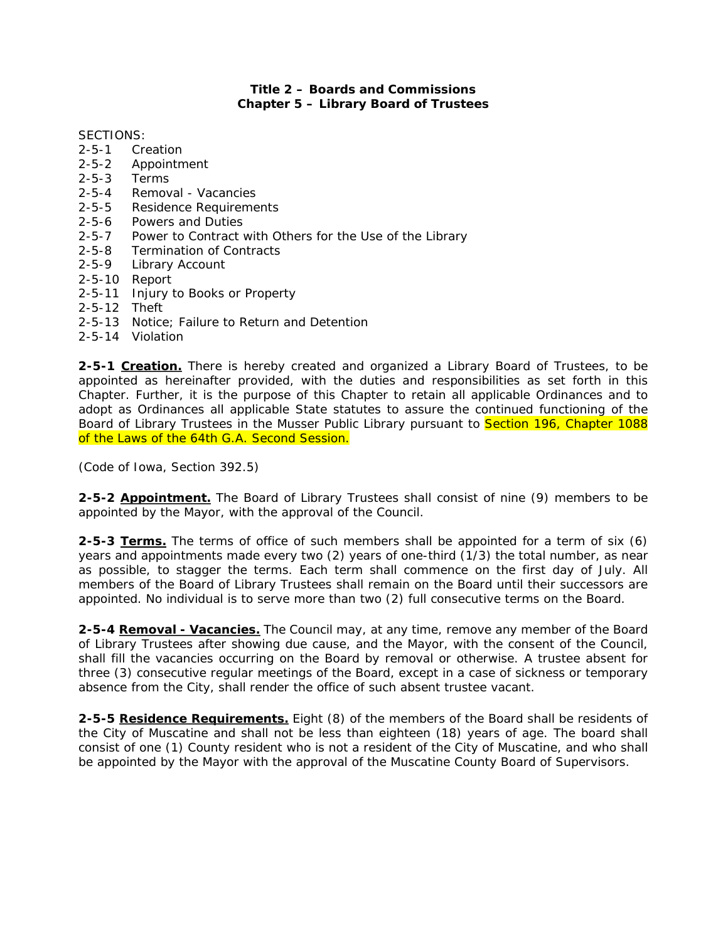### **Title 2 – Boards and Commissions Chapter 5 – Library Board of Trustees**

#### SECTIONS:

- 2-5-1 Creation
- 2-5-2 Appointment
- 2-5-3 Terms
- 2-5-4 Removal Vacancies
- 2-5-5 Residence Requirements
- 2-5-6 Powers and Duties
- 2-5-7 Power to Contract with Others for the Use of the Library
- 2-5-8 Termination of Contracts
- 2-5-9 Library Account
- 2-5-10 Report
- 2-5-11 Injury to Books or Property
- 2-5-12 Theft
- 2-5-13 Notice; Failure to Return and Detention
- 2-5-14 Violation

**2-5-1 Creation.** There is hereby created and organized a Library Board of Trustees, to be appointed as hereinafter provided, with the duties and responsibilities as set forth in this Chapter. Further, it is the purpose of this Chapter to retain all applicable Ordinances and to adopt as Ordinances all applicable State statutes to assure the continued functioning of the Board of Library Trustees in the Musser Public Library pursuant to Section 196, Chapter 1088 of the Laws of the 64th G.A. Second Session.

*(Code of Iowa, Section 392.5)* 

**2-5-2 Appointment.** The Board of Library Trustees shall consist of nine (9) members to be appointed by the Mayor, with the approval of the Council.

**2-5-3 Terms.** The terms of office of such members shall be appointed for a term of six (6) years and appointments made every two (2) years of one-third (1/3) the total number, as near as possible, to stagger the terms. Each term shall commence on the first day of July. All members of the Board of Library Trustees shall remain on the Board until their successors are appointed. No individual is to serve more than two (2) full consecutive terms on the Board.

**2-5-4 Removal - Vacancies.** The Council may, at any time, remove any member of the Board of Library Trustees after showing due cause, and the Mayor, with the consent of the Council, shall fill the vacancies occurring on the Board by removal or otherwise. A trustee absent for three (3) consecutive regular meetings of the Board, except in a case of sickness or temporary absence from the City, shall render the office of such absent trustee vacant.

**2-5-5 Residence Requirements.** Eight (8) of the members of the Board shall be residents of the City of Muscatine and shall not be less than eighteen (18) years of age. The board shall consist of one (1) County resident who is not a resident of the City of Muscatine, and who shall be appointed by the Mayor with the approval of the Muscatine County Board of Supervisors.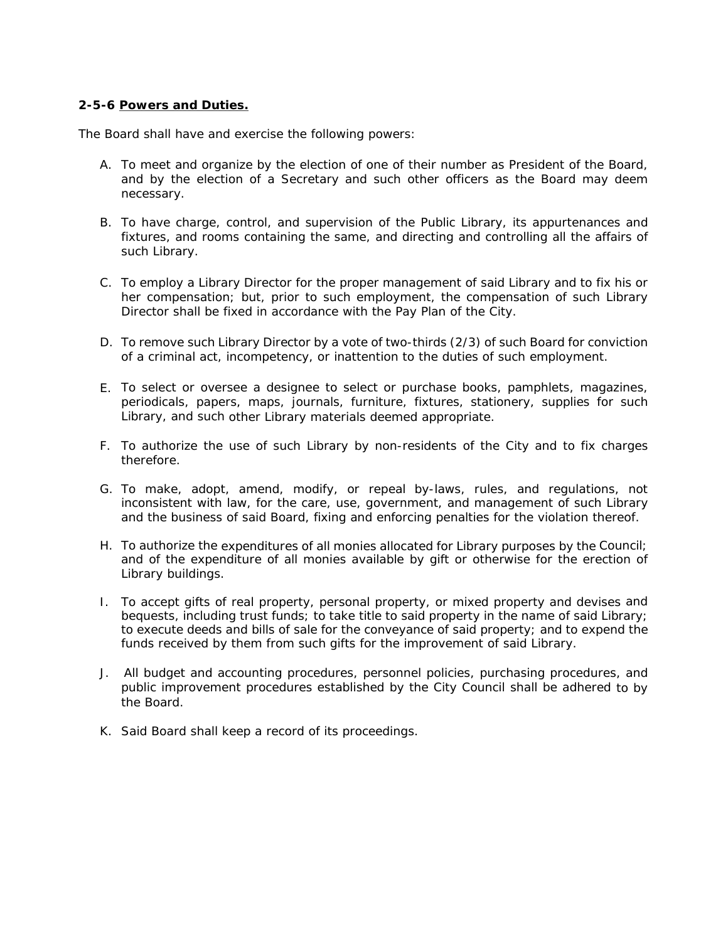## **2-5-6 Powers and Duties.**

The Board shall have and exercise the following powers:

- A. To meet and organize by the election of one of their number as President of the Board, and by the election of a Secretary and such other officers as the Board may deem necessary.
- B. To have charge, control, and supervision of the Public Library, its appurtenances and fixtures, and rooms containing the same, and directing and controlling all the affairs of such Library.
- C. To employ a Library Director for the proper management of said Library and to fix his or her compensation; but, prior to such employment, the compensation of such Library Director shall be fixed in accordance with the Pay Plan of the City.
- D. To remove such Library Director by a vote of two-thirds (2/3) of such Board for conviction of a criminal act, incompetency, or inattention to the duties of such employment.
- E. To select or oversee a designee to select or purchase books, pamphlets, magazines, periodicals, papers, maps, journals, furniture, fixtures, stationery, supplies for such Library, and such other Library materials deemed appropriate.
- F. To authorize the use of such Library by non-residents of the City and to fix charges therefore.
- G. To make, adopt, amend, modify, or repeal by-laws, rules, and regulations, not inconsistent with law, for the care, use, government, and management of such Library and the business of said Board, fixing and enforcing penalties for the violation thereof.
- H. To authorize the expenditures of all monies allocated for Library purposes by the Council; and of the expenditure of all monies available by gift or otherwise for the erection of Library buildings.
- I. To accept gifts of real property, personal property, or mixed property and devises and bequests, including trust funds; to take title to said property in the name of said Library; to execute deeds and bills of sale for the conveyance of said property; and to expend the funds received by them from such gifts for the improvement of said Library.
- J. All budget and accounting procedures, personnel policies, purchasing procedures, and public improvement procedures established by the City Council shall be adhered to by the Board.
- K. Said Board shall keep a record of its proceedings.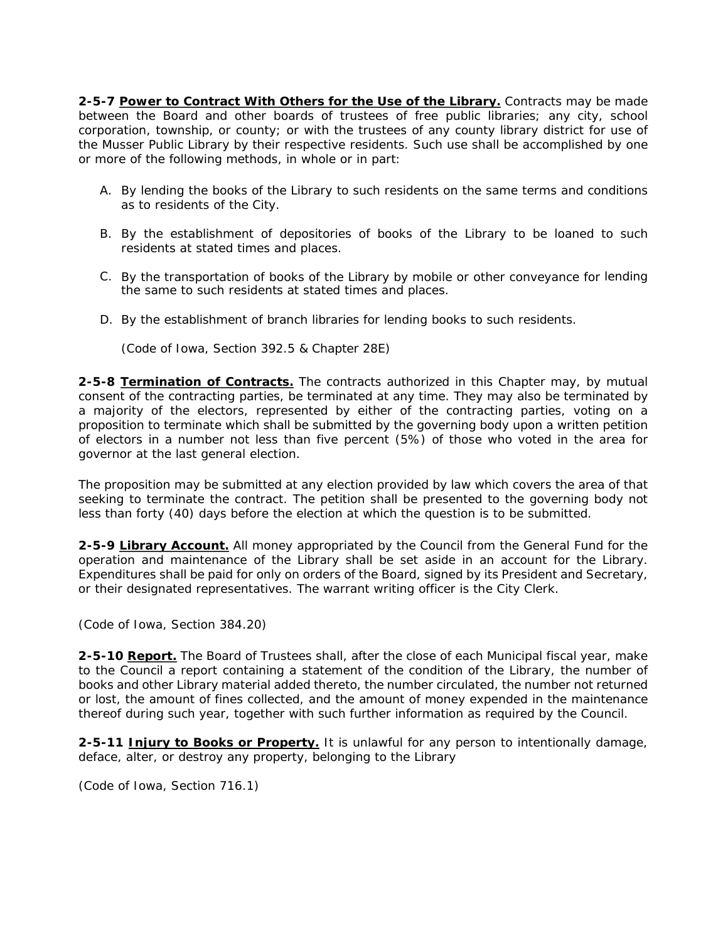2-5-7 Power to Contract With Others for the Use of the Library. Contracts may be made between the Board and other boards of trustees of free public libraries; any city, school corporation, township, or county; or with the trustees of any county library district for use of the Musser Public Library by their respective residents. Such use shall be accomplished by one or more of the following methods, in whole or in part:

- A. By lending the books of the Library to such residents on the same terms and conditions as to residents of the City.
- B. By the establishment of depositories of books of the Library to be loaned to such residents at stated times and places.
- C. By the transportation of books of the Library by mobile or other conveyance for lending the same to such residents at stated times and places.
- D. By the establishment of branch libraries for lending books to such residents.

*(Code of Iowa, Section 392.5 & Chapter 28E)* 

**2-5-8 Termination of Contracts.** The contracts authorized in this Chapter may, by mutual consent of the contracting parties, be terminated at any time. They may also be terminated by a majority of the electors, represented by either of the contracting parties, voting on a proposition to terminate which shall be submitted by the governing body upon a written petition of electors in a number not less than five percent (5%) of those who voted in the area for governor at the last general election.

The proposition may be submitted at any election provided by law which covers the area of that seeking to terminate the contract. The petition shall be presented to the governing body not less than forty (40) days before the election at which the question is to be submitted.

**2-5-9 Library Account.** All money appropriated by the Council from the General Fund for the operation and maintenance of the Library shall be set aside in an account for the Library. Expenditures shall be paid for only on orders of the Board, signed by its President and Secretary, or their designated representatives. The warrant writing officer is the City Clerk.

#### *(Code of Iowa, Section 384.20)*

**2-5-10 Report.** The Board of Trustees shall, after the close of each Municipal fiscal year, make to the Council a report containing a statement of the condition of the Library, the number of books and other Library material added thereto, the number circulated, the number not returned or lost, the amount of fines collected, and the amount of money expended in the maintenance thereof during such year, together with such further information as required by the Council.

**2-5-11 Injury to Books or Property.** It is unlawful for any person to intentionally damage, deface, alter, or destroy any property, belonging to the Library

*(Code of Iowa, Section 716.1)*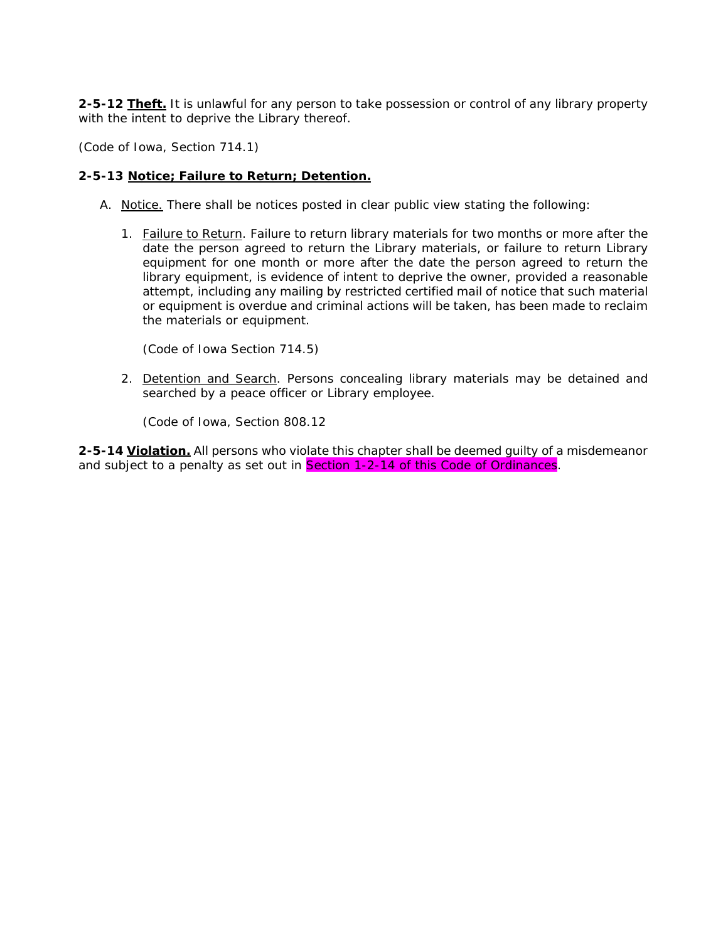**2-5-12 Theft.** It is unlawful for any person to take possession or control of any library property with the intent to deprive the Library thereof.

*(Code of Iowa, Section 714.1)* 

#### **2-5-13 Notice; Failure to Return; Detention.**

- A. Notice. There shall be notices posted in clear public view stating the following:
	- 1. Failure to Return. Failure to return library materials for two months or more after the date the person agreed to return the Library materials, or failure to return Library equipment for one month or more after the date the person agreed to return the library equipment, is evidence of intent to deprive the owner, provided a reasonable attempt, including any mailing by restricted certified mail of notice that such material or equipment is overdue and criminal actions will be taken, has been made to reclaim the materials or equipment.

*(Code of Iowa Section 714.5)* 

2. Detention and Search. Persons concealing library materials may be detained and searched by a peace officer or Library employee.

*(Code of Iowa, Section 808.12* 

**2-5-14 Violation.** All persons who violate this chapter shall be deemed guilty of a misdemeanor and subject to a penalty as set out in Section 1-2-14 of this Code of Ordinances.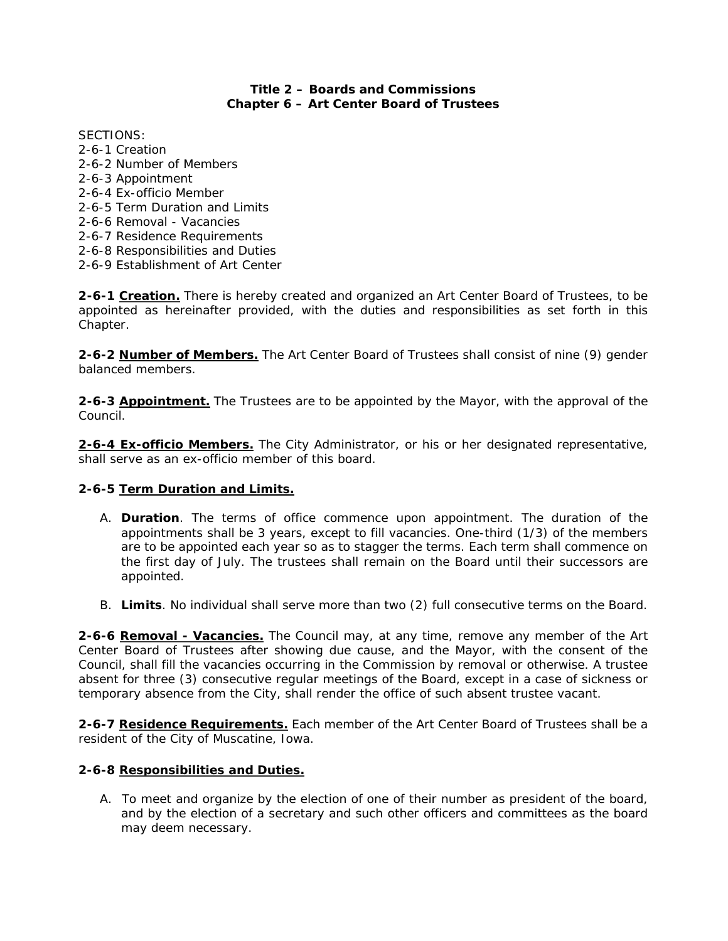# **Title 2 – Boards and Commissions Chapter 6 – Art Center Board of Trustees**

SECTIONS: 2-6-1 Creation 2-6-2 Number of Members 2-6-3 Appointment 2-6-4 Ex-officio Member 2-6-5 Term Duration and Limits 2-6-6 Removal - Vacancies 2-6-7 Residence Requirements 2-6-8 Responsibilities and Duties 2-6-9 Establishment of Art Center

**2-6-1 Creation.** There is hereby created and organized an Art Center Board of Trustees, to be appointed as hereinafter provided, with the duties and responsibilities as set forth in this Chapter.

**2-6-2 Number of Members.** The Art Center Board of Trustees shall consist of nine (9) gender balanced members.

**2-6-3 Appointment.** The Trustees are to be appointed by the Mayor, with the approval of the Council.

**2-6-4 Ex-officio Members.** The City Administrator, or his or her designated representative, shall serve as an ex-officio member of this board.

#### **2-6-5 Term Duration and Limits.**

- A. **Duration**. The terms of office commence upon appointment. The duration of the appointments shall be 3 years, except to fill vacancies. One-third (1/3) of the members are to be appointed each year so as to stagger the terms. Each term shall commence on the first day of July. The trustees shall remain on the Board until their successors are appointed.
- B. **Limits**. No individual shall serve more than two (2) full consecutive terms on the Board.

**2-6-6 Removal - Vacancies.** The Council may, at any time, remove any member of the Art Center Board of Trustees after showing due cause, and the Mayor, with the consent of the Council, shall fill the vacancies occurring in the Commission by removal or otherwise. A trustee absent for three (3) consecutive regular meetings of the Board, except in a case of sickness or temporary absence from the City, shall render the office of such absent trustee vacant.

**2-6-7 Residence Requirements.** Each member of the Art Center Board of Trustees shall be a resident of the City of Muscatine, Iowa.

#### **2-6-8 Responsibilities and Duties.**

A. To meet and organize by the election of one of their number as president of the board, and by the election of a secretary and such other officers and committees as the board may deem necessary.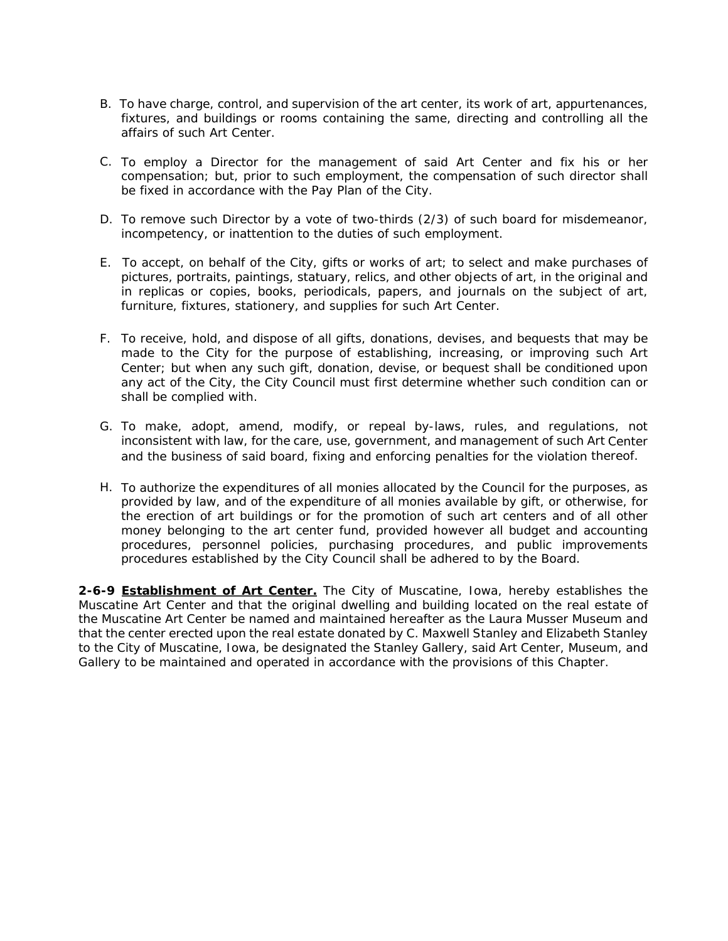- B. To have charge, control, and supervision of the art center, its work of art, appurtenances, fixtures, and buildings or rooms containing the same, directing and controlling all the affairs of such Art Center.
- C. To employ a Director for the management of said Art Center and fix his or her compensation; but, prior to such employment, the compensation of such director shall be fixed in accordance with the Pay Plan of the City.
- D. To remove such Director by a vote of two-thirds (2/3) of such board for misdemeanor, incompetency, or inattention to the duties of such employment.
- E. To accept, on behalf of the City, gifts or works of art; to select and make purchases of pictures, portraits, paintings, statuary, relics, and other objects of art, in the original and in replicas or copies, books, periodicals, papers, and journals on the subject of art, furniture, fixtures, stationery, and supplies for such Art Center.
- F. To receive, hold, and dispose of all gifts, donations, devises, and bequests that may be made to the City for the purpose of establishing, increasing, or improving such Art Center; but when any such gift, donation, devise, or bequest shall be conditioned upon any act of the City, the City Council must first determine whether such condition can or shall be complied with.
- G. To make, adopt, amend, modify, or repeal by-laws, rules, and regulations, not inconsistent with law, for the care, use, government, and management of such Art Center and the business of said board, fixing and enforcing penalties for the violation thereof.
- H. To authorize the expenditures of all monies allocated by the Council for the purposes, as provided by law, and of the expenditure of all monies available by gift, or otherwise, for the erection of art buildings or for the promotion of such art centers and of all other money belonging to the art center fund, provided however all budget and accounting procedures, personnel policies, purchasing procedures, and public improvements procedures established by the City Council shall be adhered to by the Board.

**2-6-9 Establishment of Art Center.** The City of Muscatine, Iowa, hereby establishes the Muscatine Art Center and that the original dwelling and building located on the real estate of the Muscatine Art Center be named and maintained hereafter as the Laura Musser Museum and that the center erected upon the real estate donated by C. Maxwell Stanley and Elizabeth Stanley to the City of Muscatine, Iowa, be designated the Stanley Gallery, said Art Center, Museum, and Gallery to be maintained and operated in accordance with the provisions of this Chapter.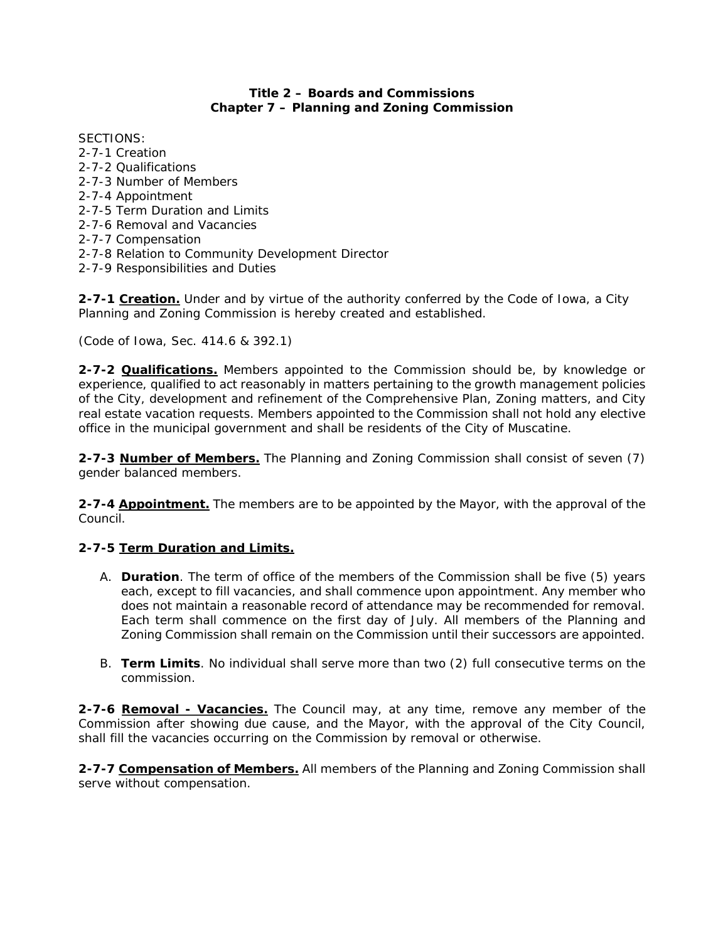### **Title 2 – Boards and Commissions Chapter 7 – Planning and Zoning Commission**

SECTIONS: 2-7-1 Creation 2-7-2 Qualifications 2-7-3 Number of Members 2-7-4 Appointment 2-7-5 Term Duration and Limits 2-7-6 Removal and Vacancies 2-7-7 Compensation 2-7-8 Relation to Community Development Director 2-7-9 Responsibilities and Duties

**2-7-1 Creation.** Under and by virtue of the authority conferred by the Code of Iowa, a City Planning and Zoning Commission is hereby created and established.

*(Code of Iowa, Sec. 414.6 & 392.1)* 

**2-7-2 Qualifications.** Members appointed to the Commission should be, by knowledge or experience, qualified to act reasonably in matters pertaining to the growth management policies of the City, development and refinement of the Comprehensive Plan, Zoning matters, and City real estate vacation requests. Members appointed to the Commission shall not hold any elective office in the municipal government and shall be residents of the City of Muscatine.

**2-7-3 Number of Members.** The Planning and Zoning Commission shall consist of seven (7) gender balanced members.

**2-7-4 Appointment.** The members are to be appointed by the Mayor, with the approval of the Council.

# **2-7-5 Term Duration and Limits.**

- A. **Duration**. The term of office of the members of the Commission shall be five (5) years each, except to fill vacancies, and shall commence upon appointment. Any member who does not maintain a reasonable record of attendance may be recommended for removal. Each term shall commence on the first day of July. All members of the Planning and Zoning Commission shall remain on the Commission until their successors are appointed.
- B. **Term Limits**. No individual shall serve more than two (2) full consecutive terms on the commission.

**2-7-6 Removal - Vacancies.** The Council may, at any time, remove any member of the Commission after showing due cause, and the Mayor, with the approval of the City Council, shall fill the vacancies occurring on the Commission by removal or otherwise.

**2-7-7 Compensation of Members.** All members of the Planning and Zoning Commission shall serve without compensation.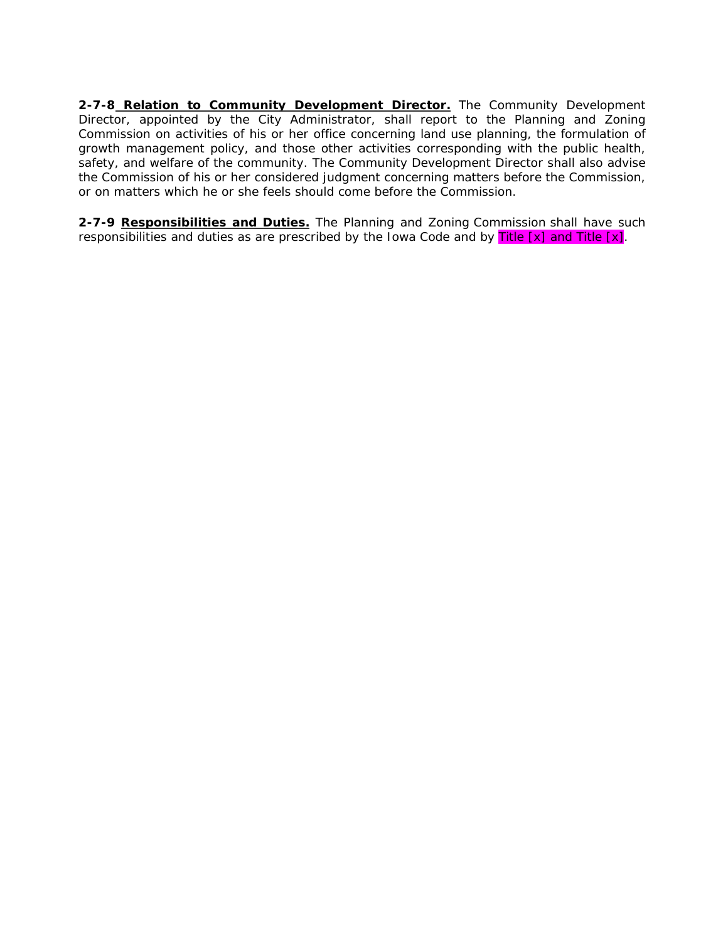**2-7-8 Relation to Community Development Director.** The Community Development Director, appointed by the City Administrator, shall report to the Planning and Zoning Commission on activities of his or her office concerning land use planning, the formulation of growth management policy, and those other activities corresponding with the public health, safety, and welfare of the community. The Community Development Director shall also advise the Commission of his or her considered judgment concerning matters before the Commission, or on matters which he or she feels should come before the Commission.

**2-7-9 Responsibilities and Duties.** The Planning and Zoning Commission shall have such responsibilities and duties as are prescribed by the Iowa Code and by Title  $[x]$  and Title  $[x]$ .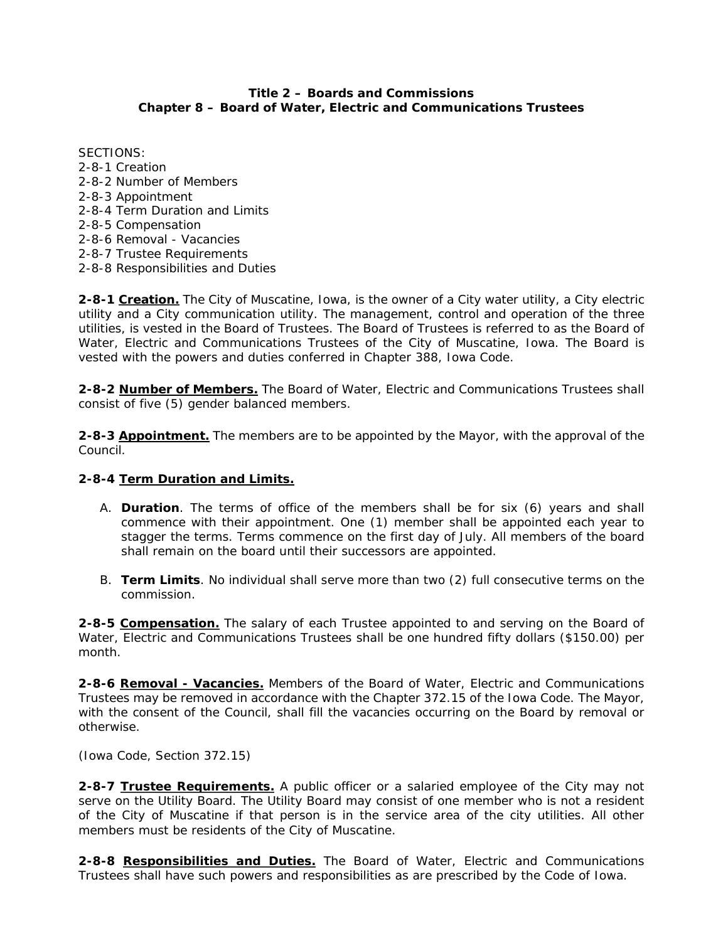#### **Title 2 – Boards and Commissions Chapter 8 – Board of Water, Electric and Communications Trustees**

SECTIONS: 2-8-1 Creation 2-8-2 Number of Members 2-8-3 Appointment 2-8-4 Term Duration and Limits 2-8-5 Compensation 2-8-6 Removal - Vacancies 2-8-7 Trustee Requirements 2-8-8 Responsibilities and Duties

**2-8-1 Creation.** The City of Muscatine, Iowa, is the owner of a City water utility, a City electric utility and a City communication utility. The management, control and operation of the three utilities, is vested in the Board of Trustees. The Board of Trustees is referred to as the Board of Water, Electric and Communications Trustees of the City of Muscatine, Iowa. The Board is vested with the powers and duties conferred in Chapter 388, Iowa Code.

**2-8-2 Number of Members.** The Board of Water, Electric and Communications Trustees shall consist of five (5) gender balanced members.

**2-8-3 Appointment.** The members are to be appointed by the Mayor, with the approval of the Council.

#### **2-8-4 Term Duration and Limits.**

- A. **Duration**. The terms of office of the members shall be for six (6) years and shall commence with their appointment. One (1) member shall be appointed each year to stagger the terms. Terms commence on the first day of July. All members of the board shall remain on the board until their successors are appointed.
- B. **Term Limits**. No individual shall serve more than two (2) full consecutive terms on the commission.

**2-8-5 Compensation.** The salary of each Trustee appointed to and serving on the Board of Water, Electric and Communications Trustees shall be one hundred fifty dollars (\$150.00) per month.

**2-8-6 Removal - Vacancies.** Members of the Board of Water, Electric and Communications Trustees may be removed in accordance with the Chapter 372.15 of the Iowa Code. The Mayor, with the consent of the Council, shall fill the vacancies occurring on the Board by removal or otherwise.

*(Iowa Code, Section 372.15)* 

**2-8-7 Trustee Requirements.** A public officer or a salaried employee of the City may not serve on the Utility Board. The Utility Board may consist of one member who is not a resident of the City of Muscatine if that person is in the service area of the city utilities. All other members must be residents of the City of Muscatine.

**2-8-8 Responsibilities and Duties.** The Board of Water, Electric and Communications Trustees shall have such powers and responsibilities as are prescribed by the Code of Iowa.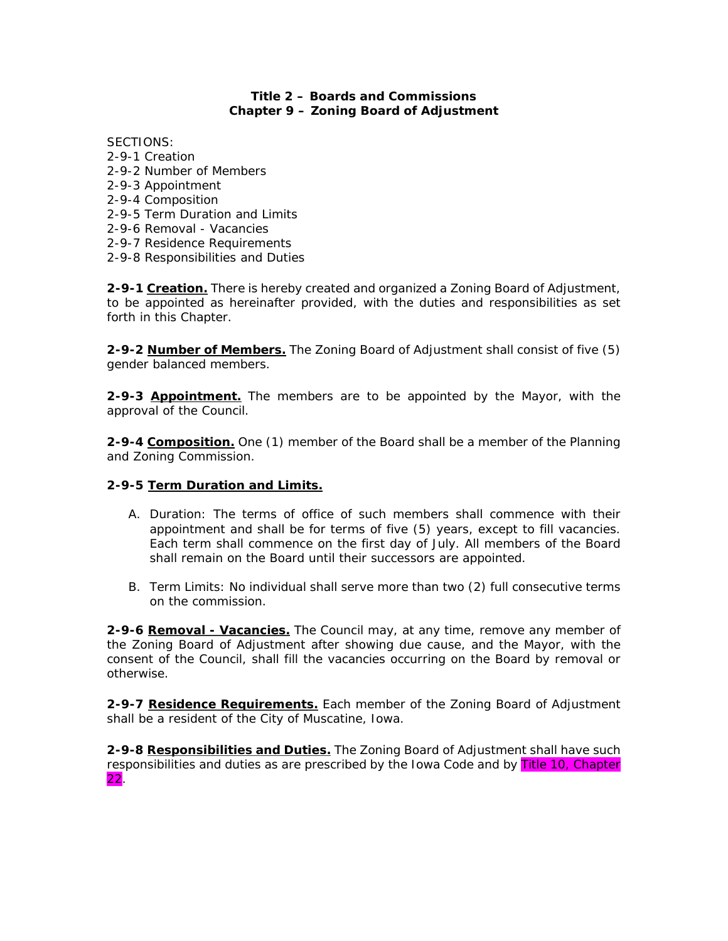# **Title 2 – Boards and Commissions Chapter 9 – Zoning Board of Adjustment**

- SECTIONS: 2-9-1 Creation 2-9-2 Number of Members 2-9-3 Appointment 2-9-4 Composition 2-9-5 Term Duration and Limits 2-9-6 Removal - Vacancies 2-9-7 Residence Requirements
- 2-9-8 Responsibilities and Duties

**2-9-1 Creation.** There is hereby created and organized a Zoning Board of Adjustment, to be appointed as hereinafter provided, with the duties and responsibilities as set forth in this Chapter.

**2-9-2 Number of Members.** The Zoning Board of Adjustment shall consist of five (5) gender balanced members.

**2-9-3 Appointment.** The members are to be appointed by the Mayor, with the approval of the Council.

**2-9-4 Composition.** One (1) member of the Board shall be a member of the Planning and Zoning Commission.

#### **2-9-5 Term Duration and Limits.**

- A. Duration: The terms of office of such members shall commence with their appointment and shall be for terms of five (5) years, except to fill vacancies. Each term shall commence on the first day of July. All members of the Board shall remain on the Board until their successors are appointed.
- B. Term Limits: No individual shall serve more than two (2) full consecutive terms on the commission.

**2-9-6 Removal - Vacancies.** The Council may, at any time, remove any member of the Zoning Board of Adjustment after showing due cause, and the Mayor, with the consent of the Council, shall fill the vacancies occurring on the Board by removal or otherwise.

**2-9-7 Residence Requirements.** Each member of the Zoning Board of Adjustment shall be a resident of the City of Muscatine, Iowa.

**2-9-8 Responsibilities and Duties.** The Zoning Board of Adjustment shall have such responsibilities and duties as are prescribed by the Iowa Code and by Title 10, Chapter 22.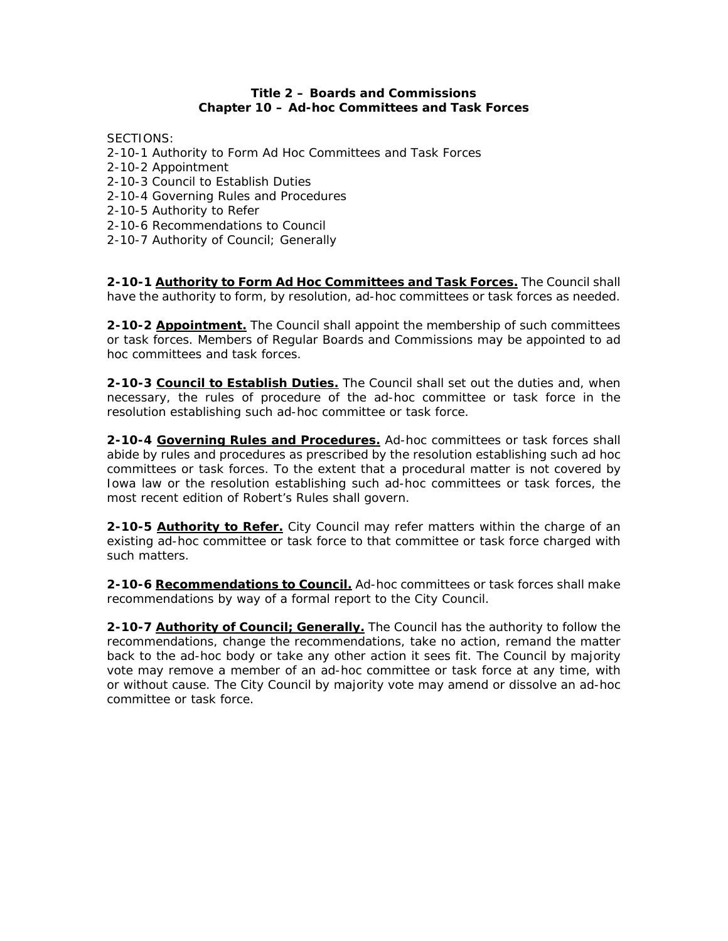#### **Title 2 – Boards and Commissions Chapter 10 – Ad-hoc Committees and Task Forces**

SECTIONS:

- 2-10-1 Authority to Form Ad Hoc Committees and Task Forces
- 2-10-2 Appointment
- 2-10-3 Council to Establish Duties
- 2-10-4 Governing Rules and Procedures
- 2-10-5 Authority to Refer
- 2-10-6 Recommendations to Council
- 2-10-7 Authority of Council; Generally

**2-10-1 Authority to Form Ad Hoc Committees and Task Forces.** The Council shall have the authority to form, by resolution, ad-hoc committees or task forces as needed.

**2-10-2 Appointment.** The Council shall appoint the membership of such committees or task forces. Members of Regular Boards and Commissions may be appointed to ad hoc committees and task forces.

**2-10-3 Council to Establish Duties.** The Council shall set out the duties and, when necessary, the rules of procedure of the ad-hoc committee or task force in the resolution establishing such ad-hoc committee or task force.

**2-10-4 Governing Rules and Procedures.** Ad-hoc committees or task forces shall abide by rules and procedures as prescribed by the resolution establishing such ad hoc committees or task forces. To the extent that a procedural matter is not covered by Iowa law or the resolution establishing such ad-hoc committees or task forces, the most recent edition of Robert's Rules shall govern.

**2-10-5 Authority to Refer.** City Council may refer matters within the charge of an existing ad-hoc committee or task force to that committee or task force charged with such matters.

**2-10-6 Recommendations to Council.** Ad-hoc committees or task forces shall make recommendations by way of a formal report to the City Council.

**2-10-7 Authority of Council; Generally.** The Council has the authority to follow the recommendations, change the recommendations, take no action, remand the matter back to the ad-hoc body or take any other action it sees fit. The Council by majority vote may remove a member of an ad-hoc committee or task force at any time, with or without cause. The City Council by majority vote may amend or dissolve an ad-hoc committee or task force.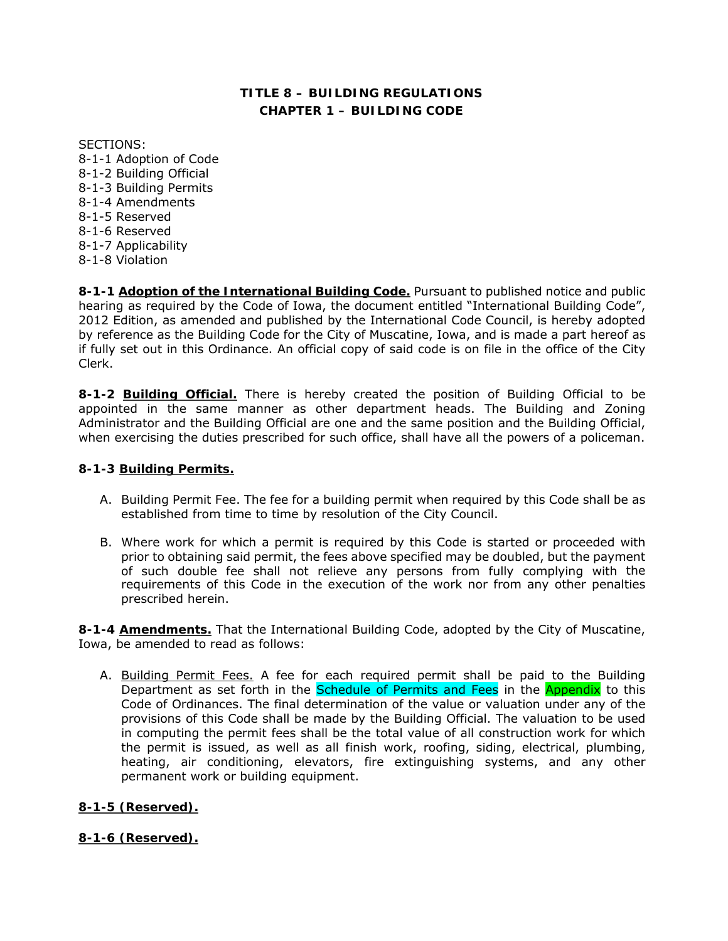# **TITLE 8 – BUILDING REGULATIONS CHAPTER 1 – BUILDING CODE**

SECTIONS: 8-1-1 Adoption of Code 8-1-2 Building Official 8-1-3 Building Permits 8-1-4 Amendments 8-1-5 Reserved 8-1-6 Reserved 8-1-7 Applicability 8-1-8 Violation

**8-1-1 Adoption of the International Building Code.** Pursuant to published notice and public hearing as required by the Code of Iowa, the document entitled "International Building Code", 2012 Edition, as amended and published by the International Code Council, is hereby adopted by reference as the Building Code for the City of Muscatine, Iowa, and is made a part hereof as if fully set out in this Ordinance. An official copy of said code is on file in the office of the City Clerk.

**8-1-2 Building Official.** There is hereby created the position of Building Official to be appointed in the same manner as other department heads. The Building and Zoning Administrator and the Building Official are one and the same position and the Building Official, when exercising the duties prescribed for such office, shall have all the powers of a policeman.

#### **8-1-3 Building Permits.**

- A. Building Permit Fee. The fee for a building permit when required by this Code shall be as established from time to time by resolution of the City Council.
- B. Where work for which a permit is required by this Code is started or proceeded with prior to obtaining said permit, the fees above specified may be doubled, but the payment of such double fee shall not relieve any persons from fully complying with the requirements of this Code in the execution of the work nor from any other penalties prescribed herein.

**8-1-4 Amendments.** That the International Building Code, adopted by the City of Muscatine, Iowa, be amended to read as follows:

A. Building Permit Fees. A fee for each required permit shall be paid to the Building Department as set forth in the Schedule of Permits and Fees in the Appendix to this Code of Ordinances. The final determination of the value or valuation under any of the provisions of this Code shall be made by the Building Official. The valuation to be used in computing the permit fees shall be the total value of all construction work for which the permit is issued, as well as all finish work, roofing, siding, electrical, plumbing, heating, air conditioning, elevators, fire extinguishing systems, and any other permanent work or building equipment.

# **8-1-5 (Reserved).**

#### **8-1-6 (Reserved).**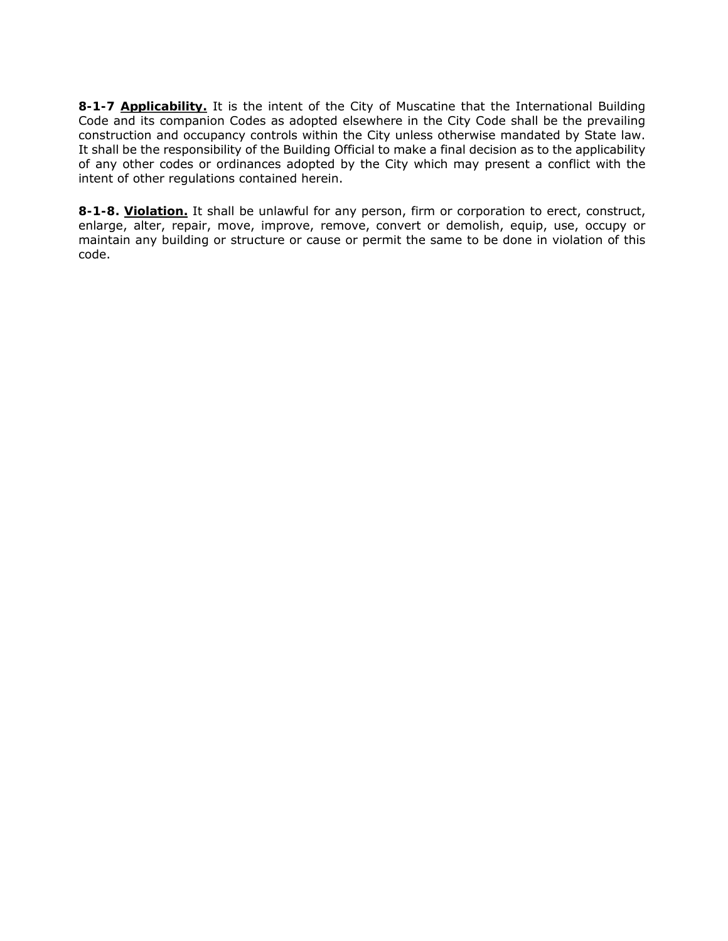**8-1-7 Applicability.** It is the intent of the City of Muscatine that the International Building Code and its companion Codes as adopted elsewhere in the City Code shall be the prevailing construction and occupancy controls within the City unless otherwise mandated by State law. It shall be the responsibility of the Building Official to make a final decision as to the applicability of any other codes or ordinances adopted by the City which may present a conflict with the intent of other regulations contained herein.

**8-1-8. Violation.** It shall be unlawful for any person, firm or corporation to erect, construct, enlarge, alter, repair, move, improve, remove, convert or demolish, equip, use, occupy or maintain any building or structure or cause or permit the same to be done in violation of this code.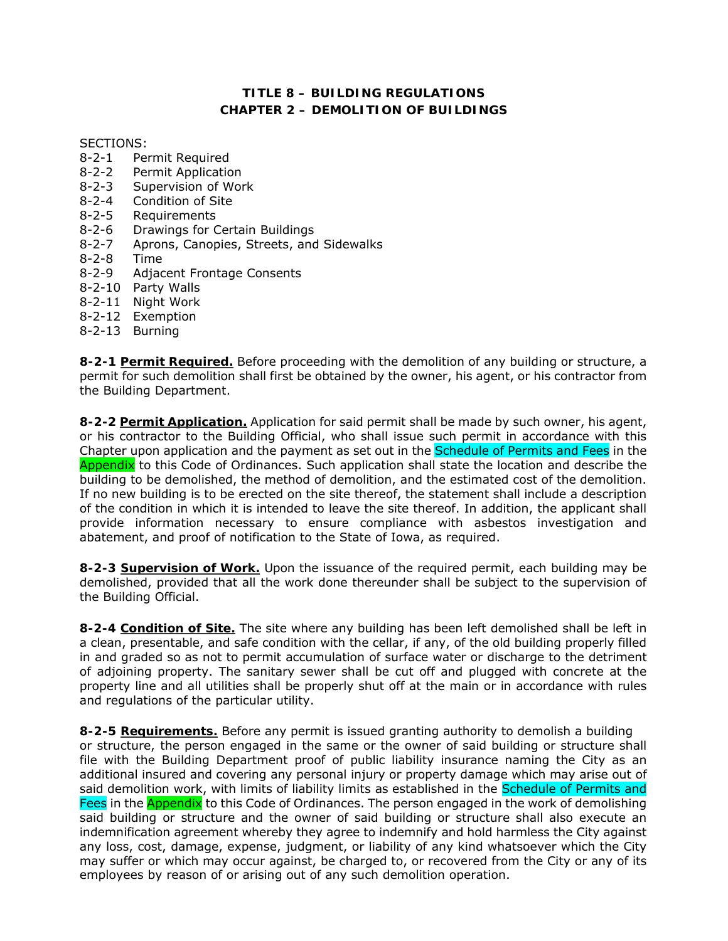# **TITLE 8 – BUILDING REGULATIONS CHAPTER 2 – DEMOLITION OF BUILDINGS**

#### SECTIONS:

- 8-2-1 Permit Required
- 8-2-2 Permit Application
- 8-2-3 Supervision of Work
- 8-2-4 Condition of Site
- 8-2-5 Requirements
- 8-2-6 Drawings for Certain Buildings
- 8-2-7 Aprons, Canopies, Streets, and Sidewalks
- 8-2-8 Time
- 8-2-9 Adjacent Frontage Consents
- 8-2-10 Party Walls
- 8-2-11 Night Work
- 8-2-12 Exemption
- 8-2-13 Burning

**8-2-1 Permit Required.** Before proceeding with the demolition of any building or structure, a permit for such demolition shall first be obtained by the owner, his agent, or his contractor from the Building Department.

**8-2-2 Permit Application.** Application for said permit shall be made by such owner, his agent, or his contractor to the Building Official, who shall issue such permit in accordance with this Chapter upon application and the payment as set out in the Schedule of Permits and Fees in the Appendix to this Code of Ordinances. Such application shall state the location and describe the building to be demolished, the method of demolition, and the estimated cost of the demolition. If no new building is to be erected on the site thereof, the statement shall include a description of the condition in which it is intended to leave the site thereof. In addition, the applicant shall provide information necessary to ensure compliance with asbestos investigation and abatement, and proof of notification to the State of Iowa, as required.

**8-2-3 Supervision of Work.** Upon the issuance of the required permit, each building may be demolished, provided that all the work done thereunder shall be subject to the supervision of the Building Official.

**8-2-4 Condition of Site.** The site where any building has been left demolished shall be left in a clean, presentable, and safe condition with the cellar, if any, of the old building properly filled in and graded so as not to permit accumulation of surface water or discharge to the detriment of adjoining property. The sanitary sewer shall be cut off and plugged with concrete at the property line and all utilities shall be properly shut off at the main or in accordance with rules and regulations of the particular utility.

**8-2-5 Requirements.** Before any permit is issued granting authority to demolish a building or structure, the person engaged in the same or the owner of said building or structure shall file with the Building Department proof of public liability insurance naming the City as an additional insured and covering any personal injury or property damage which may arise out of said demolition work, with limits of liability limits as established in the Schedule of Permits and Fees in the **Appendix** to this Code of Ordinances. The person engaged in the work of demolishing said building or structure and the owner of said building or structure shall also execute an indemnification agreement whereby they agree to indemnify and hold harmless the City against any loss, cost, damage, expense, judgment, or liability of any kind whatsoever which the City may suffer or which may occur against, be charged to, or recovered from the City or any of its employees by reason of or arising out of any such demolition operation.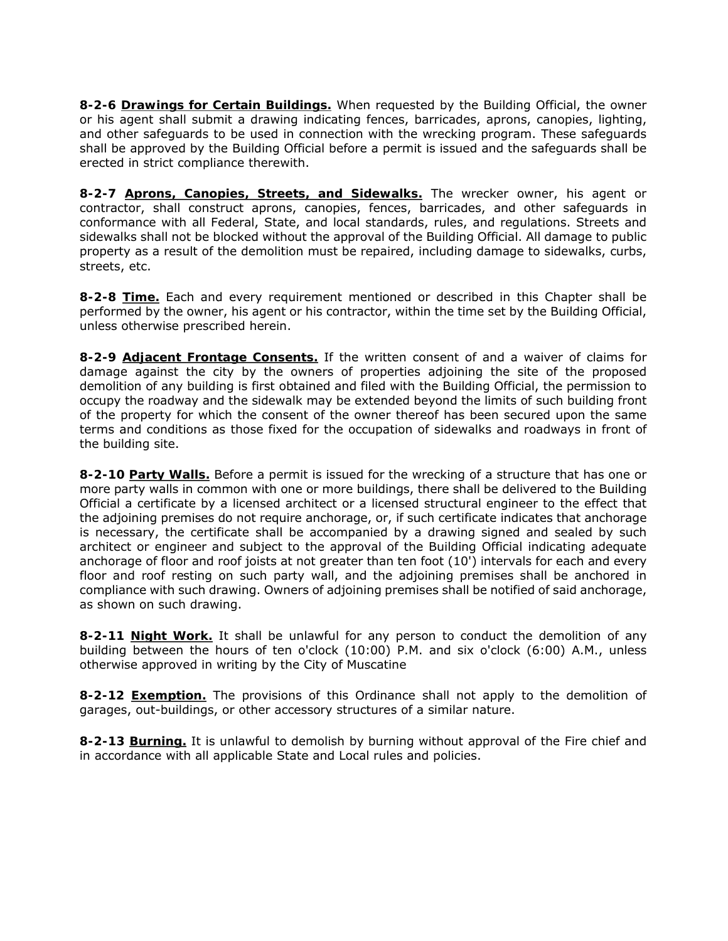**8-2-6 Drawings for Certain Buildings.** When requested by the Building Official, the owner or his agent shall submit a drawing indicating fences, barricades, aprons, canopies, lighting, and other safeguards to be used in connection with the wrecking program. These safeguards shall be approved by the Building Official before a permit is issued and the safeguards shall be erected in strict compliance therewith.

**8-2-7 Aprons, Canopies, Streets, and Sidewalks.** The wrecker owner, his agent or contractor, shall construct aprons, canopies, fences, barricades, and other safeguards in conformance with all Federal, State, and local standards, rules, and regulations. Streets and sidewalks shall not be blocked without the approval of the Building Official. All damage to public property as a result of the demolition must be repaired, including damage to sidewalks, curbs, streets, etc.

**8-2-8 Time.** Each and every requirement mentioned or described in this Chapter shall be performed by the owner, his agent or his contractor, within the time set by the Building Official, unless otherwise prescribed herein.

**8-2-9 Adjacent Frontage Consents.** If the written consent of and a waiver of claims for damage against the city by the owners of properties adjoining the site of the proposed demolition of any building is first obtained and filed with the Building Official, the permission to occupy the roadway and the sidewalk may be extended beyond the limits of such building front of the property for which the consent of the owner thereof has been secured upon the same terms and conditions as those fixed for the occupation of sidewalks and roadways in front of the building site.

**8-2-10 Party Walls.** Before a permit is issued for the wrecking of a structure that has one or more party walls in common with one or more buildings, there shall be delivered to the Building Official a certificate by a licensed architect or a licensed structural engineer to the effect that the adjoining premises do not require anchorage, or, if such certificate indicates that anchorage is necessary, the certificate shall be accompanied by a drawing signed and sealed by such architect or engineer and subject to the approval of the Building Official indicating adequate anchorage of floor and roof joists at not greater than ten foot (10') intervals for each and every floor and roof resting on such party wall, and the adjoining premises shall be anchored in compliance with such drawing. Owners of adjoining premises shall be notified of said anchorage, as shown on such drawing.

**8-2-11 Night Work.** It shall be unlawful for any person to conduct the demolition of any building between the hours of ten o'clock (10:00) P.M. and six o'clock (6:00) A.M., unless otherwise approved in writing by the City of Muscatine

**8-2-12 Exemption.** The provisions of this Ordinance shall not apply to the demolition of garages, out-buildings, or other accessory structures of a similar nature.

**8-2-13 Burning.** It is unlawful to demolish by burning without approval of the Fire chief and in accordance with all applicable State and Local rules and policies.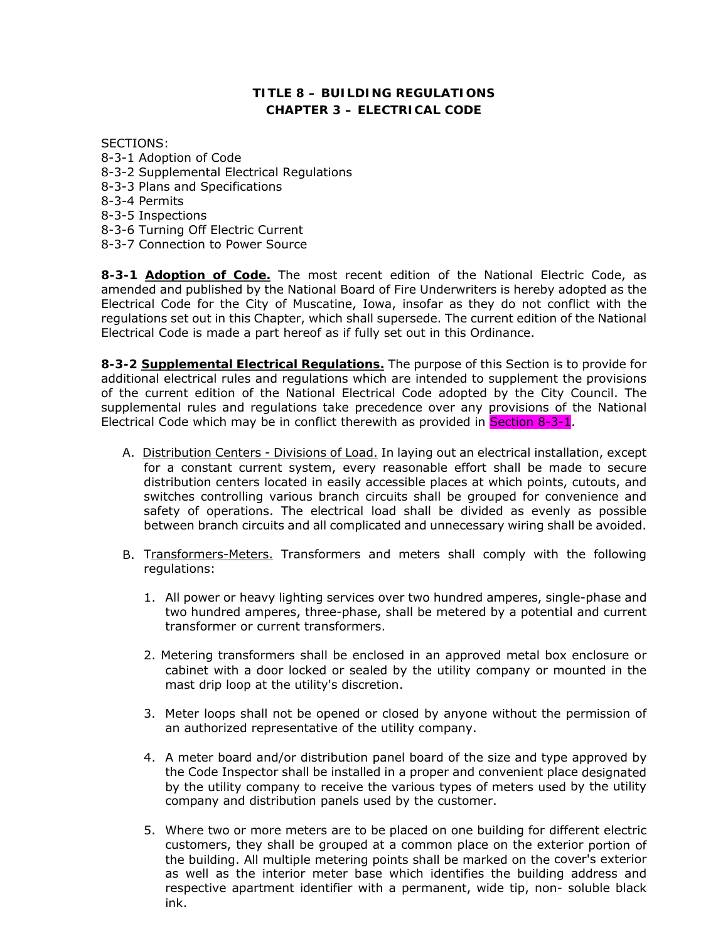# **TITLE 8 – BUILDING REGULATIONS CHAPTER 3 – ELECTRICAL CODE**

SECTIONS:

- 8-3-1 Adoption of Code
- 8-3-2 Supplemental Electrical Regulations
- 8-3-3 Plans and Specifications
- 8-3-4 Permits
- 8-3-5 Inspections
- 8-3-6 Turning Off Electric Current
- 8-3-7 Connection to Power Source

**8-3-1 Adoption of Code.** The most recent edition of the National Electric Code, as amended and published by the National Board of Fire Underwriters is hereby adopted as the Electrical Code for the City of Muscatine, Iowa, insofar as they do not conflict with the regulations set out in this Chapter, which shall supersede. The current edition of the National Electrical Code is made a part hereof as if fully set out in this Ordinance.

**8-3-2 Supplemental Electrical Regulations.** The purpose of this Section is to provide for additional electrical rules and regulations which are intended to supplement the provisions of the current edition of the National Electrical Code adopted by the City Council. The supplemental rules and regulations take precedence over any provisions of the National Electrical Code which may be in conflict therewith as provided in **Section 8-3-1**.

- A. Distribution Centers Divisions of Load. In laying out an electrical installation, except for a constant current system, every reasonable effort shall be made to secure distribution centers located in easily accessible places at which points, cutouts, and switches controlling various branch circuits shall be grouped for convenience and safety of operations. The electrical load shall be divided as evenly as possible between branch circuits and all complicated and unnecessary wiring shall be avoided.
- B. Transformers-Meters. Transformers and meters shall comply with the following regulations:
	- 1. All power or heavy lighting services over two hundred amperes, single-phase and two hundred amperes, three-phase, shall be metered by a potential and current transformer or current transformers.
	- 2. Metering transformers shall be enclosed in an approved metal box enclosure or cabinet with a door locked or sealed by the utility company or mounted in the mast drip loop at the utility's discretion.
	- 3. Meter loops shall not be opened or closed by anyone without the permission of an authorized representative of the utility company.
	- 4. A meter board and/or distribution panel board of the size and type approved by the Code Inspector shall be installed in a proper and convenient place designated by the utility company to receive the various types of meters used by the utility company and distribution panels used by the customer.
	- 5. Where two or more meters are to be placed on one building for different electric customers, they shall be grouped at a common place on the exterior portion of the building. All multiple metering points shall be marked on the cover's exterior as well as the interior meter base which identifies the building address and respective apartment identifier with a permanent, wide tip, non- soluble black ink.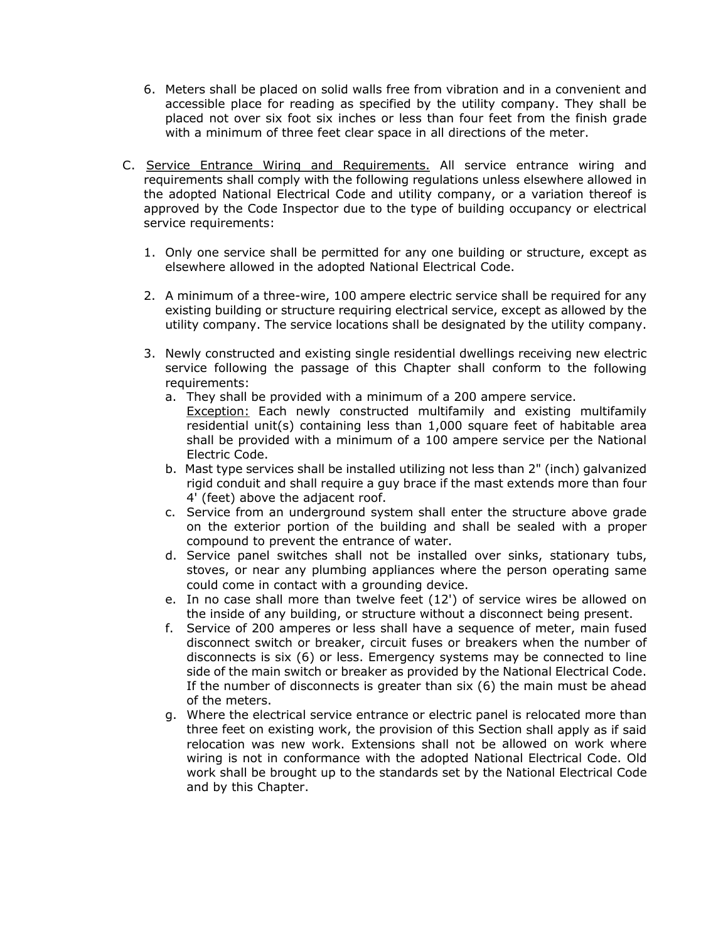- 6. Meters shall be placed on solid walls free from vibration and in a convenient and accessible place for reading as specified by the utility company. They shall be placed not over six foot six inches or less than four feet from the finish grade with a minimum of three feet clear space in all directions of the meter.
- C. Service Entrance Wiring and Requirements. All service entrance wiring and requirements shall comply with the following regulations unless elsewhere allowed in the adopted National Electrical Code and utility company, or a variation thereof is approved by the Code Inspector due to the type of building occupancy or electrical service requirements:
	- 1. Only one service shall be permitted for any one building or structure, except as elsewhere allowed in the adopted National Electrical Code.
	- 2. A minimum of a three-wire, 100 ampere electric service shall be required for any existing building or structure requiring electrical service, except as allowed by the utility company. The service locations shall be designated by the utility company.
	- 3. Newly constructed and existing single residential dwellings receiving new electric service following the passage of this Chapter shall conform to the following requirements:
		- a. They shall be provided with a minimum of a 200 ampere service. Exception: Each newly constructed multifamily and existing multifamily residential unit(s) containing less than 1,000 square feet of habitable area shall be provided with a minimum of a 100 ampere service per the National Electric Code.
		- b. Mast type services shall be installed utilizing not less than 2" (inch) galvanized rigid conduit and shall require a guy brace if the mast extends more than four 4' (feet) above the adjacent roof.
		- c. Service from an underground system shall enter the structure above grade on the exterior portion of the building and shall be sealed with a proper compound to prevent the entrance of water.
		- d. Service panel switches shall not be installed over sinks, stationary tubs, stoves, or near any plumbing appliances where the person operating same could come in contact with a grounding device.
		- e. In no case shall more than twelve feet (12') of service wires be allowed on the inside of any building, or structure without a disconnect being present.
		- f. Service of 200 amperes or less shall have a sequence of meter, main fused disconnect switch or breaker, circuit fuses or breakers when the number of disconnects is six (6) or less. Emergency systems may be connected to line side of the main switch or breaker as provided by the National Electrical Code. If the number of disconnects is greater than six (6) the main must be ahead of the meters.
		- g. Where the electrical service entrance or electric panel is relocated more than three feet on existing work, the provision of this Section shall apply as if said relocation was new work. Extensions shall not be allowed on work where wiring is not in conformance with the adopted National Electrical Code. Old work shall be brought up to the standards set by the National Electrical Code and by this Chapter.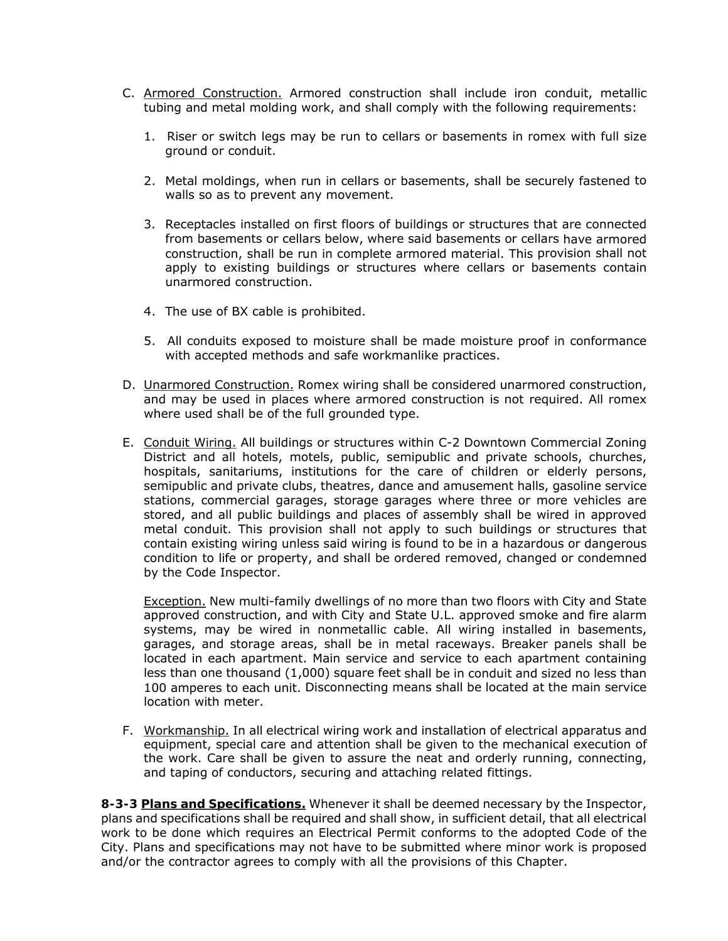- C. Armored Construction. Armored construction shall include iron conduit, metallic tubing and metal molding work, and shall comply with the following requirements:
	- 1. Riser or switch legs may be run to cellars or basements in romex with full size ground or conduit.
	- 2. Metal moldings, when run in cellars or basements, shall be securely fastened to walls so as to prevent any movement.
	- 3. Receptacles installed on first floors of buildings or structures that are connected from basements or cellars below, where said basements or cellars have armored construction, shall be run in complete armored material. This provision shall not apply to existing buildings or structures where cellars or basements contain unarmored construction.
	- 4. The use of BX cable is prohibited.
	- 5. All conduits exposed to moisture shall be made moisture proof in conformance with accepted methods and safe workmanlike practices.
- D. Unarmored Construction. Romex wiring shall be considered unarmored construction, and may be used in places where armored construction is not required. All romex where used shall be of the full grounded type.
- E. Conduit Wiring. All buildings or structures within C-2 Downtown Commercial Zoning District and all hotels, motels, public, semipublic and private schools, churches, hospitals, sanitariums, institutions for the care of children or elderly persons, semipublic and private clubs, theatres, dance and amusement halls, gasoline service stations, commercial garages, storage garages where three or more vehicles are stored, and all public buildings and places of assembly shall be wired in approved metal conduit. This provision shall not apply to such buildings or structures that contain existing wiring unless said wiring is found to be in a hazardous or dangerous condition to life or property, and shall be ordered removed, changed or condemned by the Code Inspector.

Exception. New multi-family dwellings of no more than two floors with City and State approved construction, and with City and State U.L. approved smoke and fire alarm systems, may be wired in nonmetallic cable. All wiring installed in basements, garages, and storage areas, shall be in metal raceways. Breaker panels shall be located in each apartment. Main service and service to each apartment containing less than one thousand (1,000) square feet shall be in conduit and sized no less than 100 amperes to each unit. Disconnecting means shall be located at the main service location with meter.

F. Workmanship. In all electrical wiring work and installation of electrical apparatus and equipment, special care and attention shall be given to the mechanical execution of the work. Care shall be given to assure the neat and orderly running, connecting, and taping of conductors, securing and attaching related fittings.

**8-3-3 Plans and Specifications.** Whenever it shall be deemed necessary by the Inspector, plans and specifications shall be required and shall show, in sufficient detail, that all electrical work to be done which requires an Electrical Permit conforms to the adopted Code of the City. Plans and specifications may not have to be submitted where minor work is proposed and/or the contractor agrees to comply with all the provisions of this Chapter.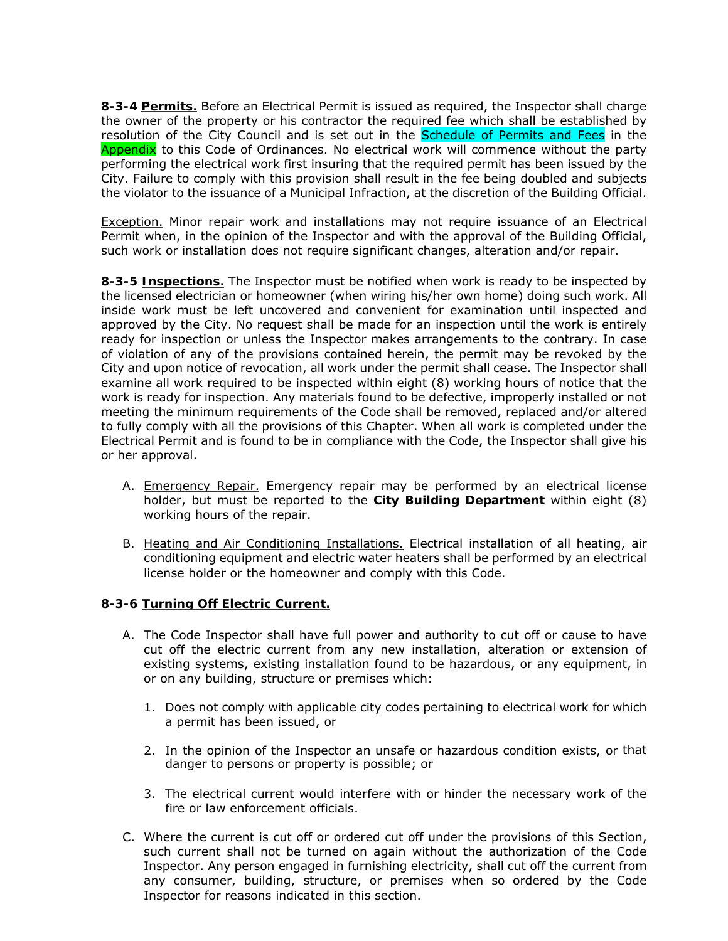**8-3-4 Permits.** Before an Electrical Permit is issued as required, the Inspector shall charge the owner of the property or his contractor the required fee which shall be established by resolution of the City Council and is set out in the **Schedule of Permits and Fees** in the Appendix to this Code of Ordinances. No electrical work will commence without the party performing the electrical work first insuring that the required permit has been issued by the City. Failure to comply with this provision shall result in the fee being doubled and subjects the violator to the issuance of a Municipal Infraction, at the discretion of the Building Official.

Exception. Minor repair work and installations may not require issuance of an Electrical Permit when, in the opinion of the Inspector and with the approval of the Building Official, such work or installation does not require significant changes, alteration and/or repair.

**8-3-5 Inspections.** The Inspector must be notified when work is ready to be inspected by the licensed electrician or homeowner (when wiring his/her own home) doing such work. All inside work must be left uncovered and convenient for examination until inspected and approved by the City. No request shall be made for an inspection until the work is entirely ready for inspection or unless the Inspector makes arrangements to the contrary. In case of violation of any of the provisions contained herein, the permit may be revoked by the City and upon notice of revocation, all work under the permit shall cease. The Inspector shall examine all work required to be inspected within eight (8) working hours of notice that the work is ready for inspection. Any materials found to be defective, improperly installed or not meeting the minimum requirements of the Code shall be removed, replaced and/or altered to fully comply with all the provisions of this Chapter. When all work is completed under the Electrical Permit and is found to be in compliance with the Code, the Inspector shall give his or her approval.

- A. Emergency Repair. Emergency repair may be performed by an electrical license holder, but must be reported to the **City Building Department** within eight (8) working hours of the repair.
- B. Heating and Air Conditioning Installations. Electrical installation of all heating, air conditioning equipment and electric water heaters shall be performed by an electrical license holder or the homeowner and comply with this Code.

#### **8-3-6 Turning Off Electric Current.**

- A. The Code Inspector shall have full power and authority to cut off or cause to have cut off the electric current from any new installation, alteration or extension of existing systems, existing installation found to be hazardous, or any equipment, in or on any building, structure or premises which:
	- 1. Does not comply with applicable city codes pertaining to electrical work for which a permit has been issued, or
	- 2. In the opinion of the Inspector an unsafe or hazardous condition exists, or that danger to persons or property is possible; or
	- 3. The electrical current would interfere with or hinder the necessary work of the fire or law enforcement officials.
- C. Where the current is cut off or ordered cut off under the provisions of this Section, such current shall not be turned on again without the authorization of the Code Inspector. Any person engaged in furnishing electricity, shall cut off the current from any consumer, building, structure, or premises when so ordered by the Code Inspector for reasons indicated in this section.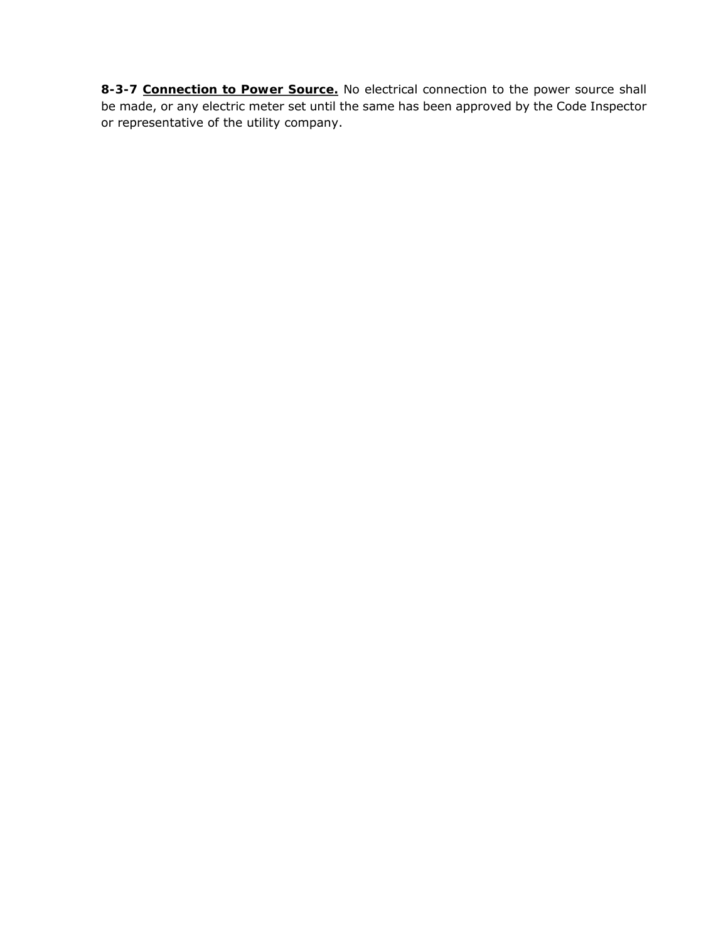**8-3-7 Connection to Power Source.** No electrical connection to the power source shall be made, or any electric meter set until the same has been approved by the Code Inspector or representative of the utility company.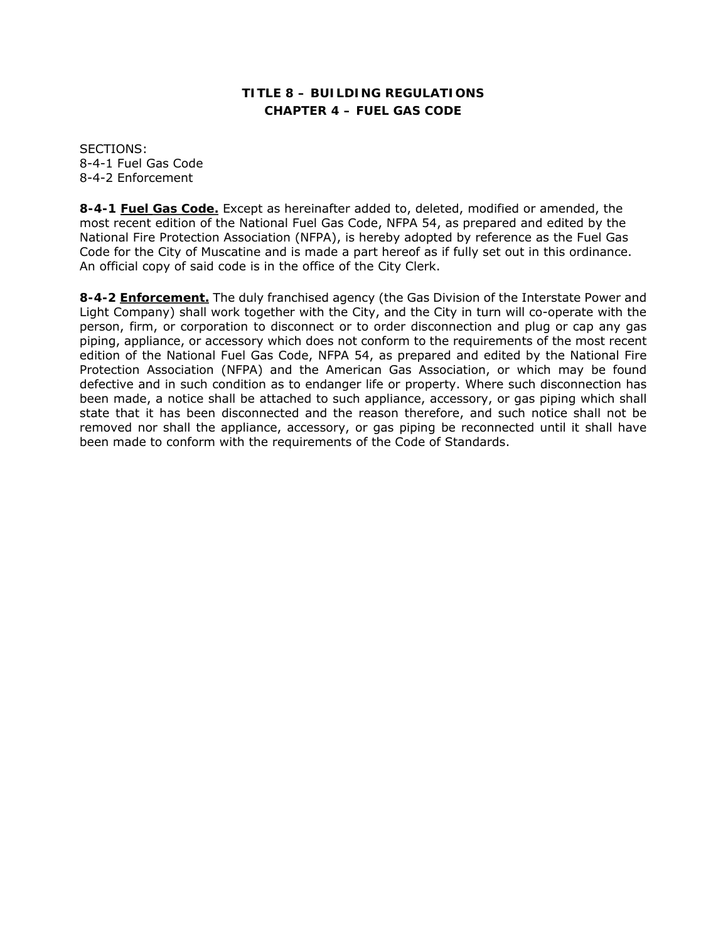# **TITLE 8 – BUILDING REGULATIONS CHAPTER 4 – FUEL GAS CODE**

SECTIONS: 8-4-1 Fuel Gas Code 8-4-2 Enforcement

**8-4-1 Fuel Gas Code.** Except as hereinafter added to, deleted, modified or amended, the most recent edition of the National Fuel Gas Code, NFPA 54, as prepared and edited by the National Fire Protection Association (NFPA), is hereby adopted by reference as the Fuel Gas Code for the City of Muscatine and is made a part hereof as if fully set out in this ordinance. An official copy of said code is in the office of the City Clerk.

**8-4-2 Enforcement.** The duly franchised agency (the Gas Division of the Interstate Power and Light Company) shall work together with the City, and the City in turn will co-operate with the person, firm, or corporation to disconnect or to order disconnection and plug or cap any gas piping, appliance, or accessory which does not conform to the requirements of the most recent edition of the National Fuel Gas Code, NFPA 54, as prepared and edited by the National Fire Protection Association (NFPA) and the American Gas Association, or which may be found defective and in such condition as to endanger life or property. Where such disconnection has been made, a notice shall be attached to such appliance, accessory, or gas piping which shall state that it has been disconnected and the reason therefore, and such notice shall not be removed nor shall the appliance, accessory, or gas piping be reconnected until it shall have been made to conform with the requirements of the Code of Standards.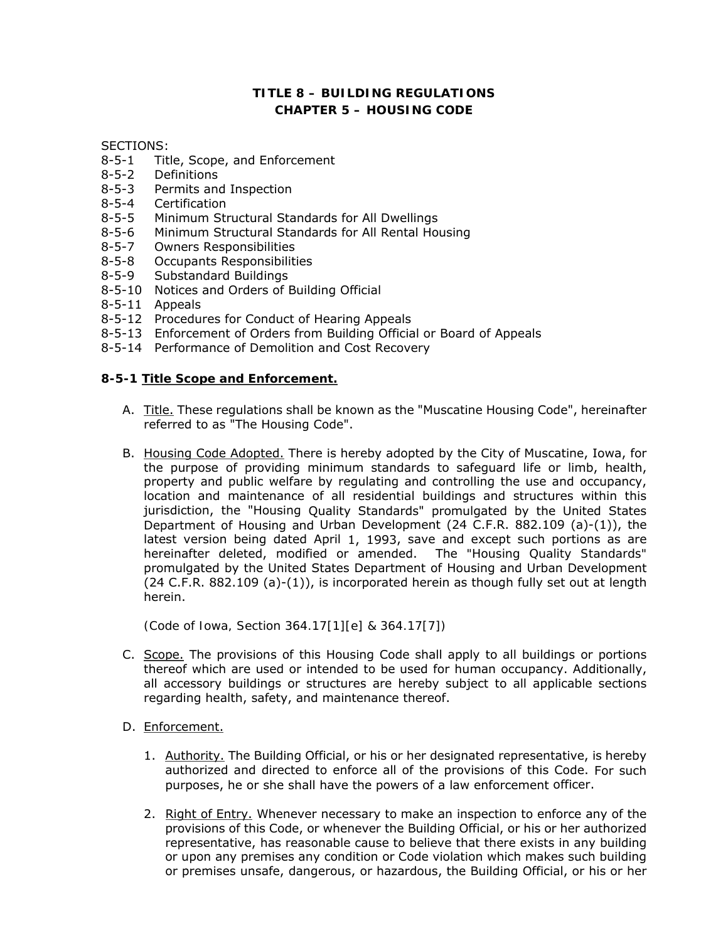# **TITLE 8 – BUILDING REGULATIONS CHAPTER 5 – HOUSING CODE**

SECTIONS:

- 8-5-1 Title, Scope, and Enforcement
- 8-5-2 Definitions
- 8-5-3 Permits and Inspection
- 8-5-4 Certification
- 8-5-5 Minimum Structural Standards for All Dwellings
- 8-5-6 Minimum Structural Standards for All Rental Housing
- 8-5-7 Owners Responsibilities
- 8-5-8 Occupants Responsibilities
- 8-5-9 Substandard Buildings
- 8-5-10 Notices and Orders of Building Official
- 8-5-11 Appeals
- 8-5-12 Procedures for Conduct of Hearing Appeals
- 8-5-13 Enforcement of Orders from Building Official or Board of Appeals
- 8-5-14 Performance of Demolition and Cost Recovery

#### **8-5-1 Title Scope and Enforcement.**

- A. Title. These regulations shall be known as the "Muscatine Housing Code", hereinafter referred to as "The Housing Code".
- B. Housing Code Adopted. There is hereby adopted by the City of Muscatine, Iowa, for the purpose of providing minimum standards to safeguard life or limb, health, property and public welfare by regulating and controlling the use and occupancy, location and maintenance of all residential buildings and structures within this jurisdiction, the "Housing Quality Standards" promulgated by the United States Department of Housing and Urban Development (24 C.F.R. 882.109 (a)-(1)), the latest version being dated April 1, 1993, save and except such portions as are hereinafter deleted, modified or amended. The *"Housing Quality Standards"*  promulgated by the United States Department of Housing and Urban Development (24 C.F.R. 882.109 (a)-(1)), is incorporated herein as though fully set out at length herein.

*(Code of Iowa, Section 364.17[1][e] & 364.17[7])* 

- C. Scope. The provisions of this Housing Code shall apply to all buildings or portions thereof which are used or intended to be used for human occupancy. Additionally, all accessory buildings or structures are hereby subject to all applicable sections regarding health, safety, and maintenance thereof.
- D. Enforcement.
	- 1. Authority. The Building Official, or his or her designated representative, is hereby authorized and directed to enforce all of the provisions of this Code. For such purposes, he or she shall have the powers of a law enforcement officer.
	- 2. Right of Entry. Whenever necessary to make an inspection to enforce any of the provisions of this Code, or whenever the Building Official, or his or her authorized representative, has reasonable cause to believe that there exists in any building or upon any premises any condition or Code violation which makes such building or premises unsafe, dangerous, or hazardous, the Building Official, or his or her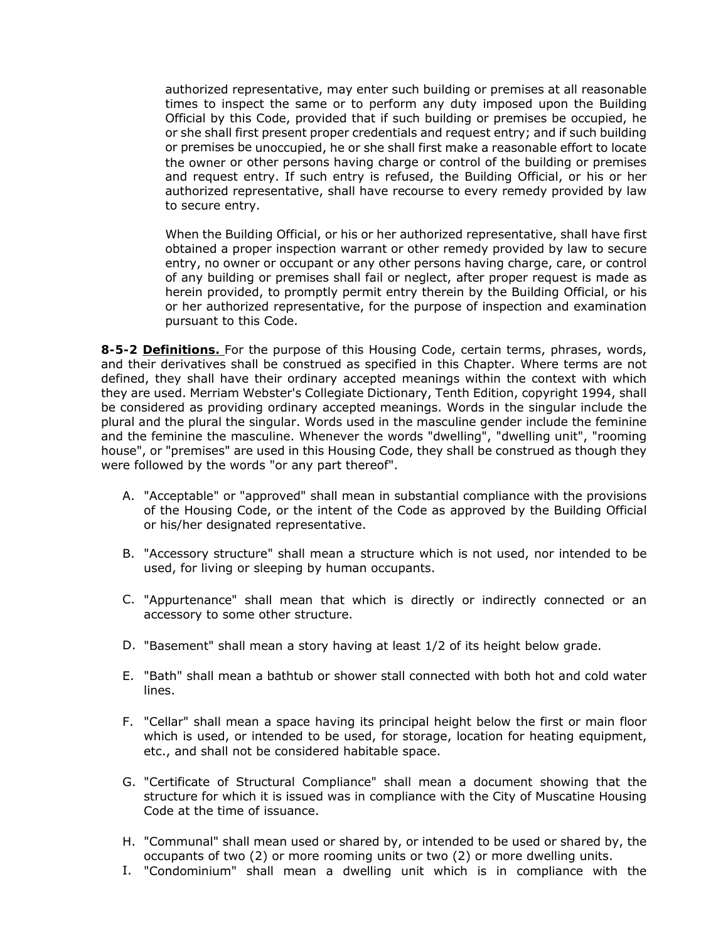authorized representative, may enter such building or premises at all reasonable times to inspect the same or to perform any duty imposed upon the Building Official by this Code, provided that if such building or premises be occupied, he or she shall first present proper credentials and request entry; and if such building or premises be unoccupied, he or she shall first make a reasonable effort to locate the owner or other persons having charge or control of the building or premises and request entry. If such entry is refused, the Building Official, or his or her authorized representative, shall have recourse to every remedy provided by law to secure entry.

When the Building Official, or his or her authorized representative, shall have first obtained a proper inspection warrant or other remedy provided by law to secure entry, no owner or occupant or any other persons having charge, care, or control of any building or premises shall fail or neglect, after proper request is made as herein provided, to promptly permit entry therein by the Building Official, or his or her authorized representative, for the purpose of inspection and examination pursuant to this Code.

**8-5-2 Definitions.** For the purpose of this Housing Code, certain terms, phrases, words, and their derivatives shall be construed as specified in this Chapter. Where terms are not defined, they shall have their ordinary accepted meanings within the context with which they are used. Merriam Webster's Collegiate Dictionary, Tenth Edition, copyright 1994, shall be considered as providing ordinary accepted meanings. Words in the singular include the plural and the plural the singular. Words used in the masculine gender include the feminine and the feminine the masculine. Whenever the words "dwelling", "dwelling unit", "rooming house", or "premises" are used in this Housing Code, they shall be construed as though they were followed by the words "or any part thereof".

- A. "Acceptable" or "approved" shall mean in substantial compliance with the provisions of the Housing Code, or the intent of the Code as approved by the Building Official or his/her designated representative.
- B. "Accessory structure" shall mean a structure which is not used, nor intended to be used, for living or sleeping by human occupants.
- C. "Appurtenance" shall mean that which is directly or indirectly connected or an accessory to some other structure.
- D. "Basement" shall mean a story having at least 1/2 of its height below grade.
- E. "Bath" shall mean a bathtub or shower stall connected with both hot and cold water lines.
- F. "Cellar" shall mean a space having its principal height below the first or main floor which is used, or intended to be used, for storage, location for heating equipment, etc., and shall not be considered habitable space.
- G. "Certificate of Structural Compliance" shall mean a document showing that the structure for which it is issued was in compliance with the City of Muscatine Housing Code at the time of issuance.
- H. "Communal" shall mean used or shared by, or intended to be used or shared by, the occupants of two (2) or more rooming units or two (2) or more dwelling units.
- I. "Condominium" shall mean a dwelling unit which is in compliance with the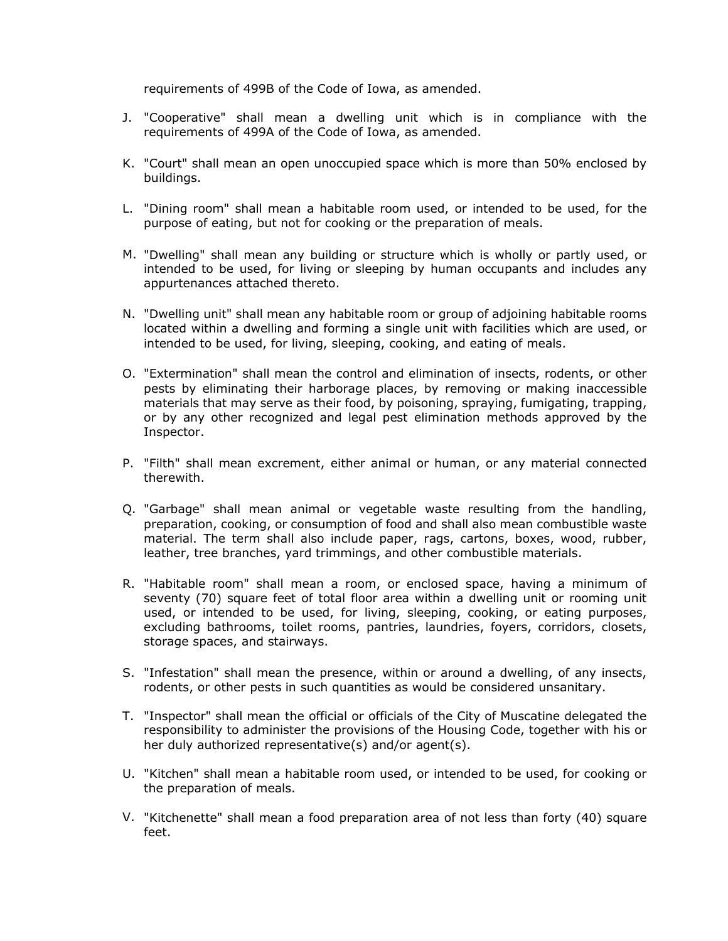requirements of 499B of the Code of Iowa, as amended.

- J. "Cooperative" shall mean a dwelling unit which is in compliance with the requirements of 499A of the Code of Iowa, as amended.
- K. "Court" shall mean an open unoccupied space which is more than 50% enclosed by buildings.
- L. "Dining room" shall mean a habitable room used, or intended to be used, for the purpose of eating, but not for cooking or the preparation of meals.
- M. "Dwelling" shall mean any building or structure which is wholly or partly used, or intended to be used, for living or sleeping by human occupants and includes any appurtenances attached thereto.
- N. "Dwelling unit" shall mean any habitable room or group of adjoining habitable rooms located within a dwelling and forming a single unit with facilities which are used, or intended to be used, for living, sleeping, cooking, and eating of meals.
- O. "Extermination" shall mean the control and elimination of insects, rodents, or other pests by eliminating their harborage places, by removing or making inaccessible materials that may serve as their food, by poisoning, spraying, fumigating, trapping, or by any other recognized and legal pest elimination methods approved by the Inspector.
- P. "Filth" shall mean excrement, either animal or human, or any material connected therewith.
- Q. "Garbage" shall mean animal or vegetable waste resulting from the handling, preparation, cooking, or consumption of food and shall also mean combustible waste material. The term shall also include paper, rags, cartons, boxes, wood, rubber, leather, tree branches, yard trimmings, and other combustible materials.
- R. "Habitable room" shall mean a room, or enclosed space, having a minimum of seventy (70) square feet of total floor area within a dwelling unit or rooming unit used, or intended to be used, for living, sleeping, cooking, or eating purposes, excluding bathrooms, toilet rooms, pantries, laundries, foyers, corridors, closets, storage spaces, and stairways.
- S. "Infestation" shall mean the presence, within or around a dwelling, of any insects, rodents, or other pests in such quantities as would be considered unsanitary.
- T. "Inspector" shall mean the official or officials of the City of Muscatine delegated the responsibility to administer the provisions of the Housing Code, together with his or her duly authorized representative(s) and/or agent(s).
- U. "Kitchen" shall mean a habitable room used, or intended to be used, for cooking or the preparation of meals.
- V. "Kitchenette" shall mean a food preparation area of not less than forty (40) square feet.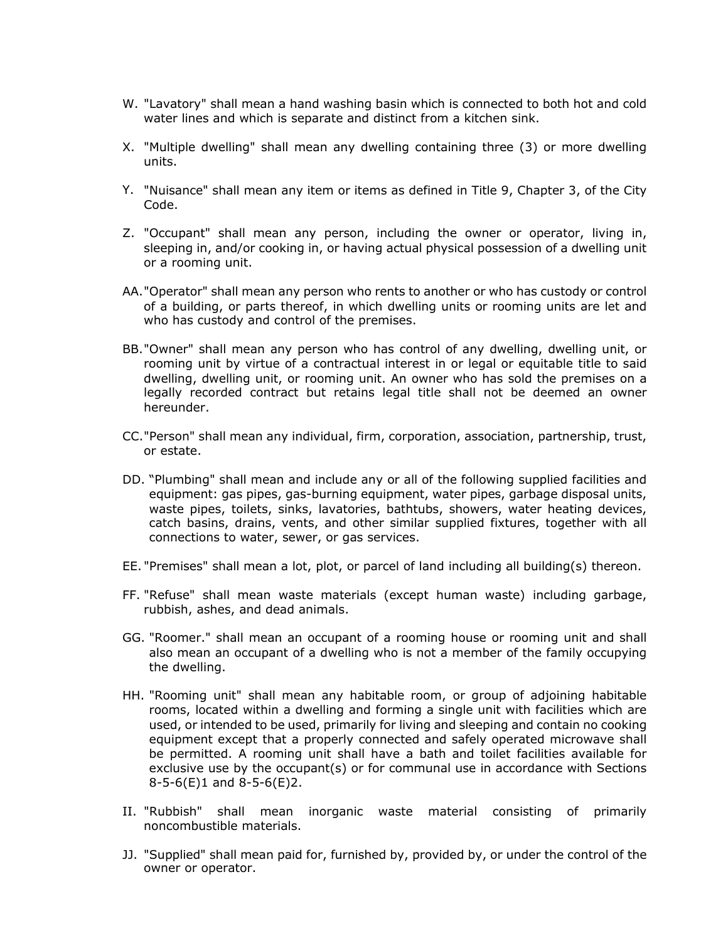- W. "Lavatory" shall mean a hand washing basin which is connected to both hot and cold water lines and which is separate and distinct from a kitchen sink.
- X. "Multiple dwelling" shall mean any dwelling containing three (3) or more dwelling units.
- Y. "Nuisance" shall mean any item or items as defined in Title 9, Chapter 3, of the City Code.
- Z. "Occupant" shall mean any person, including the owner or operator, living in, sleeping in, and/or cooking in, or having actual physical possession of a dwelling unit or a rooming unit.
- AA."Operator" shall mean any person who rents to another or who has custody or control of a building, or parts thereof, in which dwelling units or rooming units are let and who has custody and control of the premises.
- BB."Owner" shall mean any person who has control of any dwelling, dwelling unit, or rooming unit by virtue of a contractual interest in or legal or equitable title to said dwelling, dwelling unit, or rooming unit. An owner who has sold the premises on a legally recorded contract but retains legal title shall not be deemed an owner hereunder.
- CC."Person" shall mean any individual, firm, corporation, association, partnership, trust, or estate.
- DD. "Plumbing" shall mean and include any or all of the following supplied facilities and equipment: gas pipes, gas-burning equipment, water pipes, garbage disposal units, waste pipes, toilets, sinks, lavatories, bathtubs, showers, water heating devices, catch basins, drains, vents, and other similar supplied fixtures, together with all connections to water, sewer, or gas services.
- EE. "Premises" shall mean a lot, plot, or parcel of land including all building(s) thereon.
- FF. "Refuse" shall mean waste materials (except human waste) including garbage, rubbish, ashes, and dead animals.
- GG. "Roomer." shall mean an occupant of a rooming house or rooming unit and shall also mean an occupant of a dwelling who is not a member of the family occupying the dwelling.
- HH. "Rooming unit" shall mean any habitable room, or group of adjoining habitable rooms, located within a dwelling and forming a single unit with facilities which are used, or intended to be used, primarily for living and sleeping and contain no cooking equipment except that a properly connected and safely operated microwave shall be permitted. A rooming unit shall have a bath and toilet facilities available for exclusive use by the occupant(s) or for communal use in accordance with Sections 8-5-6(E)1 and 8-5-6(E)2.
- II. "Rubbish" shall mean inorganic waste material consisting of primarily noncombustible materials.
- JJ. "Supplied" shall mean paid for, furnished by, provided by, or under the control of the owner or operator.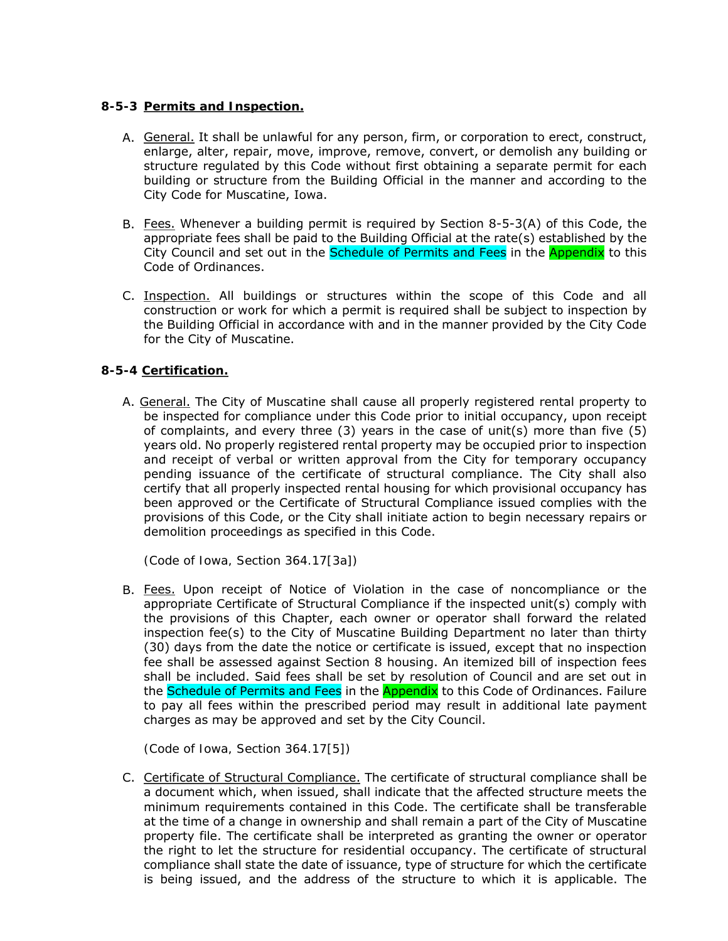### **8-5-3 Permits and Inspection.**

- A. General. It shall be unlawful for any person, firm, or corporation to erect, construct, enlarge, alter, repair, move, improve, remove, convert, or demolish any building or structure regulated by this Code without first obtaining a separate permit for each building or structure from the Building Official in the manner and according to the City Code for Muscatine, Iowa.
- B. Fees. Whenever a building permit is required by Section 8-5-3(A) of this Code, the appropriate fees shall be paid to the Building Official at the rate(s) established by the City Council and set out in the **Schedule of Permits and Fees** in the **Appendix** to this Code of Ordinances.
- C. Inspection. All buildings or structures within the scope of this Code and all construction or work for which a permit is required shall be subject to inspection by the Building Official in accordance with and in the manner provided by the City Code for the City of Muscatine.

# **8-5-4 Certification.**

A. General. The City of Muscatine shall cause all properly registered rental property to be inspected for compliance under this Code prior to initial occupancy, upon receipt of complaints, and every three (3) years in the case of unit(s) more than five (5) years old. No properly registered rental property may be occupied prior to inspection and receipt of verbal or written approval from the City for temporary occupancy pending issuance of the certificate of structural compliance. The City shall also certify that all properly inspected rental housing for which provisional occupancy has been approved or the Certificate of Structural Compliance issued complies with the provisions of this Code, or the City shall initiate action to begin necessary repairs or demolition proceedings as specified in this Code.

*(Code of Iowa, Section 364.17[3a])* 

B. Fees. Upon receipt of Notice of Violation in the case of noncompliance or the appropriate Certificate of Structural Compliance if the inspected unit(s) comply with the provisions of this Chapter, each owner or operator shall forward the related inspection fee(s) to the City of Muscatine Building Department no later than thirty (30) days from the date the notice or certificate is issued, except that no inspection fee shall be assessed against Section 8 housing. An itemized bill of inspection fees shall be included. Said fees shall be set by resolution of Council and are set out in the Schedule of Permits and Fees in the Appendix to this Code of Ordinances. Failure to pay all fees within the prescribed period may result in additional late payment charges as may be approved and set by the City Council.

*(Code of Iowa, Section 364.17[5])* 

C. Certificate of Structural Compliance. The certificate of structural compliance shall be a document which, when issued, shall indicate that the affected structure meets the minimum requirements contained in this Code. The certificate shall be transferable at the time of a change in ownership and shall remain a part of the City of Muscatine property file. The certificate shall be interpreted as granting the owner or operator the right to let the structure for residential occupancy. The certificate of structural compliance shall state the date of issuance, type of structure for which the certificate is being issued, and the address of the structure to which it is applicable. The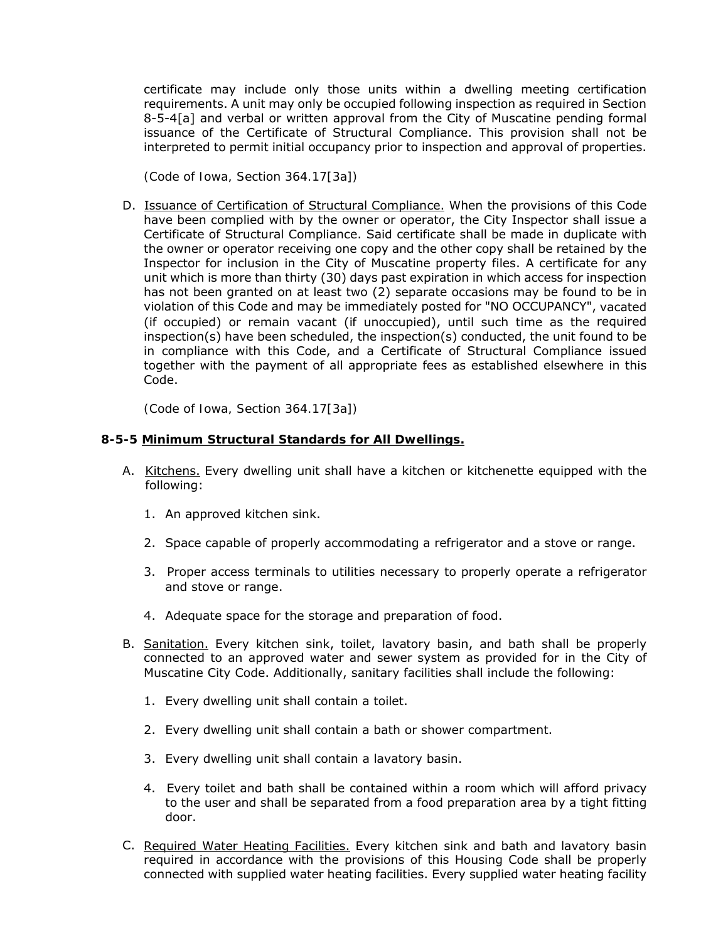certificate may include only those units within a dwelling meeting certification requirements. A unit may only be occupied following inspection as required in Section 8-5-4[a] and verbal or written approval from the City of Muscatine pending formal issuance of the Certificate of Structural Compliance. This provision shall not be interpreted to permit initial occupancy prior to inspection and approval of properties.

*(Code of Iowa, Section 364.17[3a])* 

D. Issuance of Certification of Structural Compliance. When the provisions of this Code have been complied with by the owner or operator, the City Inspector shall issue a Certificate of Structural Compliance. Said certificate shall be made in duplicate with the owner or operator receiving one copy and the other copy shall be retained by the Inspector for inclusion in the City of Muscatine property files. A certificate for any unit which is more than thirty (30) days past expiration in which access for inspection has not been granted on at least two (2) separate occasions may be found to be in violation of this Code and may be immediately posted for "NO OCCUPANCY", vacated (if occupied) or remain vacant (if unoccupied), until such time as the required  $inspection(s)$  have been scheduled, the inspection(s) conducted, the unit found to be in compliance with this Code, and a Certificate of Structural Compliance issued together with the payment of all appropriate fees as established elsewhere in this Code.

*(Code of Iowa, Section 364.17[3a])* 

#### **8-5-5 Minimum Structural Standards for All Dwellings.**

- A. Kitchens. Every dwelling unit shall have a kitchen or kitchenette equipped with the following:
	- 1. An approved kitchen sink.
	- 2. Space capable of properly accommodating a refrigerator and a stove or range.
	- 3. Proper access terminals to utilities necessary to properly operate a refrigerator and stove or range.
	- 4. Adequate space for the storage and preparation of food.
- B. Sanitation. Every kitchen sink, toilet, lavatory basin, and bath shall be properly connected to an approved water and sewer system as provided for in the City of Muscatine City Code. Additionally, sanitary facilities shall include the following:
	- 1. Every dwelling unit shall contain a toilet.
	- 2. Every dwelling unit shall contain a bath or shower compartment.
	- 3. Every dwelling unit shall contain a lavatory basin.
	- 4. Every toilet and bath shall be contained within a room which will afford privacy to the user and shall be separated from a food preparation area by a tight fitting door.
- C. Required Water Heating Facilities. Every kitchen sink and bath and lavatory basin required in accordance with the provisions of this Housing Code shall be properly connected with supplied water heating facilities. Every supplied water heating facility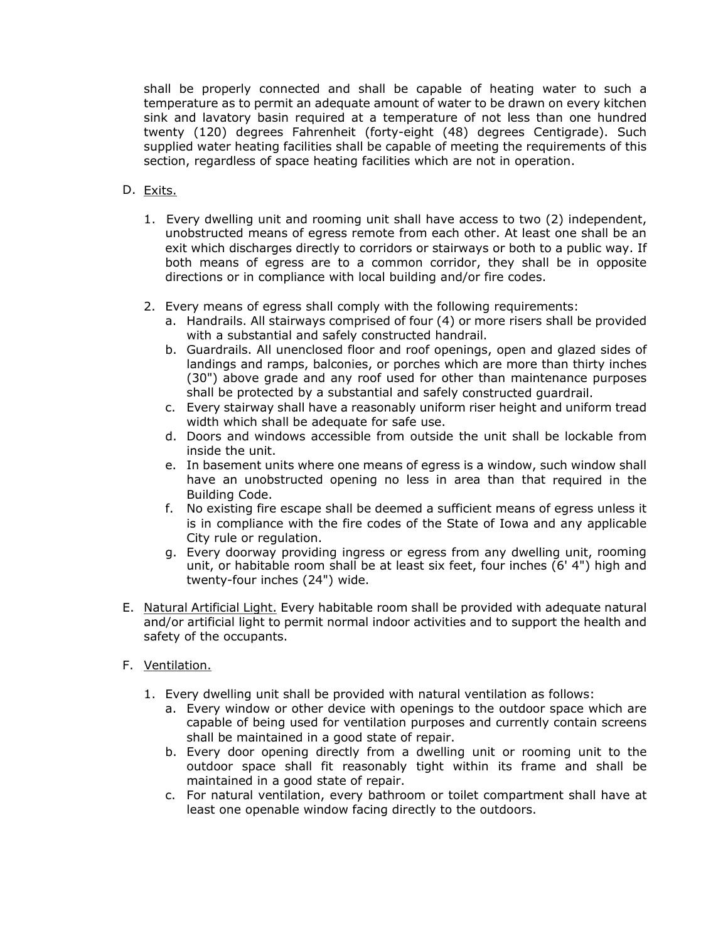shall be properly connected and shall be capable of heating water to such a temperature as to permit an adequate amount of water to be drawn on every kitchen sink and lavatory basin required at a temperature of not less than one hundred twenty (120) degrees Fahrenheit (forty-eight (48) degrees Centigrade). Such supplied water heating facilities shall be capable of meeting the requirements of this section, regardless of space heating facilities which are not in operation.

# D. Exits.

- 1. Every dwelling unit and rooming unit shall have access to two (2) independent, unobstructed means of egress remote from each other. At least one shall be an exit which discharges directly to corridors or stairways or both to a public way. If both means of egress are to a common corridor, they shall be in opposite directions or in compliance with local building and/or fire codes.
- 2. Every means of egress shall comply with the following requirements:
	- a. Handrails. All stairways comprised of four (4) or more risers shall be provided with a substantial and safely constructed handrail.
	- b. Guardrails. All unenclosed floor and roof openings, open and glazed sides of landings and ramps, balconies, or porches which are more than thirty inches (30") above grade and any roof used for other than maintenance purposes shall be protected by a substantial and safely constructed guardrail.
	- c. Every stairway shall have a reasonably uniform riser height and uniform tread width which shall be adequate for safe use.
	- d. Doors and windows accessible from outside the unit shall be lockable from inside the unit.
	- e. In basement units where one means of egress is a window, such window shall have an unobstructed opening no less in area than that required in the Building Code.
	- f. No existing fire escape shall be deemed a sufficient means of egress unless it is in compliance with the fire codes of the State of Iowa and any applicable City rule or regulation.
	- g. Every doorway providing ingress or egress from any dwelling unit, rooming unit, or habitable room shall be at least six feet, four inches (6' 4") high and twenty-four inches (24") wide.
- E. Natural Artificial Light. Every habitable room shall be provided with adequate natural and/or artificial light to permit normal indoor activities and to support the health and safety of the occupants.
- F. Ventilation.
	- 1. Every dwelling unit shall be provided with natural ventilation as follows:
		- a. Every window or other device with openings to the outdoor space which are capable of being used for ventilation purposes and currently contain screens shall be maintained in a good state of repair.
		- b. Every door opening directly from a dwelling unit or rooming unit to the outdoor space shall fit reasonably tight within its frame and shall be maintained in a good state of repair.
		- c. For natural ventilation, every bathroom or toilet compartment shall have at least one openable window facing directly to the outdoors.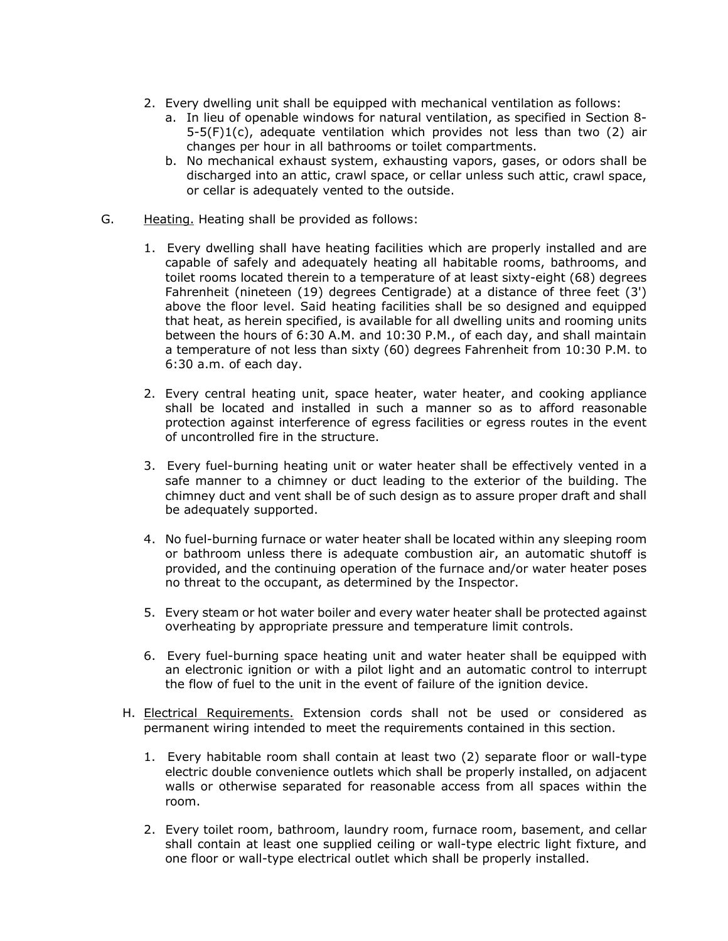- 2. Every dwelling unit shall be equipped with mechanical ventilation as follows:
	- a. In lieu of openable windows for natural ventilation, as specified in Section 8-  $5-5(F)1(c)$ , adequate ventilation which provides not less than two (2) air changes per hour in all bathrooms or toilet compartments.
	- b. No mechanical exhaust system, exhausting vapors, gases, or odors shall be discharged into an attic, crawl space, or cellar unless such attic, crawl space, or cellar is adequately vented to the outside.
- G. Heating. Heating shall be provided as follows:
	- 1. Every dwelling shall have heating facilities which are properly installed and are capable of safely and adequately heating all habitable rooms, bathrooms, and toilet rooms located therein to a temperature of at least sixty-eight (68) degrees Fahrenheit (nineteen (19) degrees Centigrade) at a distance of three feet (3') above the floor level. Said heating facilities shall be so designed and equipped that heat, as herein specified, is available for all dwelling units and rooming units between the hours of 6:30 A.M. and 10:30 P.M., of each day, and shall maintain a temperature of not less than sixty (60) degrees Fahrenheit from 10:30 P.M. to 6:30 a.m. of each day.
	- 2. Every central heating unit, space heater, water heater, and cooking appliance shall be located and installed in such a manner so as to afford reasonable protection against interference of egress facilities or egress routes in the event of uncontrolled fire in the structure.
	- 3. Every fuel-burning heating unit or water heater shall be effectively vented in a safe manner to a chimney or duct leading to the exterior of the building. The chimney duct and vent shall be of such design as to assure proper draft and shall be adequately supported.
	- 4. No fuel-burning furnace or water heater shall be located within any sleeping room or bathroom unless there is adequate combustion air, an automatic shutoff is provided, and the continuing operation of the furnace and/or water heater poses no threat to the occupant, as determined by the Inspector.
	- 5. Every steam or hot water boiler and every water heater shall be protected against overheating by appropriate pressure and temperature limit controls.
	- 6. Every fuel-burning space heating unit and water heater shall be equipped with an electronic ignition or with a pilot light and an automatic control to interrupt the flow of fuel to the unit in the event of failure of the ignition device.
	- H. Electrical Requirements. Extension cords shall not be used or considered as permanent wiring intended to meet the requirements contained in this section.
		- 1. Every habitable room shall contain at least two (2) separate floor or wall-type electric double convenience outlets which shall be properly installed, on adjacent walls or otherwise separated for reasonable access from all spaces within the room.
		- 2. Every toilet room, bathroom, laundry room, furnace room, basement, and cellar shall contain at least one supplied ceiling or wall-type electric light fixture, and one floor or wall-type electrical outlet which shall be properly installed.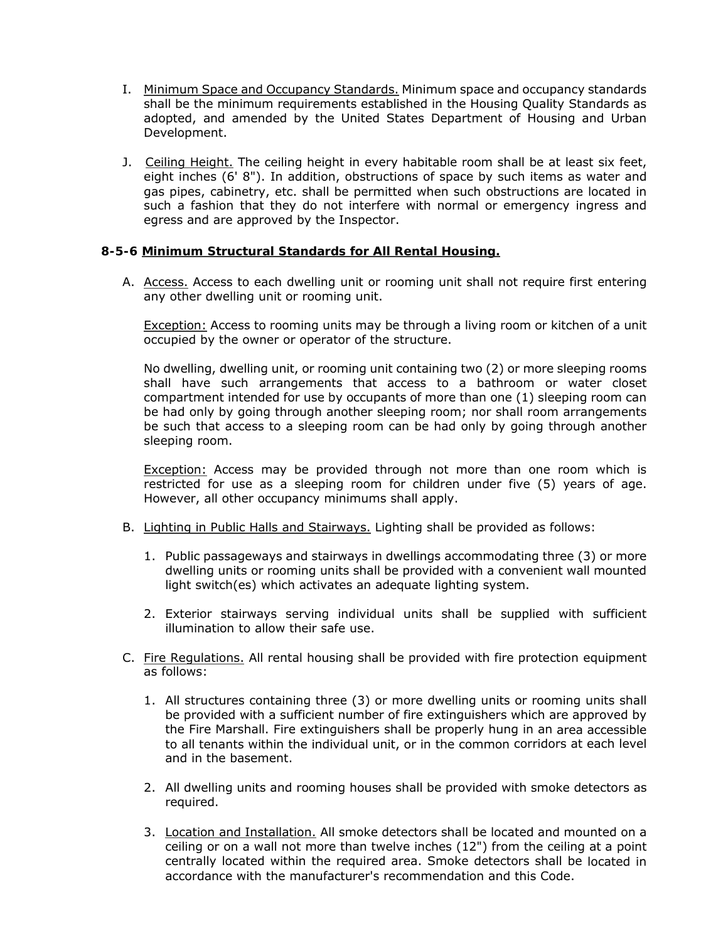- I. Minimum Space and Occupancy Standards. Minimum space and occupancy standards shall be the minimum requirements established in the Housing Quality Standards as adopted, and amended by the United States Department of Housing and Urban Development.
- J. Ceiling Height. The ceiling height in every habitable room shall be at least six feet, eight inches (6' 8"). In addition, obstructions of space by such items as water and gas pipes, cabinetry, etc. shall be permitted when such obstructions are located in such a fashion that they do not interfere with normal or emergency ingress and egress and are approved by the Inspector.

#### **8-5-6 Minimum Structural Standards for All Rental Housing.**

A. Access. Access to each dwelling unit or rooming unit shall not require first entering any other dwelling unit or rooming unit.

Exception: Access to rooming units may be through a living room or kitchen of a unit occupied by the owner or operator of the structure.

No dwelling, dwelling unit, or rooming unit containing two (2) or more sleeping rooms shall have such arrangements that access to a bathroom or water closet compartment intended for use by occupants of more than one (1) sleeping room can be had only by going through another sleeping room; nor shall room arrangements be such that access to a sleeping room can be had only by going through another sleeping room.

Exception: Access may be provided through not more than one room which is restricted for use as a sleeping room for children under five (5) years of age. However, all other occupancy minimums shall apply.

- B. Lighting in Public Halls and Stairways. Lighting shall be provided as follows:
	- 1. Public passageways and stairways in dwellings accommodating three (3) or more dwelling units or rooming units shall be provided with a convenient wall mounted light switch(es) which activates an adequate lighting system.
	- 2. Exterior stairways serving individual units shall be supplied with sufficient illumination to allow their safe use.
- C. Fire Regulations. All rental housing shall be provided with fire protection equipment as follows:
	- 1. All structures containing three (3) or more dwelling units or rooming units shall be provided with a sufficient number of fire extinguishers which are approved by the Fire Marshall. Fire extinguishers shall be properly hung in an area accessible to all tenants within the individual unit, or in the common corridors at each level and in the basement.
	- 2. All dwelling units and rooming houses shall be provided with smoke detectors as required.
	- 3. Location and Installation. All smoke detectors shall be located and mounted on a ceiling or on a wall not more than twelve inches (12") from the ceiling at a point centrally located within the required area. Smoke detectors shall be located in accordance with the manufacturer's recommendation and this Code.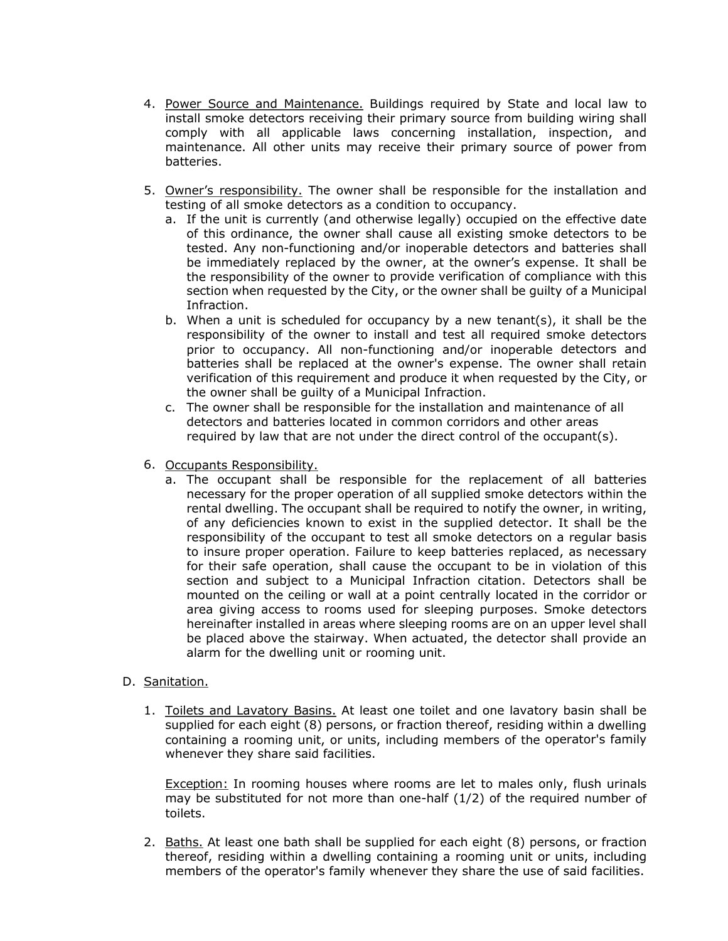- 4. Power Source and Maintenance. Buildings required by State and local law to install smoke detectors receiving their primary source from building wiring shall comply with all applicable laws concerning installation, inspection, and maintenance. All other units may receive their primary source of power from batteries.
- 5. Owner's responsibility. The owner shall be responsible for the installation and testing of all smoke detectors as a condition to occupancy.
	- a. If the unit is currently (and otherwise legally) occupied on the effective date of this ordinance, the owner shall cause all existing smoke detectors to be tested. Any non-functioning and/or inoperable detectors and batteries shall be immediately replaced by the owner, at the owner's expense. It shall be the responsibility of the owner to provide verification of compliance with this section when requested by the City, or the owner shall be guilty of a Municipal Infraction.
	- b. When a unit is scheduled for occupancy by a new tenant(s), it shall be the responsibility of the owner to install and test all required smoke detectors prior to occupancy. All non-functioning and/or inoperable detectors and batteries shall be replaced at the owner's expense. The owner shall retain verification of this requirement and produce it when requested by the City, or the owner shall be guilty of a Municipal Infraction.
	- c. The owner shall be responsible for the installation and maintenance of all detectors and batteries located in common corridors and other areas required by law that are not under the direct control of the occupant(s).
- 6. Occupants Responsibility.
	- a. The occupant shall be responsible for the replacement of all batteries necessary for the proper operation of all supplied smoke detectors within the rental dwelling. The occupant shall be required to notify the owner, in writing, of any deficiencies known to exist in the supplied detector. It shall be the responsibility of the occupant to test all smoke detectors on a regular basis to insure proper operation. Failure to keep batteries replaced, as necessary for their safe operation, shall cause the occupant to be in violation of this section and subject to a Municipal Infraction citation. Detectors shall be mounted on the ceiling or wall at a point centrally located in the corridor or area giving access to rooms used for sleeping purposes. Smoke detectors hereinafter installed in areas where sleeping rooms are on an upper level shall be placed above the stairway. When actuated, the detector shall provide an alarm for the dwelling unit or rooming unit.

#### D. Sanitation.

1. Toilets and Lavatory Basins. At least one toilet and one lavatory basin shall be supplied for each eight (8) persons, or fraction thereof, residing within a dwelling containing a rooming unit, or units, including members of the operator's family whenever they share said facilities.

Exception: In rooming houses where rooms are let to males only, flush urinals may be substituted for not more than one-half (1/2) of the required number of toilets.

2. Baths. At least one bath shall be supplied for each eight (8) persons, or fraction thereof, residing within a dwelling containing a rooming unit or units, including members of the operator's family whenever they share the use of said facilities.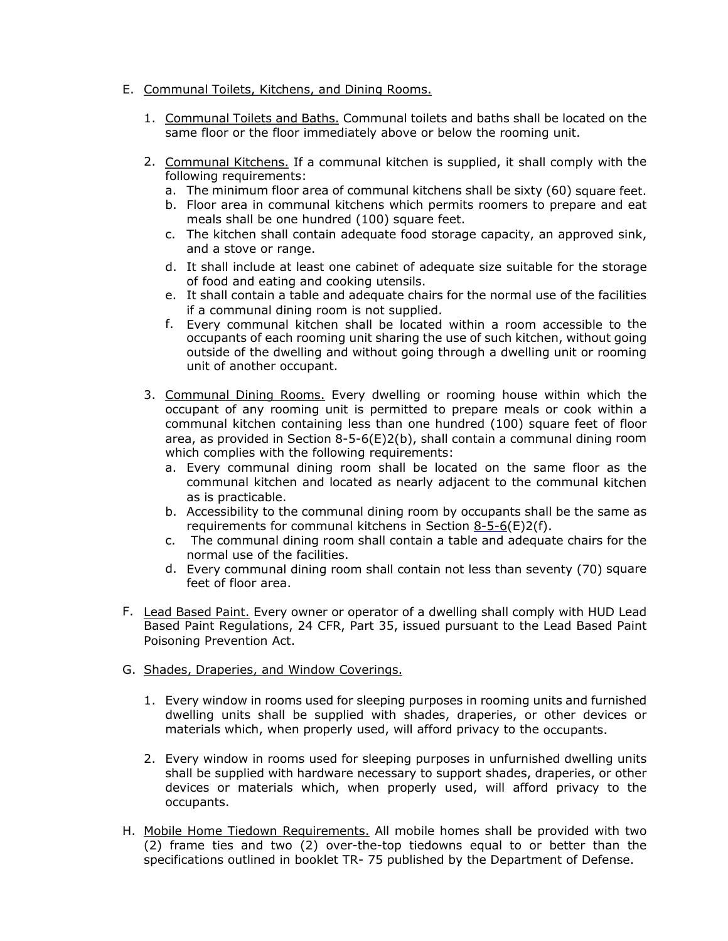- E. Communal Toilets, Kitchens, and Dining Rooms.
	- 1. Communal Toilets and Baths. Communal toilets and baths shall be located on the same floor or the floor immediately above or below the rooming unit.
	- 2. Communal Kitchens. If a communal kitchen is supplied, it shall comply with the following requirements:
		- a. The minimum floor area of communal kitchens shall be sixty (60) square feet.
		- b. Floor area in communal kitchens which permits roomers to prepare and eat meals shall be one hundred (100) square feet.
		- c. The kitchen shall contain adequate food storage capacity, an approved sink, and a stove or range.
		- d. It shall include at least one cabinet of adequate size suitable for the storage of food and eating and cooking utensils.
		- e. It shall contain a table and adequate chairs for the normal use of the facilities if a communal dining room is not supplied.
		- f. Every communal kitchen shall be located within a room accessible to the occupants of each rooming unit sharing the use of such kitchen, without going outside of the dwelling and without going through a dwelling unit or rooming unit of another occupant.
	- 3. Communal Dining Rooms. Every dwelling or rooming house within which the occupant of any rooming unit is permitted to prepare meals or cook within a communal kitchen containing less than one hundred (100) square feet of floor area, as provided in Section  $8-5-6(E)2(b)$ , shall contain a communal dining room which complies with the following requirements:
		- a. Every communal dining room shall be located on the same floor as the communal kitchen and located as nearly adjacent to the communal kitchen as is practicable.
		- b. Accessibility to the communal dining room by occupants shall be the same as requirements for communal kitchens in Section 8-5-6(E)2(f).
		- c. The communal dining room shall contain a table and adequate chairs for the normal use of the facilities.
		- d. Every communal dining room shall contain not less than seventy (70) square feet of floor area.
- F. Lead Based Paint. Every owner or operator of a dwelling shall comply with HUD Lead Based Paint Regulations, 24 CFR, Part 35, issued pursuant to the Lead Based Paint Poisoning Prevention Act.
- G. Shades, Draperies, and Window Coverings.
	- 1. Every window in rooms used for sleeping purposes in rooming units and furnished dwelling units shall be supplied with shades, draperies, or other devices or materials which, when properly used, will afford privacy to the occupants.
	- 2. Every window in rooms used for sleeping purposes in unfurnished dwelling units shall be supplied with hardware necessary to support shades, draperies, or other devices or materials which, when properly used, will afford privacy to the occupants.
- H. Mobile Home Tiedown Requirements. All mobile homes shall be provided with two (2) frame ties and two (2) over-the-top tiedowns equal to or better than the specifications outlined in booklet TR- 75 published by the Department of Defense.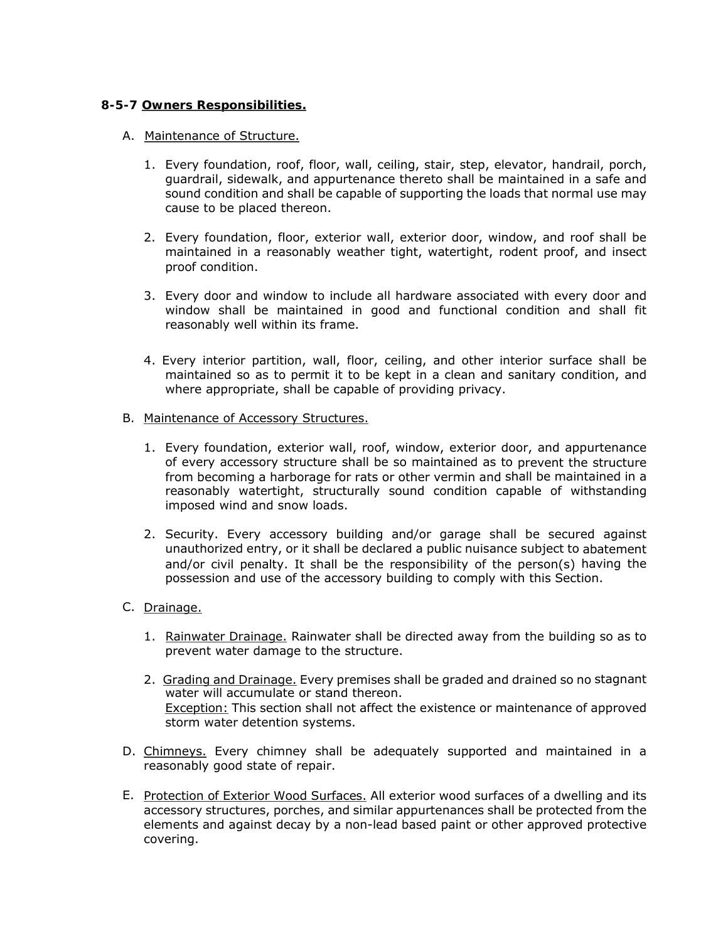# **8-5-7 Owners Responsibilities.**

#### A. Maintenance of Structure.

- 1. Every foundation, roof, floor, wall, ceiling, stair, step, elevator, handrail, porch, guardrail, sidewalk, and appurtenance thereto shall be maintained in a safe and sound condition and shall be capable of supporting the loads that normal use may cause to be placed thereon.
- 2. Every foundation, floor, exterior wall, exterior door, window, and roof shall be maintained in a reasonably weather tight, watertight, rodent proof, and insect proof condition.
- 3. Every door and window to include all hardware associated with every door and window shall be maintained in good and functional condition and shall fit reasonably well within its frame.
- 4. Every interior partition, wall, floor, ceiling, and other interior surface shall be maintained so as to permit it to be kept in a clean and sanitary condition, and where appropriate, shall be capable of providing privacy.
- B. Maintenance of Accessory Structures.
	- 1. Every foundation, exterior wall, roof, window, exterior door, and appurtenance of every accessory structure shall be so maintained as to prevent the structure from becoming a harborage for rats or other vermin and shall be maintained in a reasonably watertight, structurally sound condition capable of withstanding imposed wind and snow loads.
	- 2. Security. Every accessory building and/or garage shall be secured against unauthorized entry, or it shall be declared a public nuisance subject to abatement and/or civil penalty. It shall be the responsibility of the person(s) having the possession and use of the accessory building to comply with this Section.
- C. Drainage.
	- 1. Rainwater Drainage. Rainwater shall be directed away from the building so as to prevent water damage to the structure.
	- 2. Grading and Drainage. Every premises shall be graded and drained so no stagnant water will accumulate or stand thereon. Exception: This section shall not affect the existence or maintenance of approved storm water detention systems.
- D. Chimneys. Every chimney shall be adequately supported and maintained in a reasonably good state of repair.
- E. Protection of Exterior Wood Surfaces. All exterior wood surfaces of a dwelling and its accessory structures, porches, and similar appurtenances shall be protected from the elements and against decay by a non-lead based paint or other approved protective covering.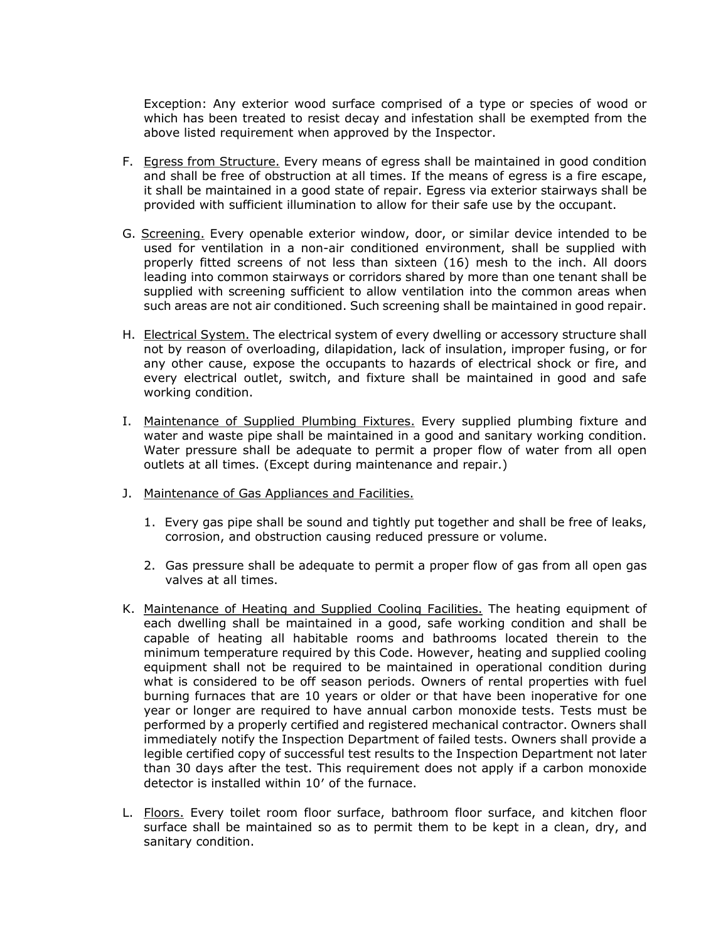Exception: Any exterior wood surface comprised of a type or species of wood or which has been treated to resist decay and infestation shall be exempted from the above listed requirement when approved by the Inspector.

- F. Egress from Structure. Every means of egress shall be maintained in good condition and shall be free of obstruction at all times. If the means of egress is a fire escape, it shall be maintained in a good state of repair. Egress via exterior stairways shall be provided with sufficient illumination to allow for their safe use by the occupant.
- G. Screening. Every openable exterior window, door, or similar device intended to be used for ventilation in a non-air conditioned environment, shall be supplied with properly fitted screens of not less than sixteen (16) mesh to the inch. All doors leading into common stairways or corridors shared by more than one tenant shall be supplied with screening sufficient to allow ventilation into the common areas when such areas are not air conditioned. Such screening shall be maintained in good repair.
- H. Electrical System. The electrical system of every dwelling or accessory structure shall not by reason of overloading, dilapidation, lack of insulation, improper fusing, or for any other cause, expose the occupants to hazards of electrical shock or fire, and every electrical outlet, switch, and fixture shall be maintained in good and safe working condition.
- I. Maintenance of Supplied Plumbing Fixtures. Every supplied plumbing fixture and water and waste pipe shall be maintained in a good and sanitary working condition. Water pressure shall be adequate to permit a proper flow of water from all open outlets at all times. (Except during maintenance and repair.)
- J. Maintenance of Gas Appliances and Facilities.
	- 1. Every gas pipe shall be sound and tightly put together and shall be free of leaks, corrosion, and obstruction causing reduced pressure or volume.
	- 2. Gas pressure shall be adequate to permit a proper flow of gas from all open gas valves at all times.
- K. Maintenance of Heating and Supplied Cooling Facilities. The heating equipment of each dwelling shall be maintained in a good, safe working condition and shall be capable of heating all habitable rooms and bathrooms located therein to the minimum temperature required by this Code. However, heating and supplied cooling equipment shall not be required to be maintained in operational condition during what is considered to be off season periods. Owners of rental properties with fuel burning furnaces that are 10 years or older or that have been inoperative for one year or longer are required to have annual carbon monoxide tests. Tests must be performed by a properly certified and registered mechanical contractor. Owners shall immediately notify the Inspection Department of failed tests. Owners shall provide a legible certified copy of successful test results to the Inspection Department not later than 30 days after the test. This requirement does not apply if a carbon monoxide detector is installed within 10′ of the furnace.
- L. Floors. Every toilet room floor surface, bathroom floor surface, and kitchen floor surface shall be maintained so as to permit them to be kept in a clean, dry, and sanitary condition.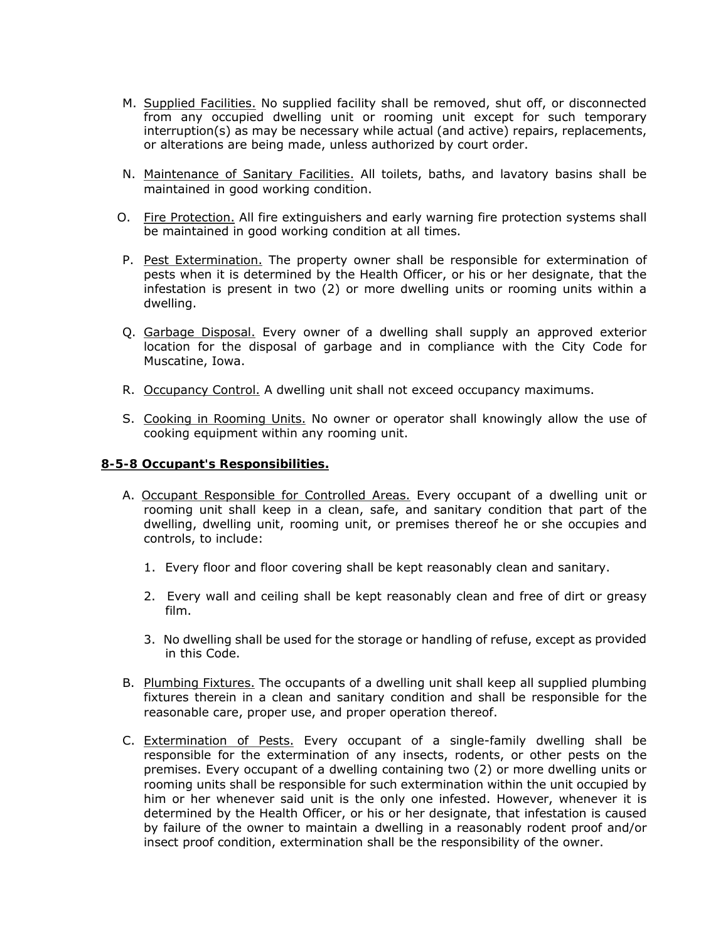- M. Supplied Facilities. No supplied facility shall be removed, shut off, or disconnected from any occupied dwelling unit or rooming unit except for such temporary interruption(s) as may be necessary while actual (and active) repairs, replacements, or alterations are being made, unless authorized by court order.
- N. Maintenance of Sanitary Facilities. All toilets, baths, and lavatory basins shall be maintained in good working condition.
- O. Fire Protection. All fire extinguishers and early warning fire protection systems shall be maintained in good working condition at all times.
- P. Pest Extermination. The property owner shall be responsible for extermination of pests when it is determined by the Health Officer, or his or her designate, that the infestation is present in two (2) or more dwelling units or rooming units within a dwelling.
- Q. Garbage Disposal. Every owner of a dwelling shall supply an approved exterior location for the disposal of garbage and in compliance with the City Code for Muscatine, Iowa.
- R. Occupancy Control. A dwelling unit shall not exceed occupancy maximums.
- S. Cooking in Rooming Units. No owner or operator shall knowingly allow the use of cooking equipment within any rooming unit.

#### **8-5-8 Occupant's Responsibilities.**

- A. Occupant Responsible for Controlled Areas. Every occupant of a dwelling unit or rooming unit shall keep in a clean, safe, and sanitary condition that part of the dwelling, dwelling unit, rooming unit, or premises thereof he or she occupies and controls, to include:
	- 1. Every floor and floor covering shall be kept reasonably clean and sanitary.
	- 2. Every wall and ceiling shall be kept reasonably clean and free of dirt or greasy film.
	- 3. No dwelling shall be used for the storage or handling of refuse, except as provided in this Code.
- B. Plumbing Fixtures. The occupants of a dwelling unit shall keep all supplied plumbing fixtures therein in a clean and sanitary condition and shall be responsible for the reasonable care, proper use, and proper operation thereof.
- C. Extermination of Pests. Every occupant of a single-family dwelling shall be responsible for the extermination of any insects, rodents, or other pests on the premises. Every occupant of a dwelling containing two (2) or more dwelling units or rooming units shall be responsible for such extermination within the unit occupied by him or her whenever said unit is the only one infested. However, whenever it is determined by the Health Officer, or his or her designate, that infestation is caused by failure of the owner to maintain a dwelling in a reasonably rodent proof and/or insect proof condition, extermination shall be the responsibility of the owner.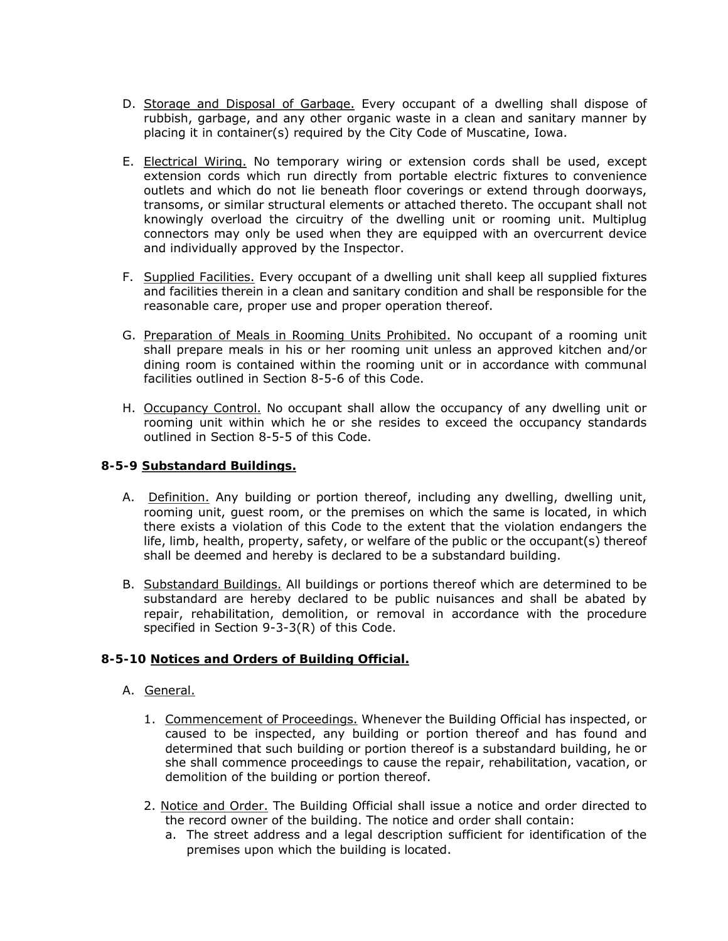- D. Storage and Disposal of Garbage. Every occupant of a dwelling shall dispose of rubbish, garbage, and any other organic waste in a clean and sanitary manner by placing it in container(s) required by the City Code of Muscatine, Iowa.
- E. Electrical Wiring. No temporary wiring or extension cords shall be used, except extension cords which run directly from portable electric fixtures to convenience outlets and which do not lie beneath floor coverings or extend through doorways, transoms, or similar structural elements or attached thereto. The occupant shall not knowingly overload the circuitry of the dwelling unit or rooming unit. Multiplug connectors may only be used when they are equipped with an overcurrent device and individually approved by the Inspector.
- F. Supplied Facilities. Every occupant of a dwelling unit shall keep all supplied fixtures and facilities therein in a clean and sanitary condition and shall be responsible for the reasonable care, proper use and proper operation thereof.
- G. Preparation of Meals in Rooming Units Prohibited. No occupant of a rooming unit shall prepare meals in his or her rooming unit unless an approved kitchen and/or dining room is contained within the rooming unit or in accordance with communal facilities outlined in Section 8-5-6 of this Code.
- H. Occupancy Control. No occupant shall allow the occupancy of any dwelling unit or rooming unit within which he or she resides to exceed the occupancy standards outlined in Section 8-5-5 of this Code.

# **8-5-9 Substandard Buildings.**

- A. Definition. Any building or portion thereof, including any dwelling, dwelling unit, rooming unit, guest room, or the premises on which the same is located, in which there exists a violation of this Code to the extent that the violation endangers the life, limb, health, property, safety, or welfare of the public or the occupant(s) thereof shall be deemed and hereby is declared to be a substandard building.
- B. Substandard Buildings. All buildings or portions thereof which are determined to be substandard are hereby declared to be public nuisances and shall be abated by repair, rehabilitation, demolition, or removal in accordance with the procedure specified in Section 9-3-3(R) of this Code.

### **8-5-10 Notices and Orders of Building Official.**

- A. General.
	- 1. Commencement of Proceedings. Whenever the Building Official has inspected, or caused to be inspected, any building or portion thereof and has found and determined that such building or portion thereof is a substandard building, he or she shall commence proceedings to cause the repair, rehabilitation, vacation, or demolition of the building or portion thereof.
	- 2. Notice and Order. The Building Official shall issue a notice and order directed to the record owner of the building. The notice and order shall contain:
		- a. The street address and a legal description sufficient for identification of the premises upon which the building is located.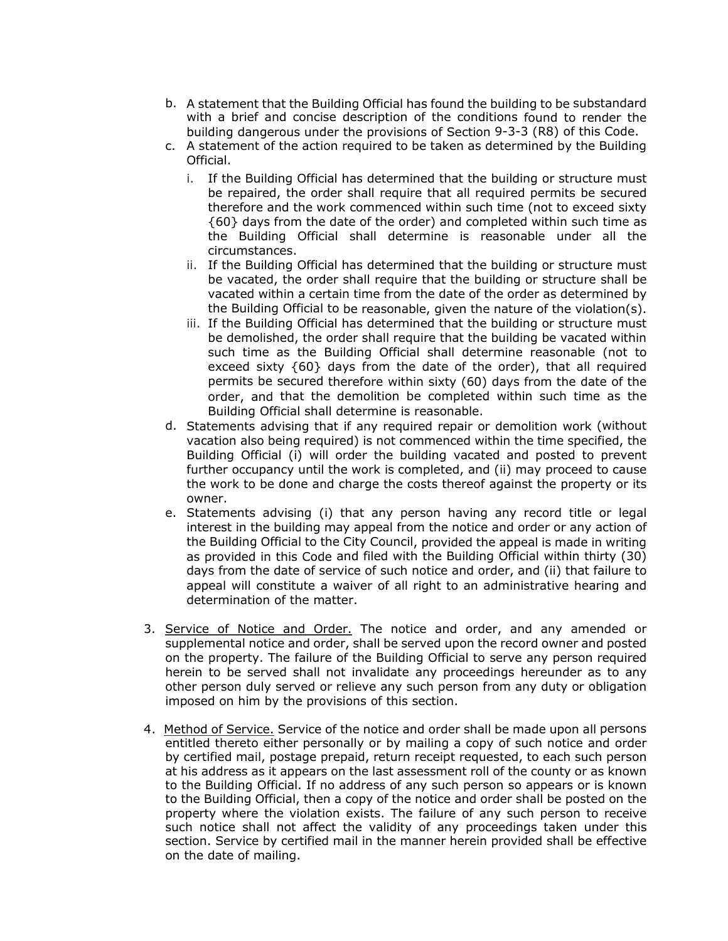- b. A statement that the Building Official has found the building to be substandard with a brief and concise description of the conditions found to render the building dangerous under the provisions of Section 9-3-3 (R8) of this Code.
- c. A statement of the action required to be taken as determined by the Building Official.
	- i. If the Building Official has determined that the building or structure must be repaired, the order shall require that all required permits be secured therefore and the work commenced within such time (not to exceed sixty {60} days from the date of the order) and completed within such time as the Building Official shall determine is reasonable under all the circumstances.
	- ii. If the Building Official has determined that the building or structure must be vacated, the order shall require that the building or structure shall be vacated within a certain time from the date of the order as determined by the Building Official to be reasonable, given the nature of the violation(s).
	- iii. If the Building Official has determined that the building or structure must be demolished, the order shall require that the building be vacated within such time as the Building Official shall determine reasonable (not to exceed sixty {60} days from the date of the order), that all required permits be secured therefore within sixty (60) days from the date of the order, and that the demolition be completed within such time as the Building Official shall determine is reasonable.
- d. Statements advising that if any required repair or demolition work (without vacation also being required) is not commenced within the time specified, the Building Official (i) will order the building vacated and posted to prevent further occupancy until the work is completed, and (ii) may proceed to cause the work to be done and charge the costs thereof against the property or its owner.
- e. Statements advising (i) that any person having any record title or legal interest in the building may appeal from the notice and order or any action of the Building Official to the City Council, provided the appeal is made in writing as provided in this Code and filed with the Building Official within thirty (30) days from the date of service of such notice and order, and (ii) that failure to appeal will constitute a waiver of all right to an administrative hearing and determination of the matter.
- 3. Service of Notice and Order. The notice and order, and any amended or supplemental notice and order, shall be served upon the record owner and posted on the property. The failure of the Building Official to serve any person required herein to be served shall not invalidate any proceedings hereunder as to any other person duly served or relieve any such person from any duty or obligation imposed on him by the provisions of this section.
- 4. Method of Service. Service of the notice and order shall be made upon all persons entitled thereto either personally or by mailing a copy of such notice and order by certified mail, postage prepaid, return receipt requested, to each such person at his address as it appears on the last assessment roll of the county or as known to the Building Official. If no address of any such person so appears or is known to the Building Official, then a copy of the notice and order shall be posted on the property where the violation exists. The failure of any such person to receive such notice shall not affect the validity of any proceedings taken under this section. Service by certified mail in the manner herein provided shall be effective on the date of mailing.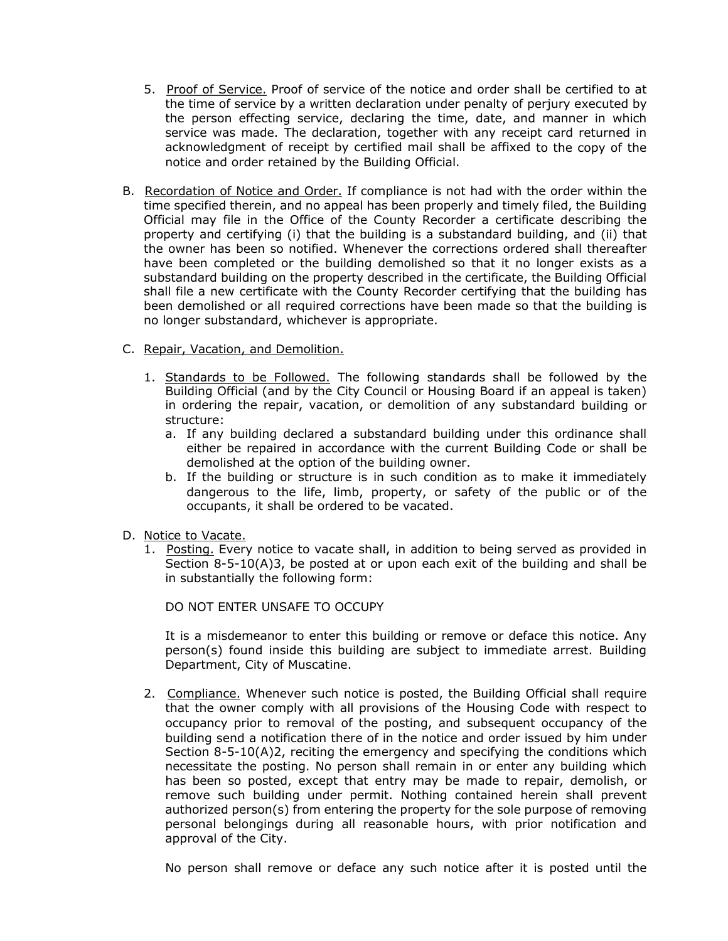- 5. Proof of Service. Proof of service of the notice and order shall be certified to at the time of service by a written declaration under penalty of perjury executed by the person effecting service, declaring the time, date, and manner in which service was made. The declaration, together with any receipt card returned in acknowledgment of receipt by certified mail shall be affixed to the copy of the notice and order retained by the Building Official.
- B. Recordation of Notice and Order. If compliance is not had with the order within the time specified therein, and no appeal has been properly and timely filed, the Building Official may file in the Office of the County Recorder a certificate describing the property and certifying (i) that the building is a substandard building, and (ii) that the owner has been so notified. Whenever the corrections ordered shall thereafter have been completed or the building demolished so that it no longer exists as a substandard building on the property described in the certificate, the Building Official shall file a new certificate with the County Recorder certifying that the building has been demolished or all required corrections have been made so that the building is no longer substandard, whichever is appropriate.
- C. Repair, Vacation, and Demolition.
	- 1. Standards to be Followed. The following standards shall be followed by the Building Official (and by the City Council or Housing Board if an appeal is taken) in ordering the repair, vacation, or demolition of any substandard building or structure:
		- a. If any building declared a substandard building under this ordinance shall either be repaired in accordance with the current Building Code or shall be demolished at the option of the building owner.
		- b. If the building or structure is in such condition as to make it immediately dangerous to the life, limb, property, or safety of the public or of the occupants, it shall be ordered to be vacated.
- D. Notice to Vacate.
	- 1. Posting. Every notice to vacate shall, in addition to being served as provided in Section 8-5-10(A)3, be posted at or upon each exit of the building and shall be in substantially the following form:

DO NOT ENTER UNSAFE TO OCCUPY

It is a misdemeanor to enter this building or remove or deface this notice. Any person(s) found inside this building are subject to immediate arrest. Building Department, City of Muscatine.

2. Compliance. Whenever such notice is posted, the Building Official shall require that the owner comply with all provisions of the Housing Code with respect to occupancy prior to removal of the posting, and subsequent occupancy of the building send a notification there of in the notice and order issued by him under Section  $8-5-10(A)2$ , reciting the emergency and specifying the conditions which necessitate the posting. No person shall remain in or enter any building which has been so posted, except that entry may be made to repair, demolish, or remove such building under permit. Nothing contained herein shall prevent authorized person(s) from entering the property for the sole purpose of removing personal belongings during all reasonable hours, with prior notification and approval of the City.

No person shall remove or deface any such notice after it is posted until the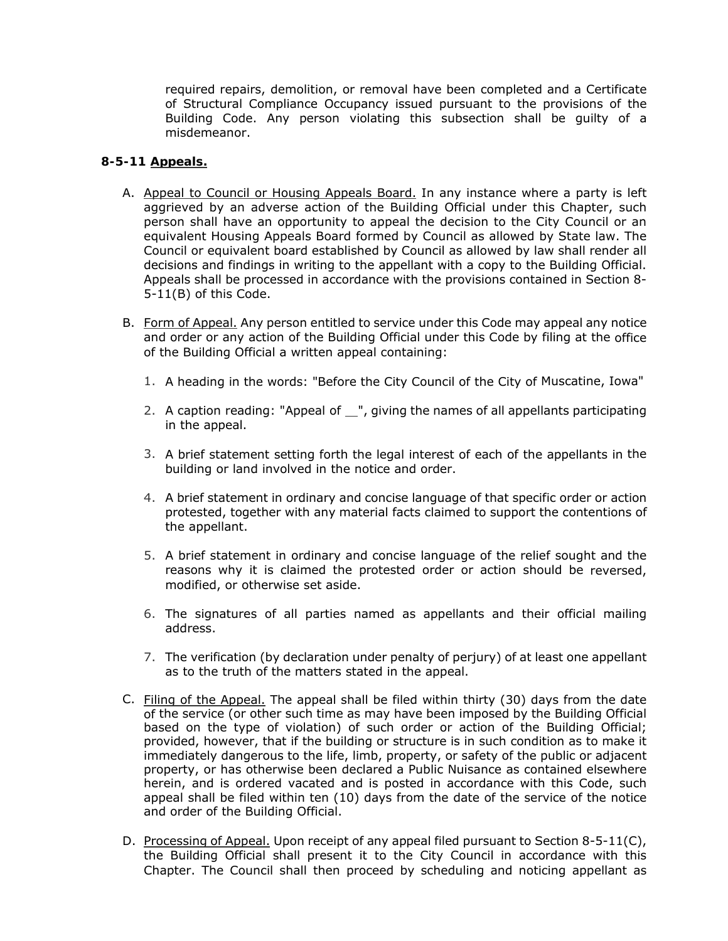required repairs, demolition, or removal have been completed and a Certificate of Structural Compliance Occupancy issued pursuant to the provisions of the Building Code. Any person violating this subsection shall be guilty of a misdemeanor.

### **8-5-11 Appeals.**

- A. Appeal to Council or Housing Appeals Board. In any instance where a party is left aggrieved by an adverse action of the Building Official under this Chapter, such person shall have an opportunity to appeal the decision to the City Council or an equivalent Housing Appeals Board formed by Council as allowed by State law. The Council or equivalent board established by Council as allowed by law shall render all decisions and findings in writing to the appellant with a copy to the Building Official. Appeals shall be processed in accordance with the provisions contained in Section 8- 5-11(B) of this Code.
- B. Form of Appeal. Any person entitled to service under this Code may appeal any notice and order or any action of the Building Official under this Code by filing at the office of the Building Official a written appeal containing:
	- 1. A heading in the words: "Before the City Council of the City of Muscatine, Iowa"
	- 2. A caption reading: "Appeal of  $\mathcal{L}$ ", giving the names of all appellants participating in the appeal.
	- 3. A brief statement setting forth the legal interest of each of the appellants in the building or land involved in the notice and order.
	- 4. A brief statement in ordinary and concise language of that specific order or action protested, together with any material facts claimed to support the contentions of the appellant.
	- 5. A brief statement in ordinary and concise language of the relief sought and the reasons why it is claimed the protested order or action should be reversed, modified, or otherwise set aside.
	- 6. The signatures of all parties named as appellants and their official mailing address.
	- 7. The verification (by declaration under penalty of perjury) of at least one appellant as to the truth of the matters stated in the appeal.
- C. Filing of the Appeal. The appeal shall be filed within thirty (30) days from the date of the service (or other such time as may have been imposed by the Building Official based on the type of violation) of such order or action of the Building Official; provided, however, that if the building or structure is in such condition as to make it immediately dangerous to the life, limb, property, or safety of the public or adjacent property, or has otherwise been declared a Public Nuisance as contained elsewhere herein, and is ordered vacated and is posted in accordance with this Code, such appeal shall be filed within ten (10) days from the date of the service of the notice and order of the Building Official.
- D. Processing of Appeal. Upon receipt of any appeal filed pursuant to Section 8-5-11(C), the Building Official shall present it to the City Council in accordance with this Chapter. The Council shall then proceed by scheduling and noticing appellant as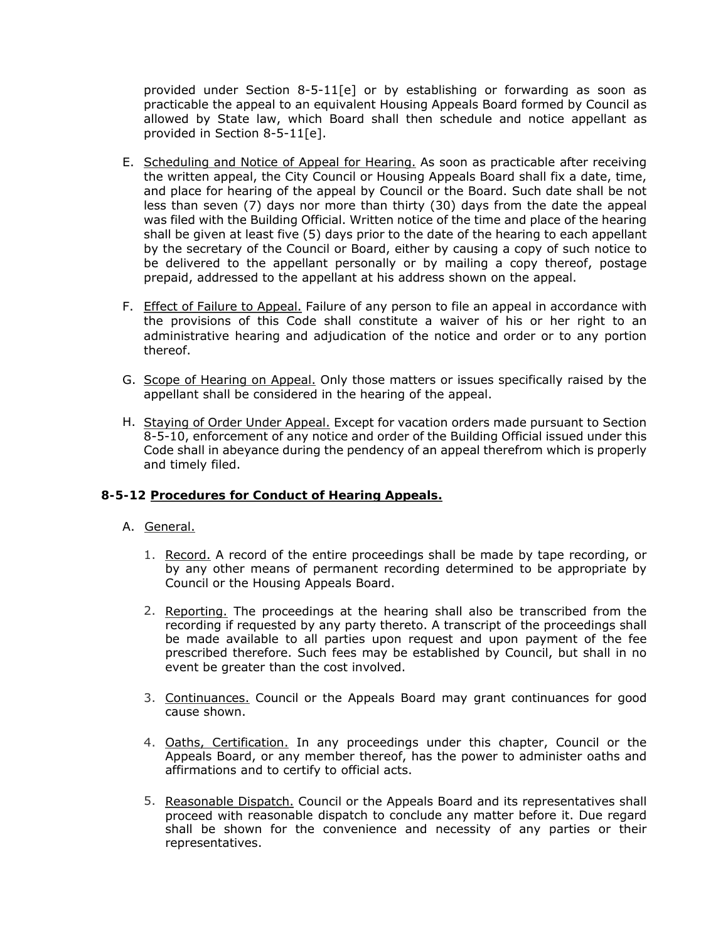provided under Section 8-5-11[e] or by establishing or forwarding as soon as practicable the appeal to an equivalent Housing Appeals Board formed by Council as allowed by State law, which Board shall then schedule and notice appellant as provided in Section 8-5-11[e].

- E. Scheduling and Notice of Appeal for Hearing. As soon as practicable after receiving the written appeal, the City Council or Housing Appeals Board shall fix a date, time, and place for hearing of the appeal by Council or the Board. Such date shall be not less than seven (7) days nor more than thirty (30) days from the date the appeal was filed with the Building Official. Written notice of the time and place of the hearing shall be given at least five (5) days prior to the date of the hearing to each appellant by the secretary of the Council or Board, either by causing a copy of such notice to be delivered to the appellant personally or by mailing a copy thereof, postage prepaid, addressed to the appellant at his address shown on the appeal.
- F. Effect of Failure to Appeal. Failure of any person to file an appeal in accordance with the provisions of this Code shall constitute a waiver of his or her right to an administrative hearing and adjudication of the notice and order or to any portion thereof.
- G. Scope of Hearing on Appeal. Only those matters or issues specifically raised by the appellant shall be considered in the hearing of the appeal.
- H. Staying of Order Under Appeal. Except for vacation orders made pursuant to Section 8-5-10, enforcement of any notice and order of the Building Official issued under this Code shall in abeyance during the pendency of an appeal therefrom which is properly and timely filed.

### **8-5-12 Procedures for Conduct of Hearing Appeals.**

#### A. General.

- 1. Record. A record of the entire proceedings shall be made by tape recording, or by any other means of permanent recording determined to be appropriate by Council or the Housing Appeals Board.
- 2. Reporting. The proceedings at the hearing shall also be transcribed from the recording if requested by any party thereto. A transcript of the proceedings shall be made available to all parties upon request and upon payment of the fee prescribed therefore. Such fees may be established by Council, but shall in no event be greater than the cost involved.
- 3. Continuances. Council or the Appeals Board may grant continuances for good cause shown.
- 4. Oaths, Certification. In any proceedings under this chapter, Council or the Appeals Board, or any member thereof, has the power to administer oaths and affirmations and to certify to official acts.
- 5. Reasonable Dispatch. Council or the Appeals Board and its representatives shall proceed with reasonable dispatch to conclude any matter before it. Due regard shall be shown for the convenience and necessity of any parties or their representatives.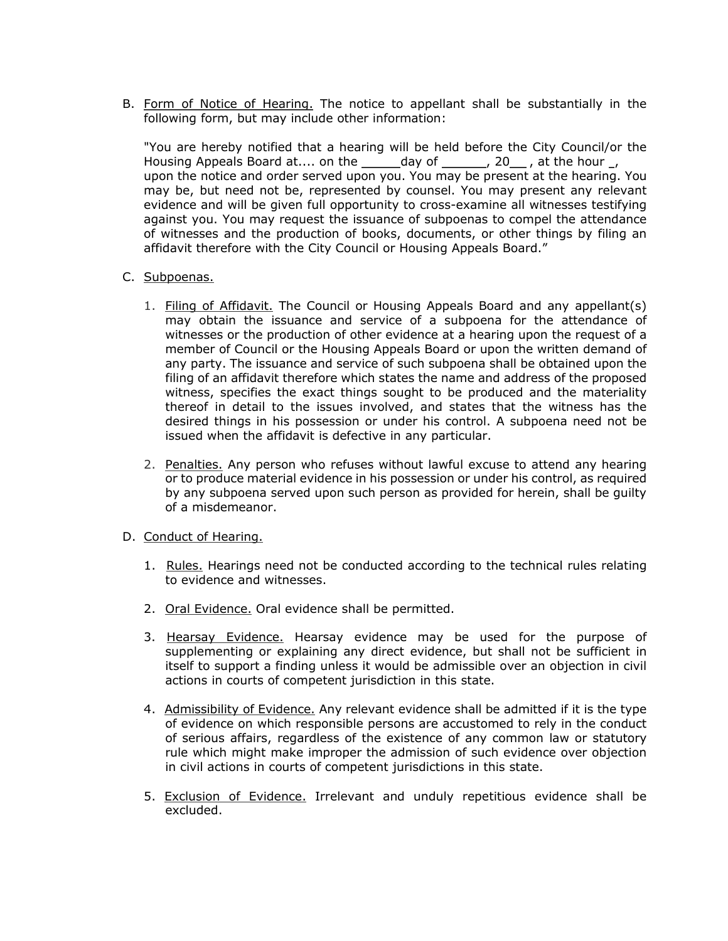B. Form of Notice of Hearing. The notice to appellant shall be substantially in the following form, but may include other information:

"You are hereby notified that a hearing will be held before the City Council/or the Housing Appeals Board at.... on the  $\qquad \qquad$  day of  $\qquad \qquad$ , 20 , at the hour  $\qquad$ , upon the notice and order served upon you. You may be present at the hearing. You may be, but need not be, represented by counsel. You may present any relevant evidence and will be given full opportunity to cross-examine all witnesses testifying against you. You may request the issuance of subpoenas to compel the attendance of witnesses and the production of books, documents, or other things by filing an affidavit therefore with the City Council or Housing Appeals Board."

- C. Subpoenas.
	- 1. Filing of Affidavit. The Council or Housing Appeals Board and any appellant(s) may obtain the issuance and service of a subpoena for the attendance of witnesses or the production of other evidence at a hearing upon the request of a member of Council or the Housing Appeals Board or upon the written demand of any party. The issuance and service of such subpoena shall be obtained upon the filing of an affidavit therefore which states the name and address of the proposed witness, specifies the exact things sought to be produced and the materiality thereof in detail to the issues involved, and states that the witness has the desired things in his possession or under his control. A subpoena need not be issued when the affidavit is defective in any particular.
	- 2. Penalties. Any person who refuses without lawful excuse to attend any hearing or to produce material evidence in his possession or under his control, as required by any subpoena served upon such person as provided for herein, shall be guilty of a misdemeanor.
- D. Conduct of Hearing.
	- 1. Rules. Hearings need not be conducted according to the technical rules relating to evidence and witnesses.
	- 2. Oral Evidence. Oral evidence shall be permitted.
	- 3. Hearsay Evidence. Hearsay evidence may be used for the purpose of supplementing or explaining any direct evidence, but shall not be sufficient in itself to support a finding unless it would be admissible over an objection in civil actions in courts of competent jurisdiction in this state.
	- 4. Admissibility of Evidence. Any relevant evidence shall be admitted if it is the type of evidence on which responsible persons are accustomed to rely in the conduct of serious affairs, regardless of the existence of any common law or statutory rule which might make improper the admission of such evidence over objection in civil actions in courts of competent jurisdictions in this state.
	- 5. Exclusion of Evidence. Irrelevant and unduly repetitious evidence shall be excluded.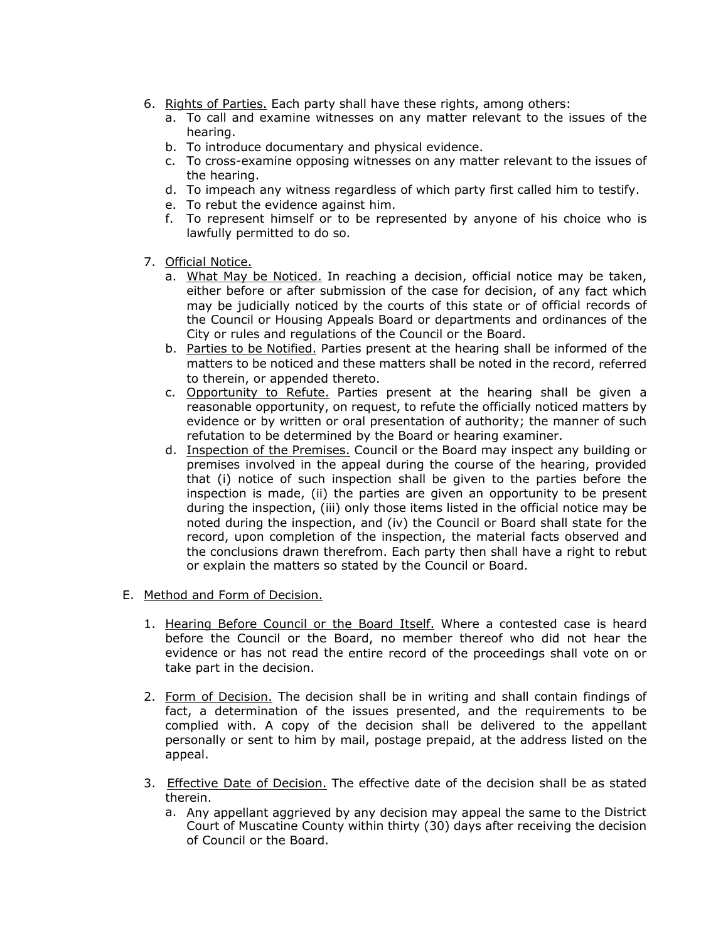- 6. Rights of Parties. Each party shall have these rights, among others:
	- a. To call and examine witnesses on any matter relevant to the issues of the hearing.
	- b. To introduce documentary and physical evidence.
	- c. To cross-examine opposing witnesses on any matter relevant to the issues of the hearing.
	- d. To impeach any witness regardless of which party first called him to testify.
	- e. To rebut the evidence against him.
	- f. To represent himself or to be represented by anyone of his choice who is lawfully permitted to do so.
- 7. Official Notice.
	- a. What May be Noticed. In reaching a decision, official notice may be taken, either before or after submission of the case for decision, of any fact which may be judicially noticed by the courts of this state or of official records of the Council or Housing Appeals Board or departments and ordinances of the City or rules and regulations of the Council or the Board.
	- b. Parties to be Notified. Parties present at the hearing shall be informed of the matters to be noticed and these matters shall be noted in the record, referred to therein, or appended thereto.
	- c. Opportunity to Refute. Parties present at the hearing shall be given a reasonable opportunity, on request, to refute the officially noticed matters by evidence or by written or oral presentation of authority; the manner of such refutation to be determined by the Board or hearing examiner.
	- d. Inspection of the Premises. Council or the Board may inspect any building or premises involved in the appeal during the course of the hearing, provided that (i) notice of such inspection shall be given to the parties before the inspection is made, (ii) the parties are given an opportunity to be present during the inspection, (iii) only those items listed in the official notice may be noted during the inspection, and (iv) the Council or Board shall state for the record, upon completion of the inspection, the material facts observed and the conclusions drawn therefrom. Each party then shall have a right to rebut or explain the matters so stated by the Council or Board.
- E. Method and Form of Decision.
	- 1. Hearing Before Council or the Board Itself. Where a contested case is heard before the Council or the Board, no member thereof who did not hear the evidence or has not read the entire record of the proceedings shall vote on or take part in the decision.
	- 2. Form of Decision. The decision shall be in writing and shall contain findings of fact, a determination of the issues presented, and the requirements to be complied with. A copy of the decision shall be delivered to the appellant personally or sent to him by mail, postage prepaid, at the address listed on the appeal.
	- 3. Effective Date of Decision. The effective date of the decision shall be as stated therein.
		- a. Any appellant aggrieved by any decision may appeal the same to the District Court of Muscatine County within thirty (30) days after receiving the decision of Council or the Board.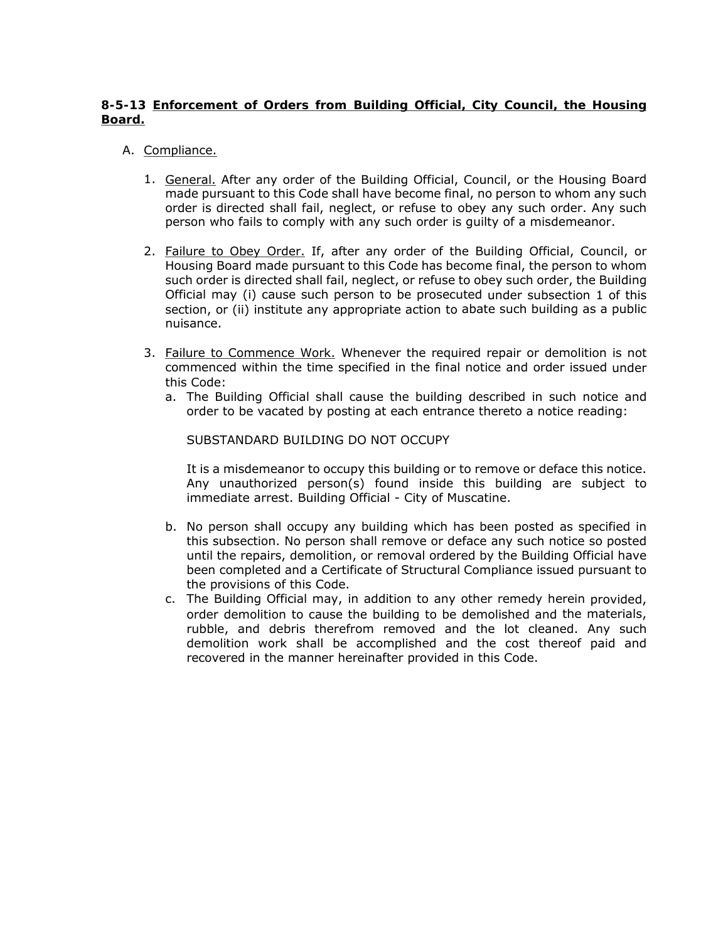# **8-5-13 Enforcement of Orders from Building Official, City Council, the Housing Board.**

- A. Compliance.
	- 1. General. After any order of the Building Official, Council, or the Housing Board made pursuant to this Code shall have become final, no person to whom any such order is directed shall fail, neglect, or refuse to obey any such order. Any such person who fails to comply with any such order is guilty of a misdemeanor.
	- 2. Failure to Obey Order. If, after any order of the Building Official, Council, or Housing Board made pursuant to this Code has become final, the person to whom such order is directed shall fail, neglect, or refuse to obey such order, the Building Official may (i) cause such person to be prosecuted under subsection 1 of this section, or (ii) institute any appropriate action to abate such building as a public nuisance.
	- 3. Failure to Commence Work. Whenever the required repair or demolition is not commenced within the time specified in the final notice and order issued under this Code:
		- a. The Building Official shall cause the building described in such notice and order to be vacated by posting at each entrance thereto a notice reading:

SUBSTANDARD BUILDING DO NOT OCCUPY

It is a misdemeanor to occupy this building or to remove or deface this notice. Any unauthorized person(s) found inside this building are subject to immediate arrest. Building Official - City of Muscatine.

- b. No person shall occupy any building which has been posted as specified in this subsection. No person shall remove or deface any such notice so posted until the repairs, demolition, or removal ordered by the Building Official have been completed and a Certificate of Structural Compliance issued pursuant to the provisions of this Code.
- c. The Building Official may, in addition to any other remedy herein provided, order demolition to cause the building to be demolished and the materials, rubble, and debris therefrom removed and the lot cleaned. Any such demolition work shall be accomplished and the cost thereof paid and recovered in the manner hereinafter provided in this Code.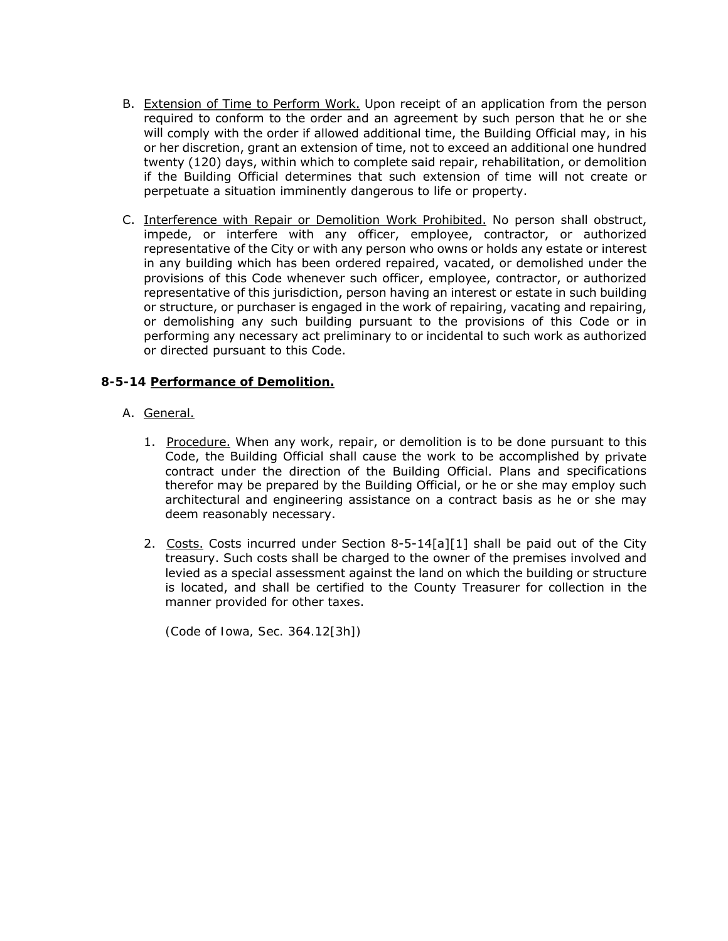- B. Extension of Time to Perform Work. Upon receipt of an application from the person required to conform to the order and an agreement by such person that he or she will comply with the order if allowed additional time, the Building Official may, in his or her discretion, grant an extension of time, not to exceed an additional one hundred twenty (120) days, within which to complete said repair, rehabilitation, or demolition if the Building Official determines that such extension of time will not create or perpetuate a situation imminently dangerous to life or property.
- C. Interference with Repair or Demolition Work Prohibited. No person shall obstruct, impede, or interfere with any officer, employee, contractor, or authorized representative of the City or with any person who owns or holds any estate or interest in any building which has been ordered repaired, vacated, or demolished under the provisions of this Code whenever such officer, employee, contractor, or authorized representative of this jurisdiction, person having an interest or estate in such building or structure, or purchaser is engaged in the work of repairing, vacating and repairing, or demolishing any such building pursuant to the provisions of this Code or in performing any necessary act preliminary to or incidental to such work as authorized or directed pursuant to this Code.

# **8-5-14 Performance of Demolition.**

- A. General.
	- 1. Procedure. When any work, repair, or demolition is to be done pursuant to this Code, the Building Official shall cause the work to be accomplished by private contract under the direction of the Building Official. Plans and specifications therefor may be prepared by the Building Official, or he or she may employ such architectural and engineering assistance on a contract basis as he or she may deem reasonably necessary.
	- 2. Costs. Costs incurred under Section  $8-5-14[a][1]$  shall be paid out of the City treasury. Such costs shall be charged to the owner of the premises involved and levied as a special assessment against the land on which the building or structure is located, and shall be certified to the County Treasurer for collection in the manner provided for other taxes.

*(Code of Iowa, Sec. 364.12[3h])*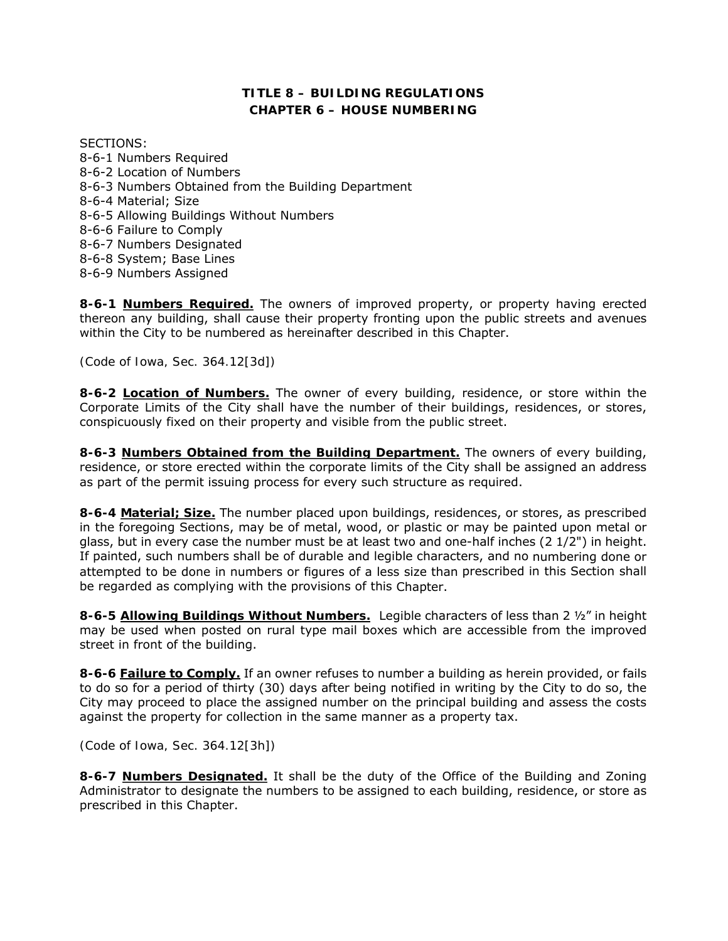# **TITLE 8 – BUILDING REGULATIONS CHAPTER 6 – HOUSE NUMBERING**

SECTIONS: 8-6-1 Numbers Required 8-6-2 Location of Numbers 8-6-3 Numbers Obtained from the Building Department 8-6-4 Material; Size 8-6-5 Allowing Buildings Without Numbers 8-6-6 Failure to Comply 8-6-7 Numbers Designated 8-6-8 System; Base Lines 8-6-9 Numbers Assigned

**8-6-1 Numbers Required.** The owners of improved property, or property having erected thereon any building, shall cause their property fronting upon the public streets and avenues within the City to be numbered as hereinafter described in this Chapter.

*(Code of Iowa, Sec. 364.12[3d])* 

**8-6-2 Location of Numbers.** The owner of every building, residence, or store within the Corporate Limits of the City shall have the number of their buildings, residences, or stores, conspicuously fixed on their property and visible from the public street.

**8-6-3 Numbers Obtained from the Building Department.** The owners of every building, residence, or store erected within the corporate limits of the City shall be assigned an address as part of the permit issuing process for every such structure as required.

**8-6-4 Material; Size.** The number placed upon buildings, residences, or stores, as prescribed in the foregoing Sections, may be of metal, wood, or plastic or may be painted upon metal or glass, but in every case the number must be at least two and one-half inches (2 1/2") in height. If painted, such numbers shall be of durable and legible characters, and no numbering done or attempted to be done in numbers or figures of a less size than prescribed in this Section shall be regarded as complying with the provisions of this Chapter.

**8-6-5 Allowing Buildings Without Numbers.** Legible characters of less than 2 ½" in height may be used when posted on rural type mail boxes which are accessible from the improved street in front of the building.

**8-6-6 Failure to Comply.** If an owner refuses to number a building as herein provided, or fails to do so for a period of thirty (30) days after being notified in writing by the City to do so, the City may proceed to place the assigned number on the principal building and assess the costs against the property for collection in the same manner as a property tax.

*(Code of Iowa, Sec. 364.12[3h])* 

**8-6-7 Numbers Designated.** It shall be the duty of the Office of the Building and Zoning Administrator to designate the numbers to be assigned to each building, residence, or store as prescribed in this Chapter.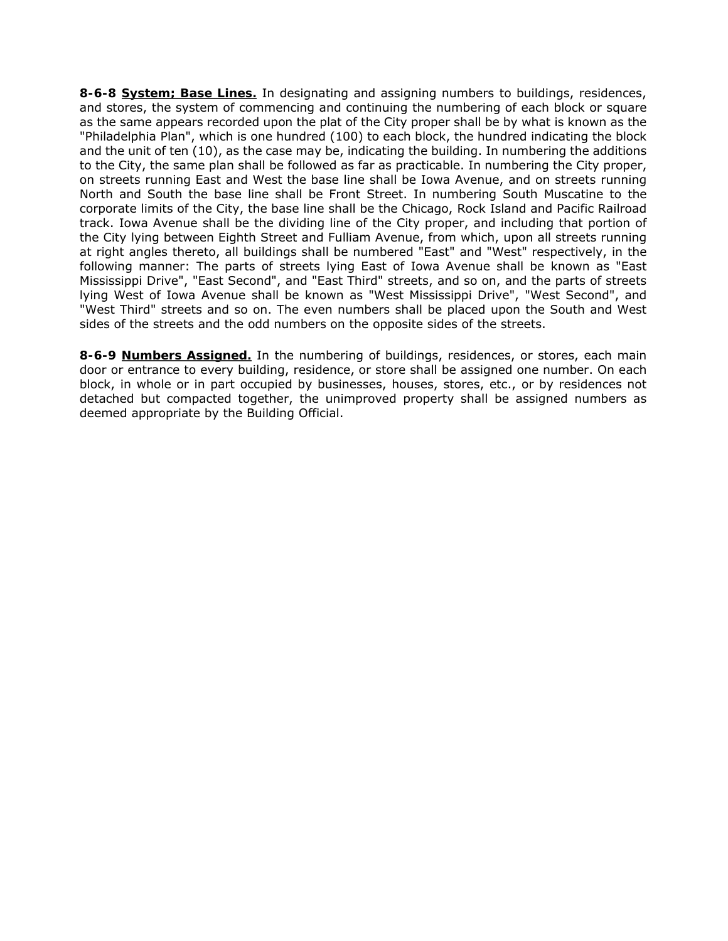**8-6-8 System; Base Lines.** In designating and assigning numbers to buildings, residences, and stores, the system of commencing and continuing the numbering of each block or square as the same appears recorded upon the plat of the City proper shall be by what is known as the "Philadelphia Plan", which is one hundred (100) to each block, the hundred indicating the block and the unit of ten (10), as the case may be, indicating the building. In numbering the additions to the City, the same plan shall be followed as far as practicable. In numbering the City proper, on streets running East and West the base line shall be Iowa Avenue, and on streets running North and South the base line shall be Front Street. In numbering South Muscatine to the corporate limits of the City, the base line shall be the Chicago, Rock Island and Pacific Railroad track. Iowa Avenue shall be the dividing line of the City proper, and including that portion of the City lying between Eighth Street and Fulliam Avenue, from which, upon all streets running at right angles thereto, all buildings shall be numbered "East" and "West" respectively, in the following manner: The parts of streets lying East of Iowa Avenue shall be known as "East Mississippi Drive", "East Second", and "East Third" streets, and so on, and the parts of streets lying West of Iowa Avenue shall be known as "West Mississippi Drive", "West Second", and "West Third" streets and so on. The even numbers shall be placed upon the South and West sides of the streets and the odd numbers on the opposite sides of the streets.

**8-6-9 Numbers Assigned.** In the numbering of buildings, residences, or stores, each main door or entrance to every building, residence, or store shall be assigned one number. On each block, in whole or in part occupied by businesses, houses, stores, etc., or by residences not detached but compacted together, the unimproved property shall be assigned numbers as deemed appropriate by the Building Official.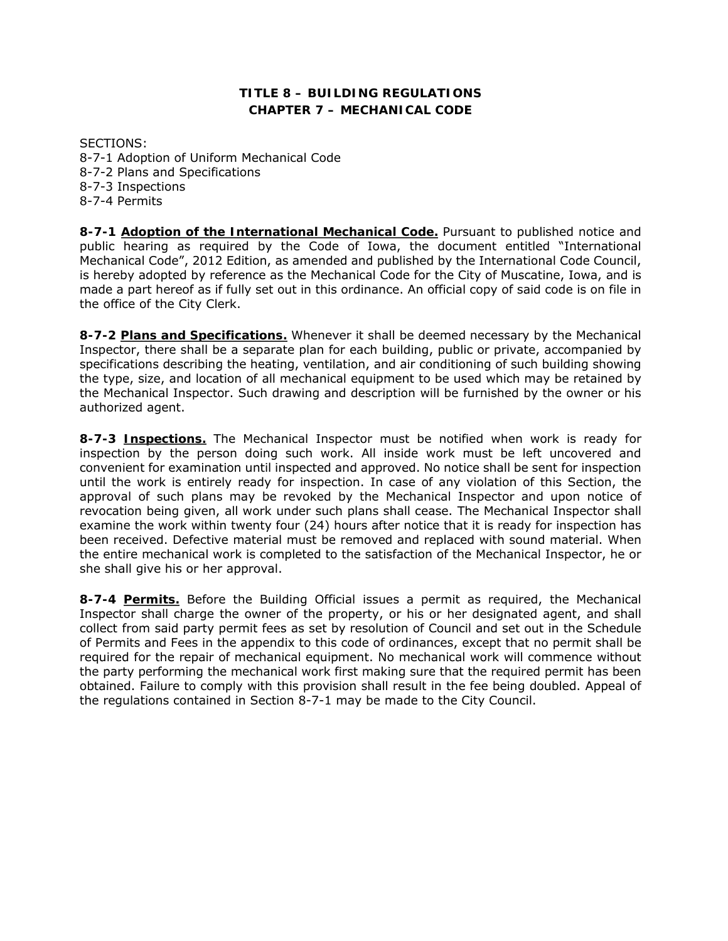# **TITLE 8 – BUILDING REGULATIONS CHAPTER 7 – MECHANICAL CODE**

SECTIONS: 8-7-1 Adoption of Uniform Mechanical Code 8-7-2 Plans and Specifications 8-7-3 Inspections 8-7-4 Permits

**8-7-1 Adoption of the International Mechanical Code.** Pursuant to published notice and public hearing as required by the Code of Iowa, the document entitled "International Mechanical Code", 2012 Edition, as amended and published by the International Code Council, is hereby adopted by reference as the Mechanical Code for the City of Muscatine, Iowa, and is made a part hereof as if fully set out in this ordinance. An official copy of said code is on file in the office of the City Clerk.

**8-7-2 Plans and Specifications.** Whenever it shall be deemed necessary by the Mechanical Inspector, there shall be a separate plan for each building, public or private, accompanied by specifications describing the heating, ventilation, and air conditioning of such building showing the type, size, and location of all mechanical equipment to be used which may be retained by the Mechanical Inspector. Such drawing and description will be furnished by the owner or his authorized agent.

**8-7-3 Inspections.** The Mechanical Inspector must be notified when work is ready for inspection by the person doing such work. All inside work must be left uncovered and convenient for examination until inspected and approved. No notice shall be sent for inspection until the work is entirely ready for inspection. In case of any violation of this Section, the approval of such plans may be revoked by the Mechanical Inspector and upon notice of revocation being given, all work under such plans shall cease. The Mechanical Inspector shall examine the work within twenty four (24) hours after notice that it is ready for inspection has been received. Defective material must be removed and replaced with sound material. When the entire mechanical work is completed to the satisfaction of the Mechanical Inspector, he or she shall give his or her approval.

**8-7-4 Permits.** Before the Building Official issues a permit as required, the Mechanical Inspector shall charge the owner of the property, or his or her designated agent, and shall collect from said party permit fees as set by resolution of Council and set out in the Schedule of Permits and Fees in the appendix to this code of ordinances, except that no permit shall be required for the repair of mechanical equipment. No mechanical work will commence without the party performing the mechanical work first making sure that the required permit has been obtained. Failure to comply with this provision shall result in the fee being doubled. Appeal of the regulations contained in Section 8-7-1 may be made to the City Council.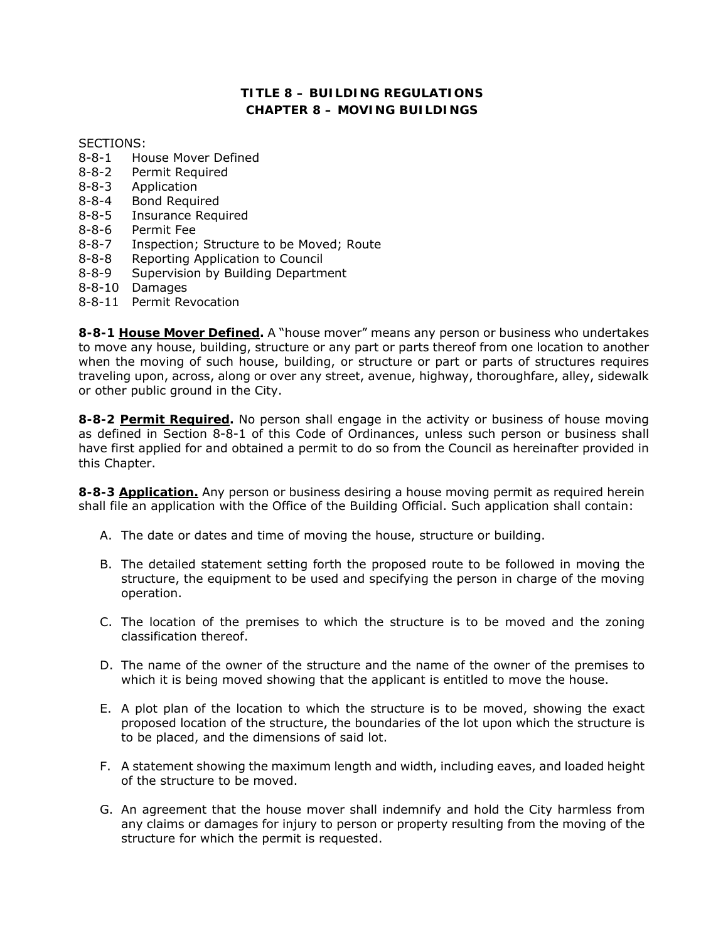# **TITLE 8 – BUILDING REGULATIONS CHAPTER 8 – MOVING BUILDINGS**

SECTIONS:

- 8-8-1 House Mover Defined
- 8-8-2 Permit Required
- 8-8-3 Application
- 8-8-4 Bond Required
- 8-8-5 Insurance Required
- 8-8-6 Permit Fee
- 8-8-7 Inspection; Structure to be Moved; Route
- 8-8-8 Reporting Application to Council
- 8-8-9 Supervision by Building Department
- 8-8-10 Damages
- 8-8-11 Permit Revocation

**8-8-1 House Mover Defined.** A "house mover" means any person or business who undertakes to move any house, building, structure or any part or parts thereof from one location to another when the moving of such house, building, or structure or part or parts of structures requires traveling upon, across, along or over any street, avenue, highway, thoroughfare, alley, sidewalk or other public ground in the City.

**8-8-2 Permit Required.** No person shall engage in the activity or business of house moving as defined in Section 8-8-1 of this Code of Ordinances, unless such person or business shall have first applied for and obtained a permit to do so from the Council as hereinafter provided in this Chapter.

**8-8-3 Application.** Any person or business desiring a house moving permit as required herein shall file an application with the Office of the Building Official. Such application shall contain:

- A. The date or dates and time of moving the house, structure or building.
- B. The detailed statement setting forth the proposed route to be followed in moving the structure, the equipment to be used and specifying the person in charge of the moving operation.
- C. The location of the premises to which the structure is to be moved and the zoning classification thereof.
- D. The name of the owner of the structure and the name of the owner of the premises to which it is being moved showing that the applicant is entitled to move the house.
- E. A plot plan of the location to which the structure is to be moved, showing the exact proposed location of the structure, the boundaries of the lot upon which the structure is to be placed, and the dimensions of said lot.
- F. A statement showing the maximum length and width, including eaves, and loaded height of the structure to be moved.
- G. An agreement that the house mover shall indemnify and hold the City harmless from any claims or damages for injury to person or property resulting from the moving of the structure for which the permit is requested.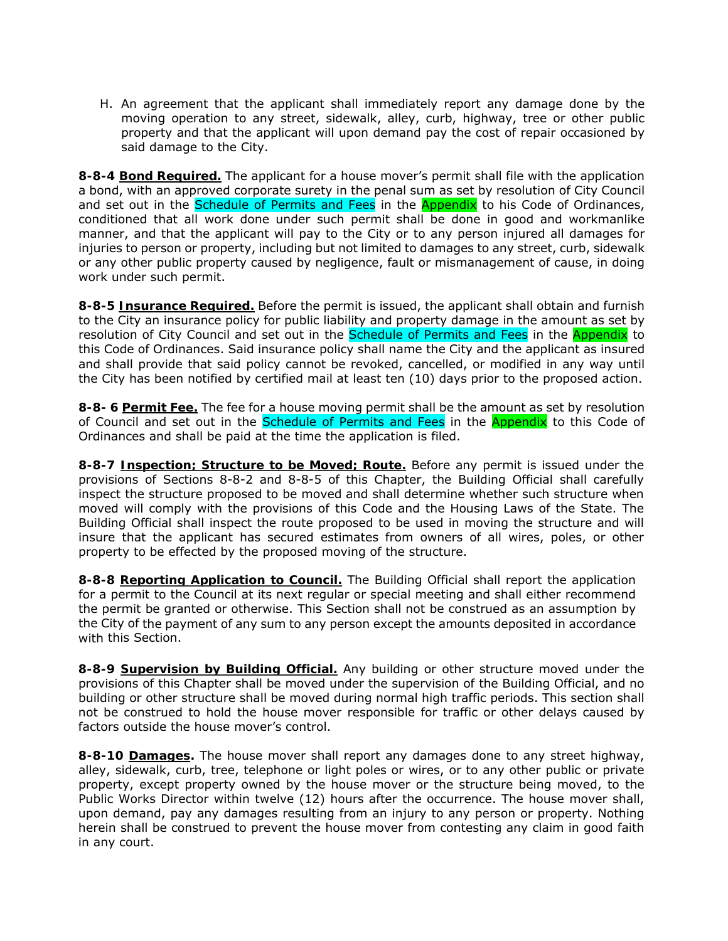H. An agreement that the applicant shall immediately report any damage done by the moving operation to any street, sidewalk, alley, curb, highway, tree or other public property and that the applicant will upon demand pay the cost of repair occasioned by said damage to the City.

**8-8-4 Bond Required.** The applicant for a house mover's permit shall file with the application a bond, with an approved corporate surety in the penal sum as set by resolution of City Council and set out in the Schedule of Permits and Fees in the Appendix to his Code of Ordinances, conditioned that all work done under such permit shall be done in good and workmanlike manner, and that the applicant will pay to the City or to any person injured all damages for injuries to person or property, including but not limited to damages to any street, curb, sidewalk or any other public property caused by negligence, fault or mismanagement of cause, in doing work under such permit.

**8-8-5 Insurance Required.** Before the permit is issued, the applicant shall obtain and furnish to the City an insurance policy for public liability and property damage in the amount as set by resolution of City Council and set out in the Schedule of Permits and Fees in the Appendix to this Code of Ordinances. Said insurance policy shall name the City and the applicant as insured and shall provide that said policy cannot be revoked, cancelled, or modified in any way until the City has been notified by certified mail at least ten (10) days prior to the proposed action.

**8-8- 6 Permit Fee.** The fee for a house moving permit shall be the amount as set by resolution of Council and set out in the **Schedule of Permits and Fees** in the **Appendix** to this Code of Ordinances and shall be paid at the time the application is filed.

**8-8-7 Inspection; Structure to be Moved; Route.** Before any permit is issued under the provisions of Sections 8-8-2 and 8-8-5 of this Chapter, the Building Official shall carefully inspect the structure proposed to be moved and shall determine whether such structure when moved will comply with the provisions of this Code and the Housing Laws of the State. The Building Official shall inspect the route proposed to be used in moving the structure and will insure that the applicant has secured estimates from owners of all wires, poles, or other property to be effected by the proposed moving of the structure.

**8-8-8 Reporting Application to Council.** The Building Official shall report the application for a permit to the Council at its next regular or special meeting and shall either recommend the permit be granted or otherwise. This Section shall not be construed as an assumption by the City of the payment of any sum to any person except the amounts deposited in accordance with this Section.

**8-8-9 Supervision by Building Official.** Any building or other structure moved under the provisions of this Chapter shall be moved under the supervision of the Building Official, and no building or other structure shall be moved during normal high traffic periods. This section shall not be construed to hold the house mover responsible for traffic or other delays caused by factors outside the house mover's control.

**8-8-10 Damages.** The house mover shall report any damages done to any street highway, alley, sidewalk, curb, tree, telephone or light poles or wires, or to any other public or private property, except property owned by the house mover or the structure being moved, to the Public Works Director within twelve (12) hours after the occurrence. The house mover shall, upon demand, pay any damages resulting from an injury to any person or property. Nothing herein shall be construed to prevent the house mover from contesting any claim in good faith in any court.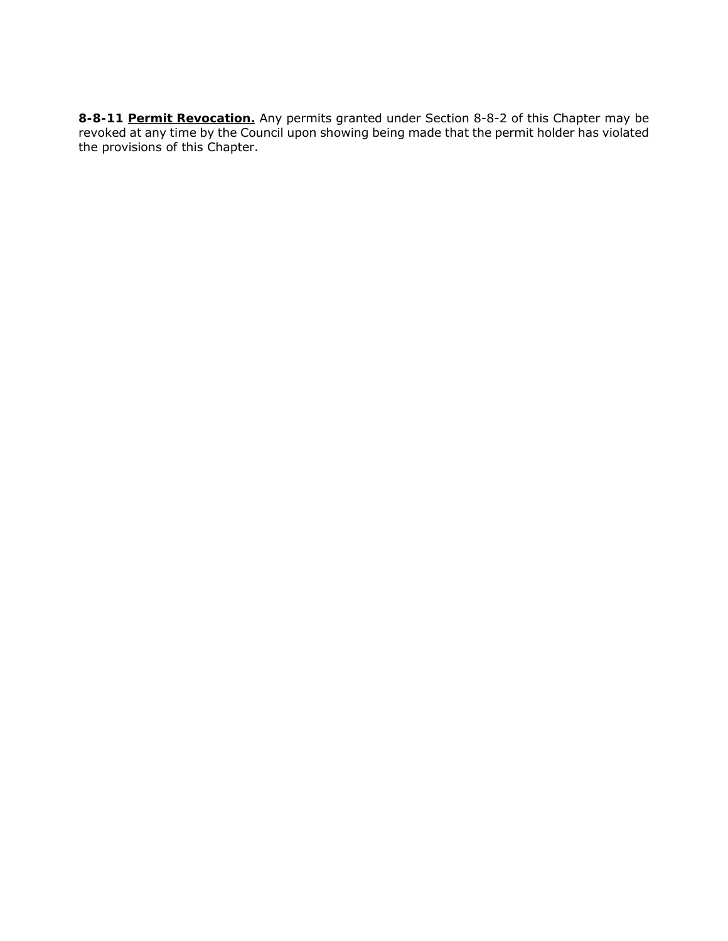**8-8-11 Permit Revocation.** Any permits granted under Section 8-8-2 of this Chapter may be revoked at any time by the Council upon showing being made that the permit holder has violated the provisions of this Chapter.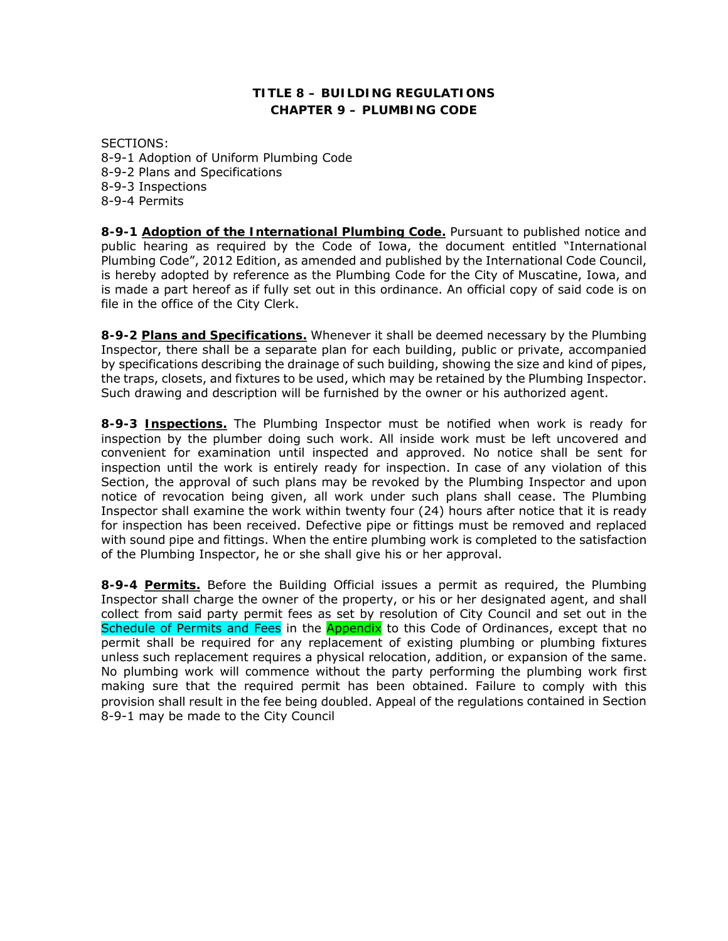# **TITLE 8 – BUILDING REGULATIONS CHAPTER 9 – PLUMBING CODE**

SECTIONS: 8-9-1 Adoption of Uniform Plumbing Code 8-9-2 Plans and Specifications 8-9-3 Inspections 8-9-4 Permits

**8-9-1 Adoption of the International Plumbing Code.** Pursuant to published notice and public hearing as required by the Code of Iowa, the document entitled "International Plumbing Code", 2012 Edition, as amended and published by the International Code Council, is hereby adopted by reference as the Plumbing Code for the City of Muscatine, Iowa, and is made a part hereof as if fully set out in this ordinance. An official copy of said code is on file in the office of the City Clerk.

**8-9-2 Plans and Specifications.** Whenever it shall be deemed necessary by the Plumbing Inspector, there shall be a separate plan for each building, public or private, accompanied by specifications describing the drainage of such building, showing the size and kind of pipes, the traps, closets, and fixtures to be used, which may be retained by the Plumbing Inspector. Such drawing and description will be furnished by the owner or his authorized agent.

**8-9-3 Inspections.** The Plumbing Inspector must be notified when work is ready for inspection by the plumber doing such work. All inside work must be left uncovered and convenient for examination until inspected and approved. No notice shall be sent for inspection until the work is entirely ready for inspection. In case of any violation of this Section, the approval of such plans may be revoked by the Plumbing Inspector and upon notice of revocation being given, all work under such plans shall cease. The Plumbing Inspector shall examine the work within twenty four (24) hours after notice that it is ready for inspection has been received. Defective pipe or fittings must be removed and replaced with sound pipe and fittings. When the entire plumbing work is completed to the satisfaction of the Plumbing Inspector, he or she shall give his or her approval.

**8-9-4 Permits.** Before the Building Official issues a permit as required, the Plumbing Inspector shall charge the owner of the property, or his or her designated agent, and shall collect from said party permit fees as set by resolution of City Council and set out in the Schedule of Permits and Fees in the Appendix to this Code of Ordinances, except that no permit shall be required for any replacement of existing plumbing or plumbing fixtures unless such replacement requires a physical relocation, addition, or expansion of the same. No plumbing work will commence without the party performing the plumbing work first making sure that the required permit has been obtained. Failure to comply with this provision shall result in the fee being doubled. Appeal of the regulations contained in Section 8-9-1 may be made to the City Council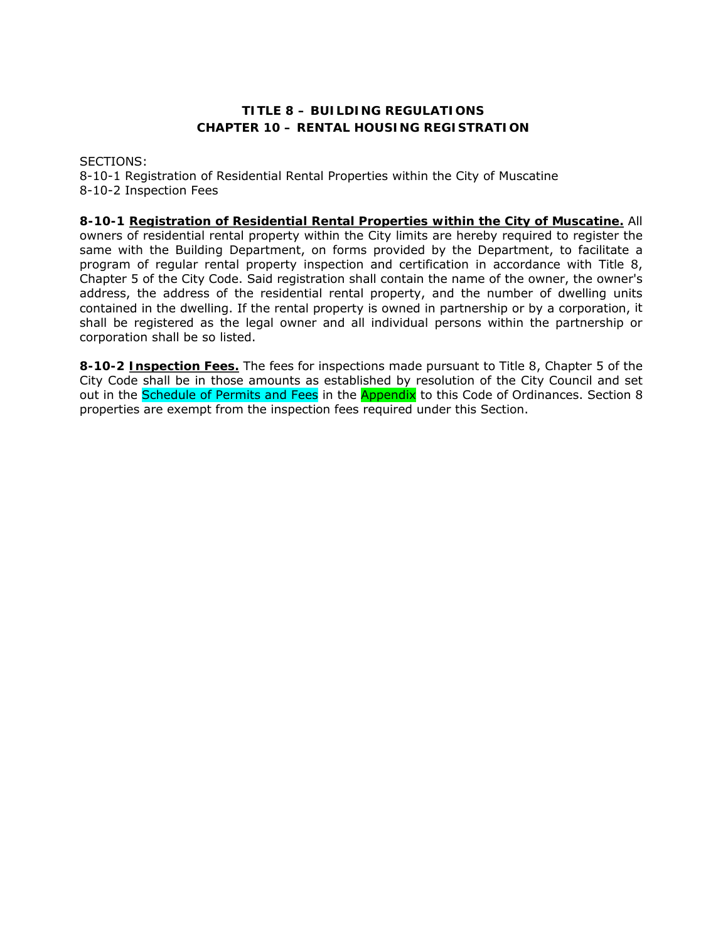# **TITLE 8 – BUILDING REGULATIONS CHAPTER 10 – RENTAL HOUSING REGISTRATION**

SECTIONS:

8-10-1 Registration of Residential Rental Properties within the City of Muscatine 8-10-2 Inspection Fees

# **8-10-1 Registration of Residential Rental Properties within the City of Muscatine.** All

owners of residential rental property within the City limits are hereby required to register the same with the Building Department, on forms provided by the Department, to facilitate a program of regular rental property inspection and certification in accordance with Title 8, Chapter 5 of the City Code. Said registration shall contain the name of the owner, the owner's address, the address of the residential rental property, and the number of dwelling units contained in the dwelling. If the rental property is owned in partnership or by a corporation, it shall be registered as the legal owner and all individual persons within the partnership or corporation shall be so listed.

**8-10-2 Inspection Fees.** The fees for inspections made pursuant to Title 8, Chapter 5 of the City Code shall be in those amounts as established by resolution of the City Council and set out in the Schedule of Permits and Fees in the Appendix to this Code of Ordinances. Section 8 properties are exempt from the inspection fees required under this Section.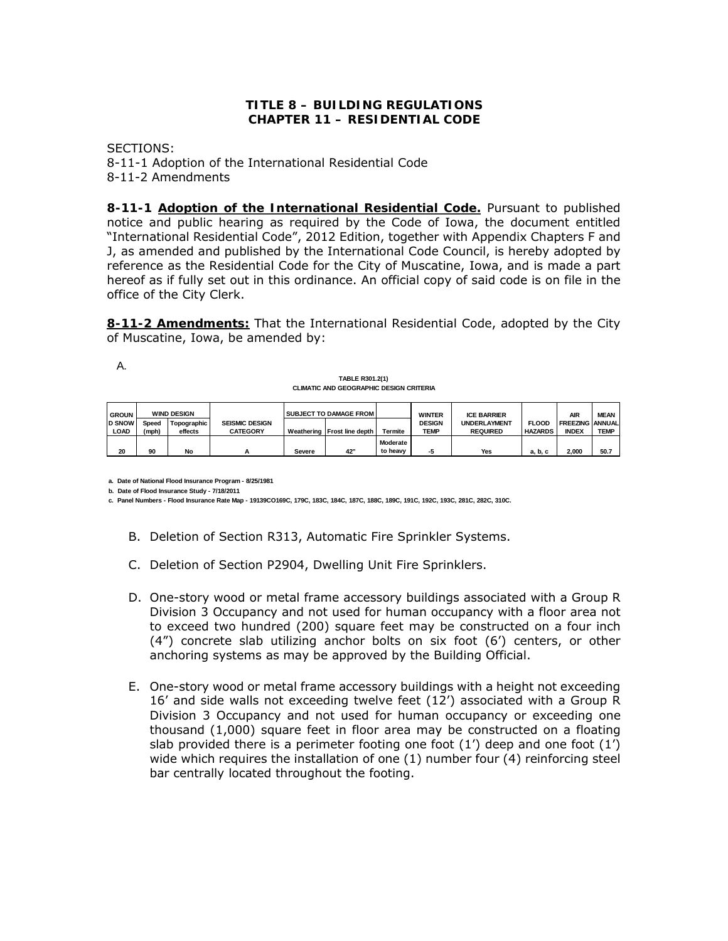### **TITLE 8 – BUILDING REGULATIONS CHAPTER 11 – RESIDENTIAL CODE**

SECTIONS: 8-11-1 Adoption of the International Residential Code 8-11-2 Amendments

**8-11-1 Adoption of the International Residential Code.** Pursuant to published notice and public hearing as required by the Code of Iowa, the document entitled "International Residential Code", 2012 Edition, together with Appendix Chapters F and J, as amended and published by the International Code Council, is hereby adopted by reference as the Residential Code for the City of Muscatine, Iowa, and is made a part hereof as if fully set out in this ordinance. An official copy of said code is on file in the office of the City Clerk.

**8-11-2 Amendments:** That the International Residential Code, adopted by the City of Muscatine, Iowa, be amended by:

A.

**TABLE R301.2(1) CLIMATIC AND GEOGRAPHIC DESIGN CRITERIA**

| <b>GROUN</b>  | <b>WIND DESIGN</b> |               |                       |            | <b>SUBJECT TO DAMAGE FROM</b> |                | <b>WINTER</b> | <b>ICE BARRIER</b>  |                | <b>AIR</b>             | <b>MEAN</b> |
|---------------|--------------------|---------------|-----------------------|------------|-------------------------------|----------------|---------------|---------------------|----------------|------------------------|-------------|
| <b>D SNOW</b> | Speed              | Topographic I | <b>SEISMIC DESIGN</b> |            |                               |                | <b>DESIGN</b> | <b>UNDERLAYMENT</b> | <b>FLOOD</b>   | <b>FREEZING ANNUAL</b> |             |
| <b>LOAD</b>   | (mph)              | effects       | <b>CATEGORY</b>       | Weathering | Frost line depth              | <b>Termite</b> | <b>TEMP</b>   | <b>REQUIRED</b>     | <b>HAZARDS</b> | <b>INDEX</b>           | <b>TEMP</b> |
|               |                    |               |                       |            |                               | Moderate       |               |                     |                |                        |             |
| 20            | 90                 | No            | n                     | Severe     | 42'                           | to heavy       | -5            | Yes                 | a, b, c        | 2.000                  | 50.7        |

**a. Date of National Flood Insurance Program - 8/25/1981** 

**b. Date of Flood Insurance Study - 7/18/2011**

**c. Panel Numbers - Flood Insurance Rate Map - 19139CO169C, 179C, 183C, 184C, 187C, 188C, 189C, 191C, 192C, 193C, 281C, 282C, 310C.**

- B. Deletion of Section R313, Automatic Fire Sprinkler Systems.
- C. Deletion of Section P2904, Dwelling Unit Fire Sprinklers.
- D. One-story wood or metal frame accessory buildings associated with a Group R Division 3 Occupancy and not used for human occupancy with a floor area not to exceed two hundred (200) square feet may be constructed on a four inch (4") concrete slab utilizing anchor bolts on six foot (6') centers, or other anchoring systems as may be approved by the Building Official.
- E. One-story wood or metal frame accessory buildings with a height not exceeding 16' and side walls not exceeding twelve feet (12') associated with a Group R Division 3 Occupancy and not used for human occupancy or exceeding one thousand (1,000) square feet in floor area may be constructed on a floating slab provided there is a perimeter footing one foot (1') deep and one foot (1') wide which requires the installation of one (1) number four (4) reinforcing steel bar centrally located throughout the footing.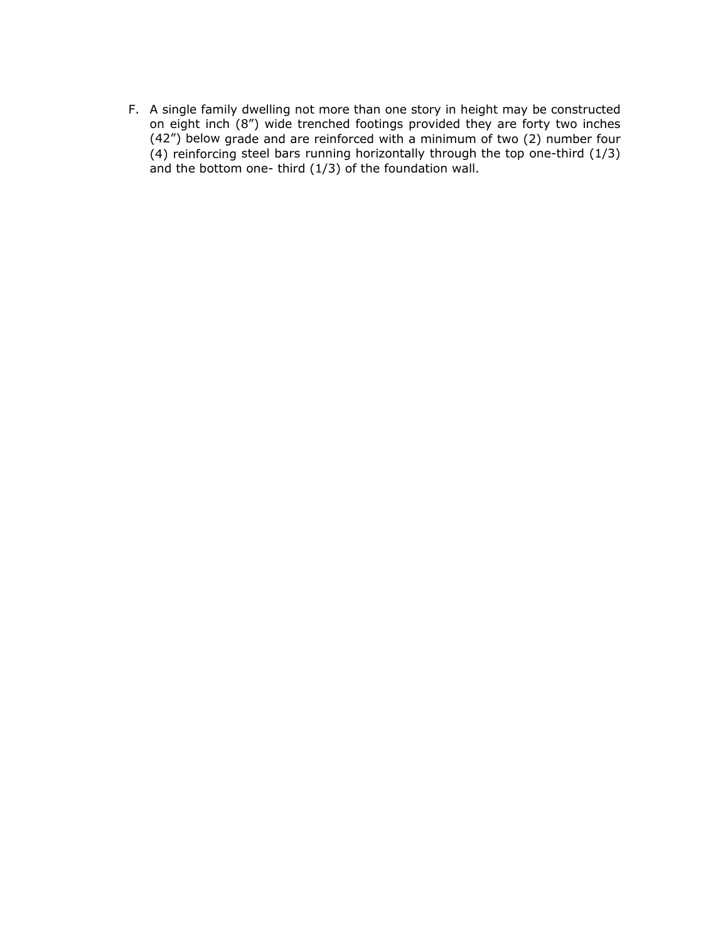F. A single family dwelling not more than one story in height may be constructed on eight inch (8") wide trenched footings provided they are forty two inches (42") below grade and are reinforced with a minimum of two (2) number four (4) reinforcing steel bars running horizontally through the top one-third (1/3) and the bottom one- third (1/3) of the foundation wall.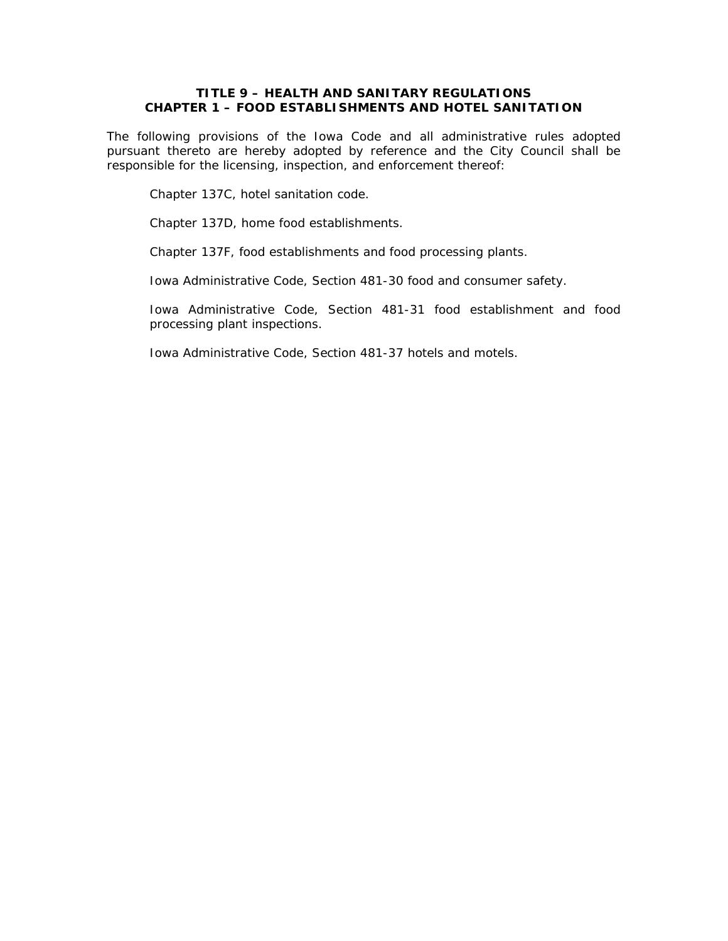# **TITLE 9 – HEALTH AND SANITARY REGULATIONS CHAPTER 1 – FOOD ESTABLISHMENTS AND HOTEL SANITATION**

The following provisions of the Iowa Code and all administrative rules adopted pursuant thereto are hereby adopted by reference and the City Council shall be responsible for the licensing, inspection, and enforcement thereof:

Chapter 137C, hotel sanitation code.

Chapter 137D, home food establishments.

Chapter 137F, food establishments and food processing plants.

Iowa Administrative Code, Section 481-30 food and consumer safety.

Iowa Administrative Code, Section 481-31 food establishment and food processing plant inspections.

Iowa Administrative Code, Section 481-37 hotels and motels.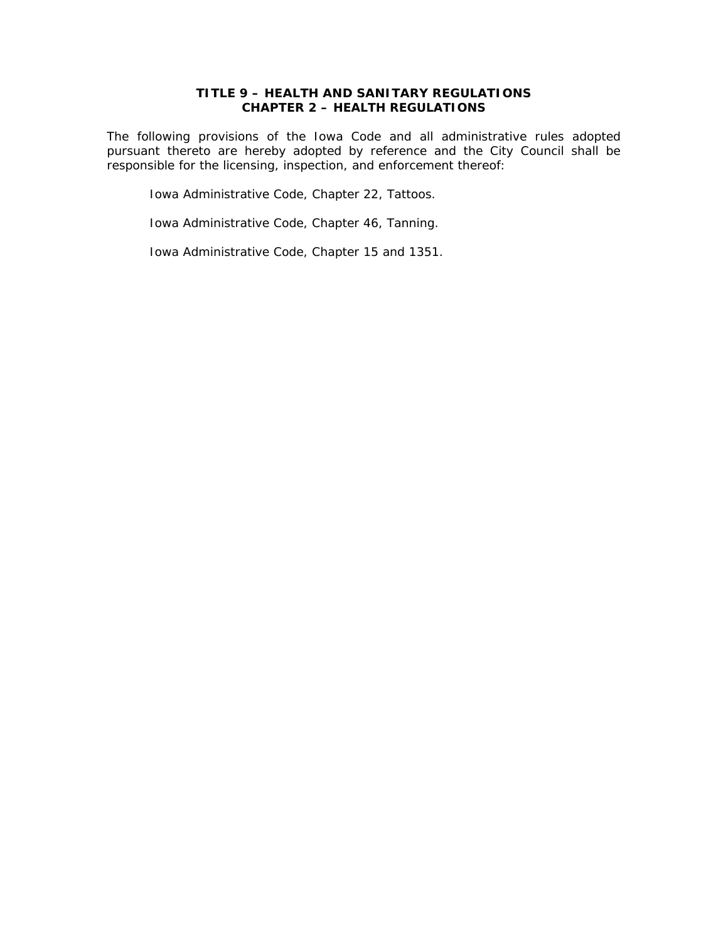# **TITLE 9 – HEALTH AND SANITARY REGULATIONS CHAPTER 2 – HEALTH REGULATIONS**

The following provisions of the Iowa Code and all administrative rules adopted pursuant thereto are hereby adopted by reference and the City Council shall be responsible for the licensing, inspection, and enforcement thereof:

Iowa Administrative Code, Chapter 22, Tattoos.

Iowa Administrative Code, Chapter 46, Tanning.

Iowa Administrative Code, Chapter 15 and 1351.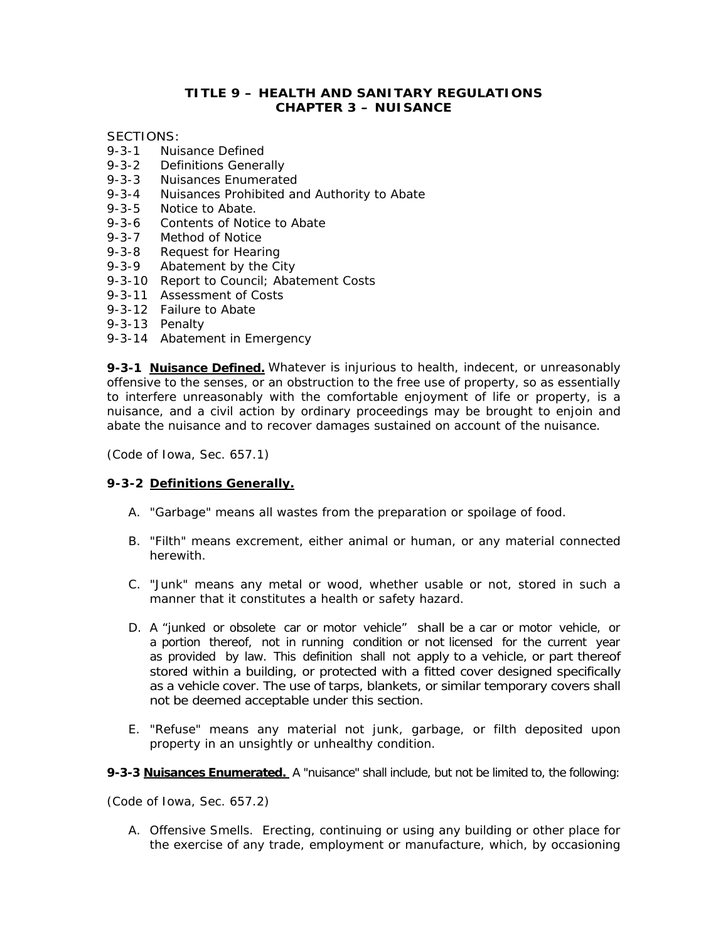# **TITLE 9 – HEALTH AND SANITARY REGULATIONS CHAPTER 3 – NUISANCE**

SECTIONS:

- 9-3-1 Nuisance Defined
- 9-3-2 Definitions Generally
- 9-3-3 Nuisances Enumerated
- 9-3-4 Nuisances Prohibited and Authority to Abate
- 9-3-5 Notice to Abate.
- 9-3-6 Contents of Notice to Abate
- 9-3-7 Method of Notice
- 9-3-8 Request for Hearing
- 9-3-9 Abatement by the City
- 9-3-10 Report to Council; Abatement Costs
- 9-3-11 Assessment of Costs
- 9-3-12 Failure to Abate
- 9-3-13 Penalty
- 9-3-14 Abatement in Emergency

**9-3-1 Nuisance Defined.** Whatever is injurious to health, indecent, or unreasonably offensive to the senses, or an obstruction to the free use of property, so as essentially to interfere unreasonably with the comfortable enjoyment of life or property, is a nuisance, and a civil action by ordinary proceedings may be brought to enjoin and abate the nuisance and to recover damages sustained on account of the nuisance.

*(Code of Iowa, Sec. 657.1)* 

### **9-3-2 Definitions Generally.**

- A. "Garbage" means all wastes from the preparation or spoilage of food.
- B. "Filth" means excrement, either animal or human, or any material connected herewith.
- C. "Junk" means any metal or wood, whether usable or not, stored in such a manner that it constitutes a health or safety hazard.
- D. A "junked or obsolete car or motor vehicle" shall be a car or motor vehicle, or a portion thereof, not in running condition or not licensed for the current year as provided by law. This definition shall not apply to a vehicle, or part thereof stored within a building, or protected with a fitted cover designed specifically as a vehicle cover. The use of tarps, blankets, or similar temporary covers shall not be deemed acceptable under this section.
- E. "Refuse" means any material not junk, garbage, or filth deposited upon property in an unsightly or unhealthy condition.
- **9-3-3 Nuisances Enumerated.** A "nuisance" shall include, but not be limited to, the following:

*(Code of Iowa, Sec. 657.2)* 

A. Offensive Smells. Erecting, continuing or using any building or other place for the exercise of any trade, employment or manufacture, which, by occasioning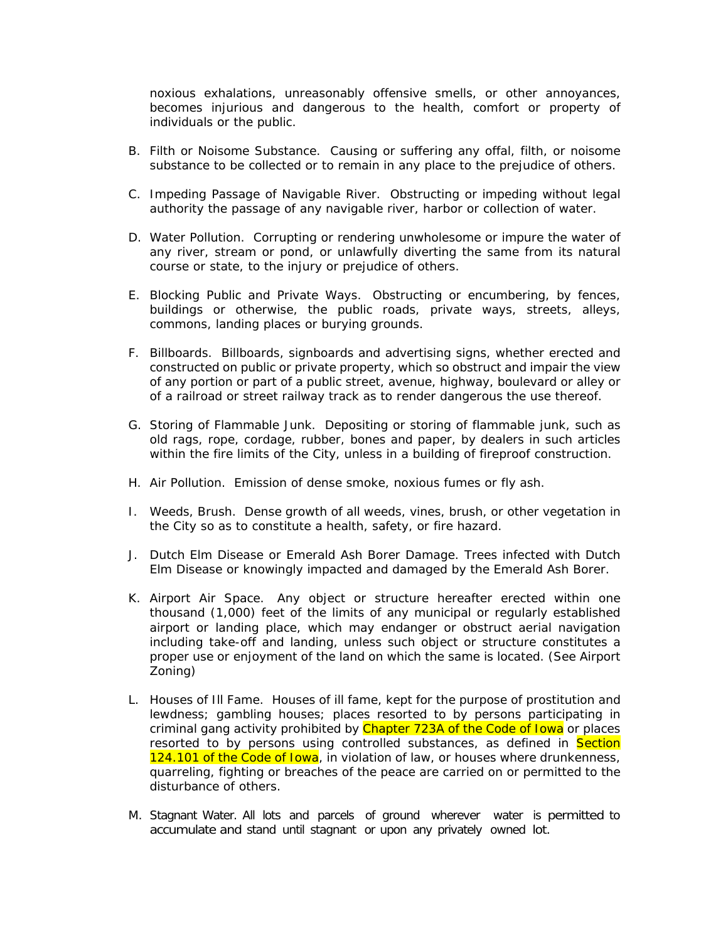noxious exhalations, unreasonably offensive smells, or other annoyances, becomes injurious and dangerous to the health, comfort or property of individuals or the public.

- B. Filth or Noisome Substance. Causing or suffering any offal, filth, or noisome substance to be collected or to remain in any place to the prejudice of others.
- C. Impeding Passage of Navigable River. Obstructing or impeding without legal authority the passage of any navigable river, harbor or collection of water.
- D. Water Pollution. Corrupting or rendering unwholesome or impure the water of any river, stream or pond, or unlawfully diverting the same from its natural course or state, to the injury or prejudice of others.
- E. Blocking Public and Private Ways. Obstructing or encumbering, by fences, buildings or otherwise, the public roads, private ways, streets, alleys, commons, landing places or burying grounds.
- F. Billboards. Billboards, signboards and advertising signs, whether erected and constructed on public or private property, which so obstruct and impair the view of any portion or part of a public street, avenue, highway, boulevard or alley or of a railroad or street railway track as to render dangerous the use thereof.
- G. Storing of Flammable Junk. Depositing or storing of flammable junk, such as old rags, rope, cordage, rubber, bones and paper, by dealers in such articles within the fire limits of the City, unless in a building of fireproof construction.
- H. Air Pollution. Emission of dense smoke, noxious fumes or fly ash.
- I. Weeds, Brush. Dense growth of all weeds, vines, brush, or other vegetation in the City so as to constitute a health, safety, or fire hazard.
- J. Dutch Elm Disease or Emerald Ash Borer Damage. Trees infected with Dutch Elm Disease or knowingly impacted and damaged by the Emerald Ash Borer.
- K. Airport Air Space. Any object or structure hereafter erected within one thousand (1,000) feet of the limits of any municipal or regularly established airport or landing place, which may endanger or obstruct aerial navigation including take-off and landing, unless such object or structure constitutes a proper use or enjoyment of the land on which the same is located. (See Airport Zoning)
- L. Houses of Ill Fame. Houses of ill fame, kept for the purpose of prostitution and lewdness; gambling houses; places resorted to by persons participating in criminal gang activity prohibited by Chapter 723A of the Code of Iowa or places resorted to by persons using controlled substances, as defined in **Section** 124.101 of the Code of Iowa, in violation of law, or houses where drunkenness, quarreling, fighting or breaches of the peace are carried on or permitted to the disturbance of others.
- M. Stagnant Water. All lots and parcels of ground wherever water is permitted to accumulate and stand until stagnant or upon any privately owned lot.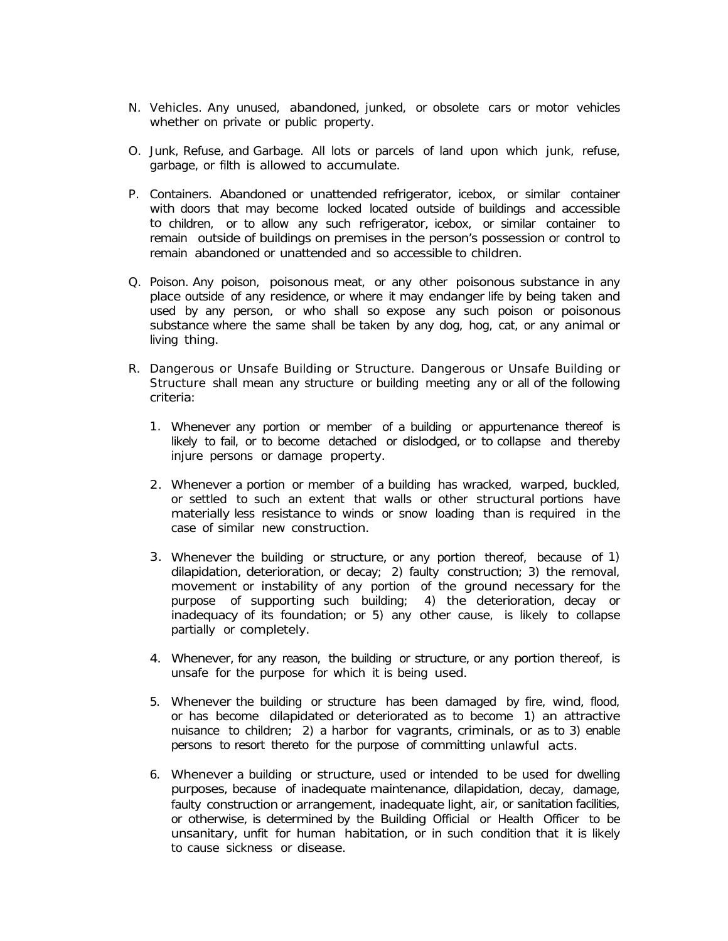- N. Vehicles. Any unused, abandoned, junked, or obsolete cars or motor vehicles whether on private or public property.
- O. Junk, Refuse, and Garbage. All lots or parcels of land upon which junk, refuse, garbage, or filth is allowed to accumulate.
- P. Containers. Abandoned or unattended refrigerator, icebox, or similar container with doors that may become locked located outside of buildings and accessible to children, or to allow any such refrigerator, icebox, or similar container to remain outside of buildings on premises in the person's possession or control to remain abandoned or unattended and so accessible to children.
- Q. Poison. Any poison, poisonous meat, or any other poisonous substance in any place outside of any residence, or where it may endanger life by being taken and used by any person, or who shall so expose any such poison or poisonous substance where the same shall be taken by any dog, hog, cat, or any animal or living thing.
- R. Dangerous or Unsafe Building or Structure. Dangerous or Unsafe Building or Structure shall mean any structure or building meeting any or all of the following criteria:
	- 1. Whenever any portion or member of a building or appurtenance thereof is likely to fail, or to become detached or dislodged, or to collapse and thereby injure persons or damage property.
	- 2. Whenever a portion or member of a building has wracked, warped, buckled, or settled to such an extent that walls or other structural portions have materially less resistance to winds or snow loading than is required in the case of similar new construction.
	- 3. Whenever the building or structure, or any portion thereof, because of 1) dilapidation, deterioration, or decay; 2) faulty construction; 3) the removal, movement or instability of any portion of the ground necessary for the purpose of supporting such building; 4) the deterioration, decay or inadequacy of its foundation; or 5) any other cause, is likely to collapse partially or completely.
	- 4. Whenever, for any reason, the building or structure, or any portion thereof, is unsafe for the purpose for which it is being used.
	- 5. Whenever the building or structure has been damaged by fire, wind, flood, or has become dilapidated or deteriorated as to become 1) an attractive nuisance to children; 2) a harbor for vagrants, criminals, or as to 3) enable persons to resort thereto for the purpose of committing unlawful acts.
	- 6. Whenever a building or structure, used or intended to be used for dwelling purposes, because of inadequate maintenance, dilapidation, decay, damage, faulty construction or arrangement, inadequate light, air, or sanitation facilities, or otherwise, is determined by the Building Official or Health Officer to be unsanitary, unfit for human habitation, or in such condition that it is likely to cause sickness or disease.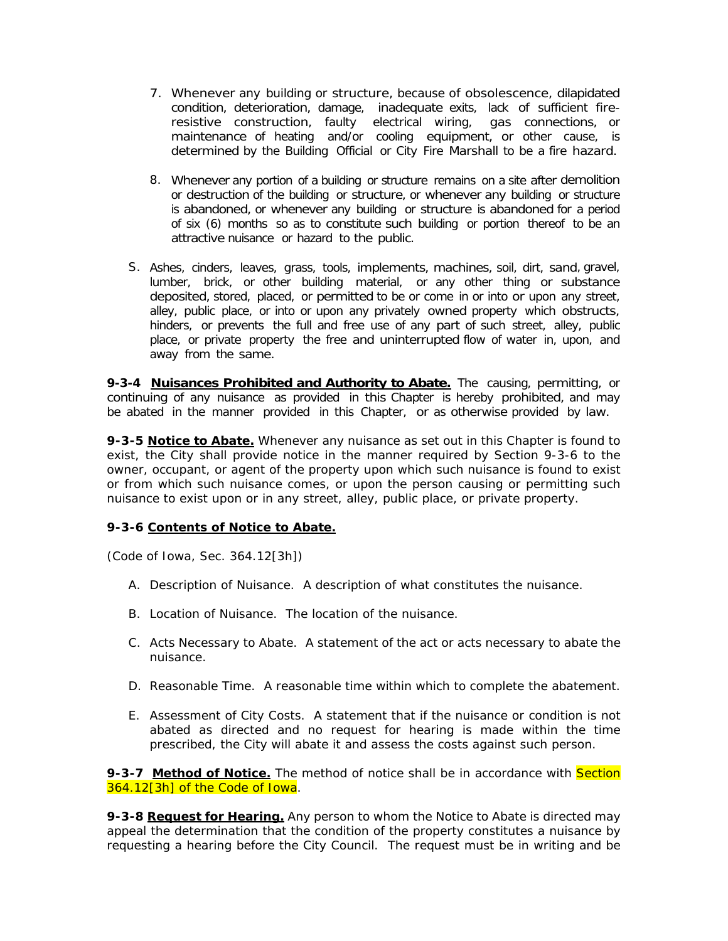- 7. Whenever any building or structure, because of obsolescence, dilapidated condition, deterioration, damage, inadequate exits, lack of sufficient fireresistive construction, faulty electrical wiring, gas connections, or maintenance of heating and/or cooling equipment, or other cause, is determined by the Building Official or City Fire Marshall to be a fire hazard.
- 8. Whenever any portion of a building or structure remains on a site after demolition or destruction of the building or structure, or whenever any building or structure is abandoned, or whenever any building or structure is abandoned for a period of six (6) months so as to constitute such building or portion thereof to be an attractive nuisance or hazard to the public.
- S. Ashes, cinders, leaves, grass, tools, implements, machines, soil, dirt, sand, gravel, lumber, brick, or other building material, or any other thing or substance deposited, stored, placed, or permitted to be or come in or into or upon any street, alley, public place, or into or upon any privately owned property which obstructs, hinders, or prevents the full and free use of any part of such street, alley, public place, or private property the free and uninterrupted flow of water in, upon, and away from the same.

**9-3-4 Nuisances Prohibited and Authority to Abate.** The causing, permitting, or continuing of any nuisance as provided in this Chapter is hereby prohibited, and may be abated in the manner provided in this Chapter, or as otherwise provided by law.

**9-3-5 Notice to Abate.** Whenever any nuisance as set out in this Chapter is found to exist, the City shall provide notice in the manner required by Section 9-3-6 to the owner, occupant, or agent of the property upon which such nuisance is found to exist or from which such nuisance comes, or upon the person causing or permitting such nuisance to exist upon or in any street, alley, public place, or private property.

### **9-3-6 Contents of Notice to Abate.**

*(Code of Iowa, Sec. 364.12[3h])* 

- A. Description of Nuisance. A description of what constitutes the nuisance.
- B. Location of Nuisance. The location of the nuisance.
- C. Acts Necessary to Abate. A statement of the act or acts necessary to abate the nuisance.
- D. Reasonable Time. A reasonable time within which to complete the abatement.
- E. Assessment of City Costs. A statement that if the nuisance or condition is not abated as directed and no request for hearing is made within the time prescribed, the City will abate it and assess the costs against such person.

**9-3-7 Method of Notice.** The method of notice shall be in accordance with **Section** 364.12[3h] of the Code of Iowa.

**9-3-8 Request for Hearing.** Any person to whom the Notice to Abate is directed may appeal the determination that the condition of the property constitutes a nuisance by requesting a hearing before the City Council. The request must be in writing and be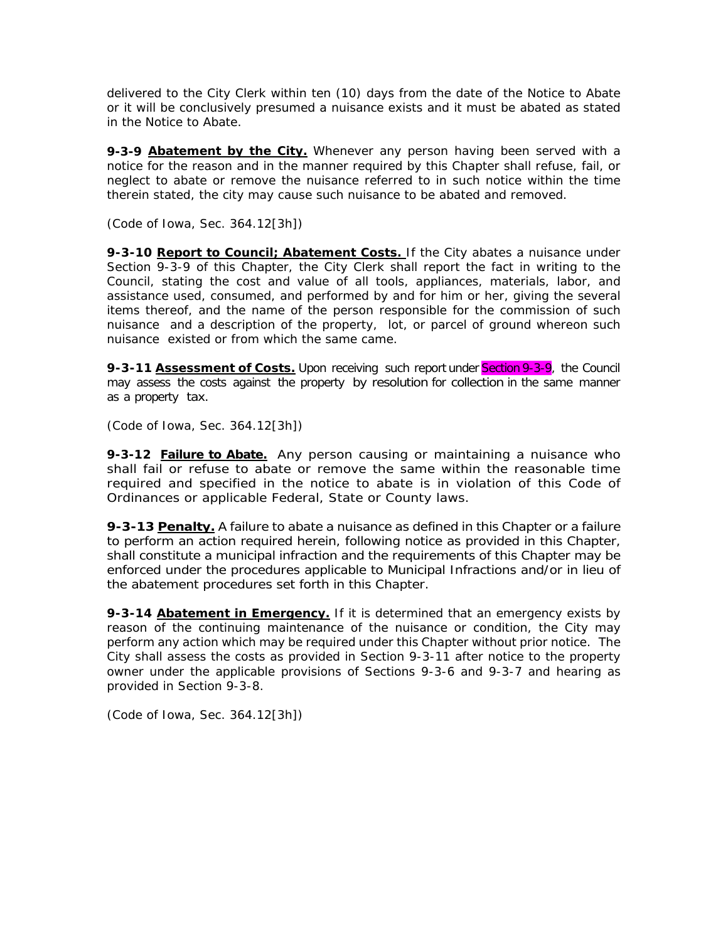delivered to the City Clerk within ten (10) days from the date of the Notice to Abate or it will be conclusively presumed a nuisance exists and it must be abated as stated in the Notice to Abate.

**9-3-9 Abatement by the City.** Whenever any person having been served with a notice for the reason and in the manner required by this Chapter shall refuse, fail, or neglect to abate or remove the nuisance referred to in such notice within the time therein stated, the city may cause such nuisance to be abated and removed.

*(Code of Iowa, Sec. 364.12[3h])* 

**9-3-10 Report to Council; Abatement Costs.** If the City abates a nuisance under Section 9-3-9 of this Chapter, the City Clerk shall report the fact in writing to the Council, stating the cost and value of all tools, appliances, materials, labor, and assistance used, consumed, and performed by and for him or her, giving the several items thereof, and the name of the person responsible for the commission of such nuisance and a description of the property, lot, or parcel of ground whereon such nuisance existed or from which the same came.

**9-3-11 Assessment of Costs.** Upon receiving such report under Section 9-3-9, the Council may assess the costs against the property by resolution for collection in the same manner as a property tax.

*(Code of Iowa, Sec. 364.12[3h])* 

**9-3-12 Failure to Abate.** Any person causing or maintaining a nuisance who shall fail or refuse to abate or remove the same within the reasonable time required and specified in the notice to abate is in violation of this Code of Ordinances or applicable Federal, State or County laws.

**9-3-13 Penalty.** A failure to abate a nuisance as defined in this Chapter or a failure to perform an action required herein, following notice as provided in this Chapter, shall constitute a municipal infraction and the requirements of this Chapter may be enforced under the procedures applicable to Municipal Infractions and/or in lieu of the abatement procedures set forth in this Chapter.

**9-3-14 Abatement in Emergency.** If it is determined that an emergency exists by reason of the continuing maintenance of the nuisance or condition, the City may perform any action which may be required under this Chapter without prior notice. The City shall assess the costs as provided in Section 9-3-11 after notice to the property owner under the applicable provisions of Sections 9-3-6 and 9-3-7 and hearing as provided in Section 9-3-8.

*(Code of Iowa, Sec. 364.12[3h])*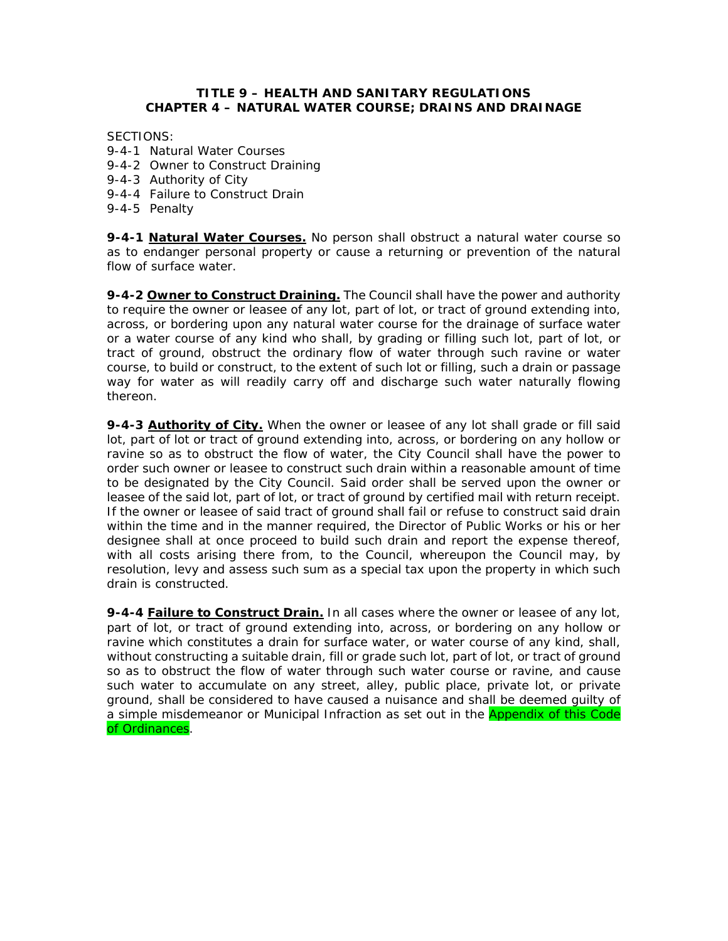### **TITLE 9 – HEALTH AND SANITARY REGULATIONS CHAPTER 4 – NATURAL WATER COURSE; DRAINS AND DRAINAGE**

SECTIONS:

- 9-4-1 Natural Water Courses
- 9-4-2 Owner to Construct Draining
- 9-4-3 Authority of City
- 9-4-4 Failure to Construct Drain
- 9-4-5 Penalty

**9-4-1 Natural Water Courses.** No person shall obstruct a natural water course so as to endanger personal property or cause a returning or prevention of the natural flow of surface water.

**9-4-2 Owner to Construct Draining.** The Council shall have the power and authority to require the owner or leasee of any lot, part of lot, or tract of ground extending into, across, or bordering upon any natural water course for the drainage of surface water or a water course of any kind who shall, by grading or filling such lot, part of lot, or tract of ground, obstruct the ordinary flow of water through such ravine or water course, to build or construct, to the extent of such lot or filling, such a drain or passage way for water as will readily carry off and discharge such water naturally flowing thereon.

**9-4-3 Authority of City.** When the owner or leasee of any lot shall grade or fill said lot, part of lot or tract of ground extending into, across, or bordering on any hollow or ravine so as to obstruct the flow of water, the City Council shall have the power to order such owner or leasee to construct such drain within a reasonable amount of time to be designated by the City Council. Said order shall be served upon the owner or leasee of the said lot, part of lot, or tract of ground by certified mail with return receipt. If the owner or leasee of said tract of ground shall fail or refuse to construct said drain within the time and in the manner required, the Director of Public Works or his or her designee shall at once proceed to build such drain and report the expense thereof, with all costs arising there from, to the Council, whereupon the Council may, by resolution, levy and assess such sum as a special tax upon the property in which such drain is constructed.

**9-4-4 Failure to Construct Drain.** In all cases where the owner or leasee of any lot, part of lot, or tract of ground extending into, across, or bordering on any hollow or ravine which constitutes a drain for surface water, or water course of any kind, shall, without constructing a suitable drain, fill or grade such lot, part of lot, or tract of ground so as to obstruct the flow of water through such water course or ravine, and cause such water to accumulate on any street, alley, public place, private lot, or private ground, shall be considered to have caused a nuisance and shall be deemed guilty of a simple misdemeanor or Municipal Infraction as set out in the **Appendix of this Code** of Ordinances.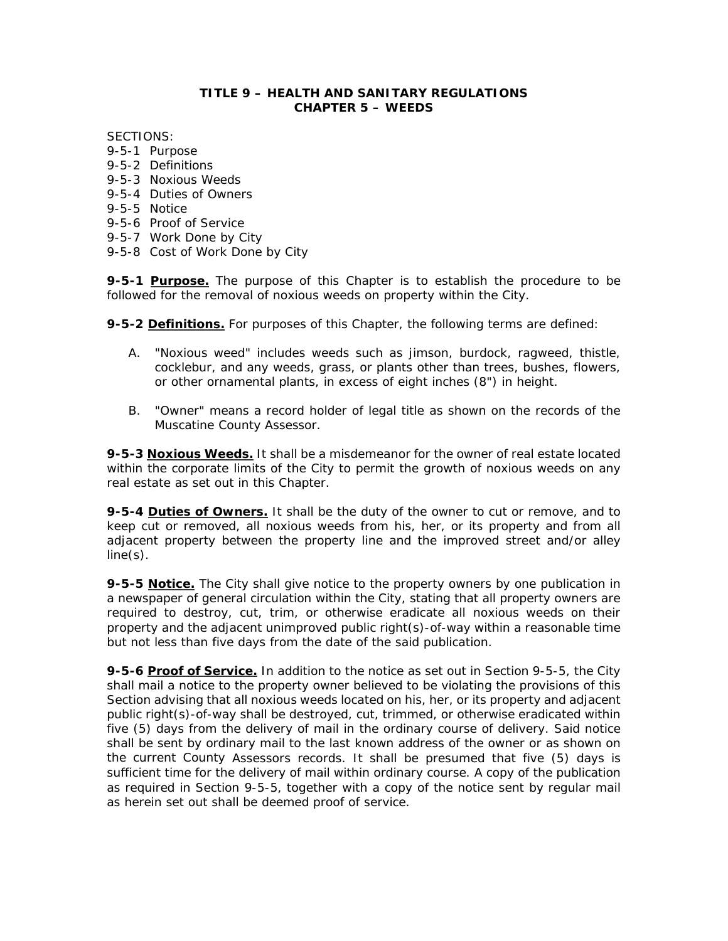#### **TITLE 9 – HEALTH AND SANITARY REGULATIONS CHAPTER 5 – WEEDS**

SECTIONS:

- 9-5-1 Purpose
- 9-5-2 Definitions
- 9-5-3 Noxious Weeds
- 9-5-4 Duties of Owners
- 9-5-5 Notice
- 9-5-6 Proof of Service
- 9-5-7 Work Done by City
- 9-5-8 Cost of Work Done by City

**9-5-1 Purpose.** The purpose of this Chapter is to establish the procedure to be followed for the removal of noxious weeds on property within the City.

**9-5-2 Definitions.** For purposes of this Chapter, the following terms are defined:

- A. "Noxious weed" includes weeds such as jimson, burdock, ragweed, thistle, cocklebur, and any weeds, grass, or plants other than trees, bushes, flowers, or other ornamental plants, in excess of eight inches (8") in height.
- B. "Owner" means a record holder of legal title as shown on the records of the Muscatine County Assessor.

**9-5-3 Noxious Weeds.** It shall be a misdemeanor for the owner of real estate located within the corporate limits of the City to permit the growth of noxious weeds on any real estate as set out in this Chapter.

**9-5-4 Duties of Owners.** It shall be the duty of the owner to cut or remove, and to keep cut or removed, all noxious weeds from his, her, or its property and from all adjacent property between the property line and the improved street and/or alley line(s).

**9-5-5 Notice.** The City shall give notice to the property owners by one publication in a newspaper of general circulation within the City, stating that all property owners are required to destroy, cut, trim, or otherwise eradicate all noxious weeds on their property and the adjacent unimproved public right(s)-of-way within a reasonable time but not less than five days from the date of the said publication.

**9-5-6 Proof of Service.** In addition to the notice as set out in Section 9-5-5, the City shall mail a notice to the property owner believed to be violating the provisions of this Section advising that all noxious weeds located on his, her, or its property and adjacent public right(s)-of-way shall be destroyed, cut, trimmed, or otherwise eradicated within five (5) days from the delivery of mail in the ordinary course of delivery. Said notice shall be sent by ordinary mail to the last known address of the owner or as shown on the current County Assessors records. It shall be presumed that five (5) days is sufficient time for the delivery of mail within ordinary course. A copy of the publication as required in Section 9-5-5, together with a copy of the notice sent by regular mail as herein set out shall be deemed proof of service.